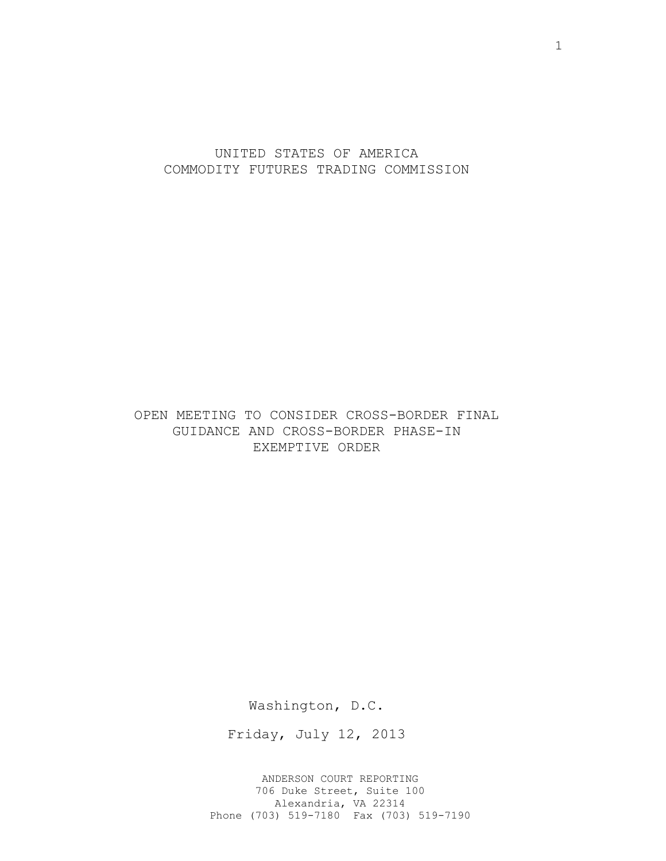UNITED STATES OF AMERICA COMMODITY FUTURES TRADING COMMISSION

OPEN MEETING TO CONSIDER CROSS-BORDER FINAL GUIDANCE AND CROSS-BORDER PHASE-IN EXEMPTIVE ORDER

Washington, D.C.

Friday, July 12, 2013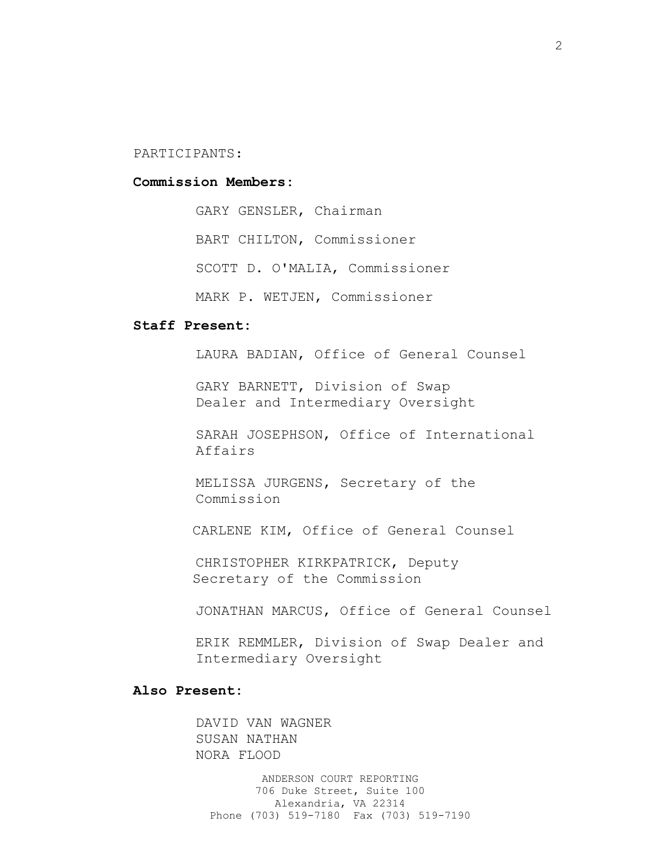PARTICIPANTS:

## **Commission Members:**

GARY GENSLER, Chairman

BART CHILTON, Commissioner

SCOTT D. O'MALIA, Commissioner

MARK P. WETJEN, Commissioner

## **Staff Present:**

LAURA BADIAN, Office of General Counsel

GARY BARNETT, Division of Swap Dealer and Intermediary Oversight

SARAH JOSEPHSON, Office of International Affairs

MELISSA JURGENS, Secretary of the Commission

CARLENE KIM, Office of General Counsel

CHRISTOPHER KIRKPATRICK, Deputy Secretary of the Commission

JONATHAN MARCUS, Office of General Counsel

ERIK REMMLER, Division of Swap Dealer and Intermediary Oversight

## **Also Present:**

DAVID VAN WAGNER SUSAN NATHAN NORA FLOOD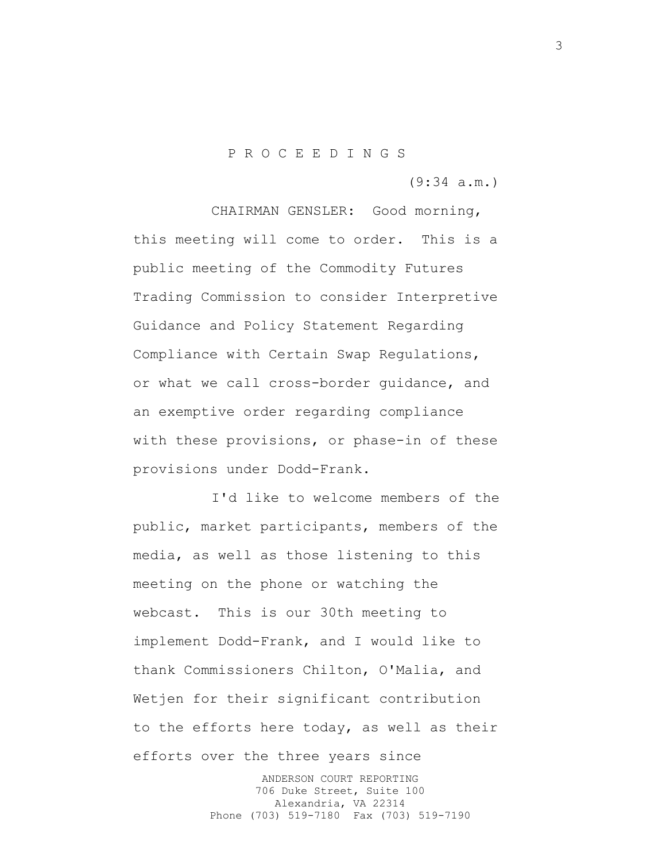## P R O C E E D I N G S

(9:34 a.m.)

CHAIRMAN GENSLER: Good morning, this meeting will come to order. This is a public meeting of the Commodity Futures Trading Commission to consider Interpretive Guidance and Policy Statement Regarding Compliance with Certain Swap Regulations, or what we call cross-border guidance, and an exemptive order regarding compliance with these provisions, or phase-in of these provisions under Dodd-Frank.

I'd like to welcome members of the public, market participants, members of the media, as well as those listening to this meeting on the phone or watching the webcast. This is our 30th meeting to implement Dodd-Frank, and I would like to thank Commissioners Chilton, O'Malia, and Wetjen for their significant contribution to the efforts here today, as well as their efforts over the three years since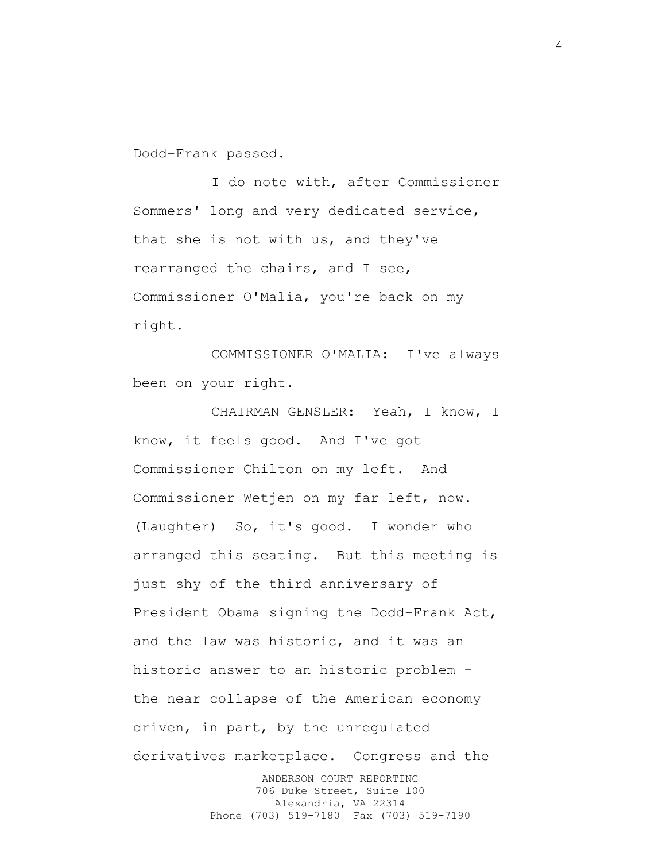Dodd-Frank passed.

I do note with, after Commissioner Sommers' long and very dedicated service, that she is not with us, and they've rearranged the chairs, and I see, Commissioner O'Malia, you're back on my right.

COMMISSIONER O'MALIA: I've always been on your right.

CHAIRMAN GENSLER: Yeah, I know, I know, it feels good. And I've got Commissioner Chilton on my left. And Commissioner Wetjen on my far left, now. (Laughter) So, it's good. I wonder who arranged this seating. But this meeting is just shy of the third anniversary of President Obama signing the Dodd-Frank Act, and the law was historic, and it was an historic answer to an historic problem the near collapse of the American economy driven, in part, by the unregulated derivatives marketplace. Congress and the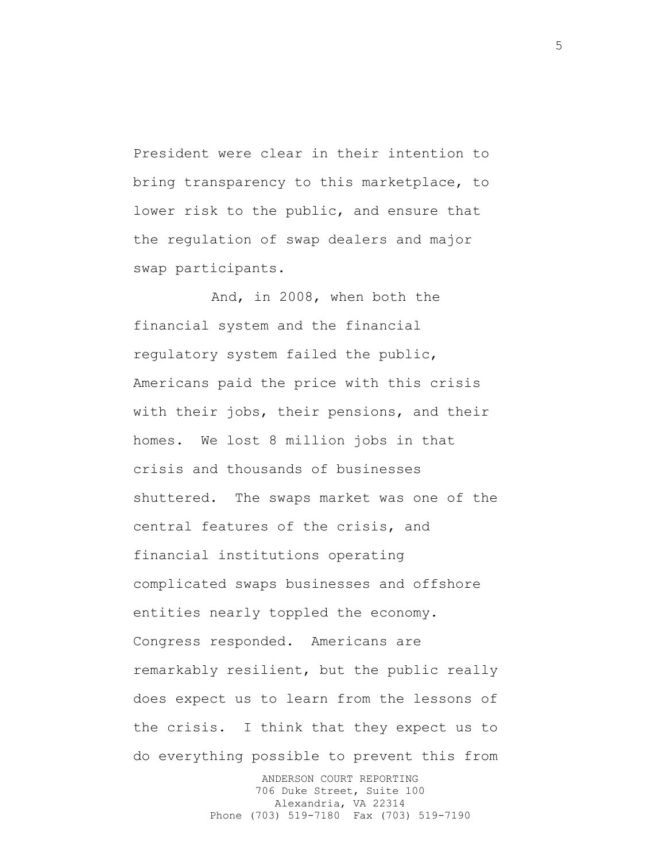President were clear in their intention to bring transparency to this marketplace, to lower risk to the public, and ensure that the regulation of swap dealers and major swap participants.

And, in 2008, when both the financial system and the financial regulatory system failed the public, Americans paid the price with this crisis with their jobs, their pensions, and their homes. We lost 8 million jobs in that crisis and thousands of businesses shuttered. The swaps market was one of the central features of the crisis, and financial institutions operating complicated swaps businesses and offshore entities nearly toppled the economy. Congress responded. Americans are remarkably resilient, but the public really does expect us to learn from the lessons of the crisis. I think that they expect us to do everything possible to prevent this from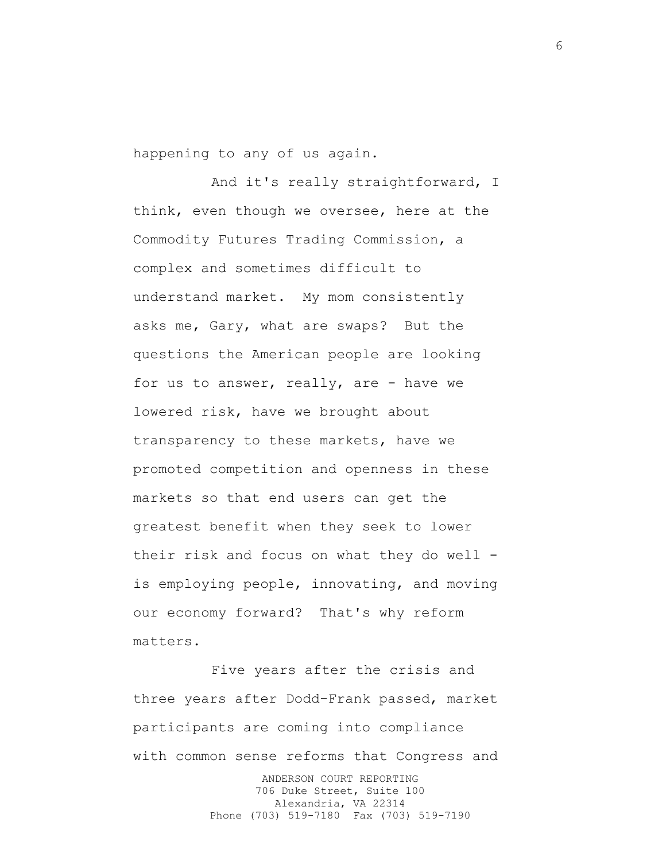happening to any of us again.

And it's really straightforward, I think, even though we oversee, here at the Commodity Futures Trading Commission, a complex and sometimes difficult to understand market. My mom consistently asks me, Gary, what are swaps? But the questions the American people are looking for us to answer, really, are - have we lowered risk, have we brought about transparency to these markets, have we promoted competition and openness in these markets so that end users can get the greatest benefit when they seek to lower their risk and focus on what they do well is employing people, innovating, and moving our economy forward? That's why reform matters.

Five years after the crisis and three years after Dodd-Frank passed, market participants are coming into compliance with common sense reforms that Congress and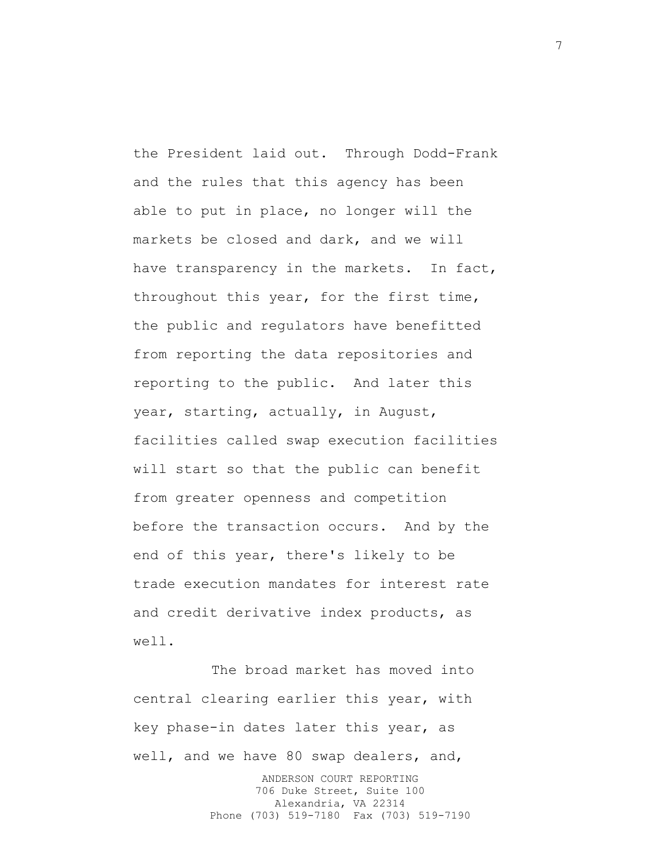the President laid out. Through Dodd-Frank and the rules that this agency has been able to put in place, no longer will the markets be closed and dark, and we will have transparency in the markets. In fact, throughout this year, for the first time, the public and regulators have benefitted from reporting the data repositories and reporting to the public. And later this year, starting, actually, in August, facilities called swap execution facilities will start so that the public can benefit from greater openness and competition before the transaction occurs. And by the end of this year, there's likely to be trade execution mandates for interest rate and credit derivative index products, as well.

ANDERSON COURT REPORTING The broad market has moved into central clearing earlier this year, with key phase-in dates later this year, as well, and we have 80 swap dealers, and,

706 Duke Street, Suite 100 Alexandria, VA 22314 Phone (703) 519-7180 Fax (703) 519-7190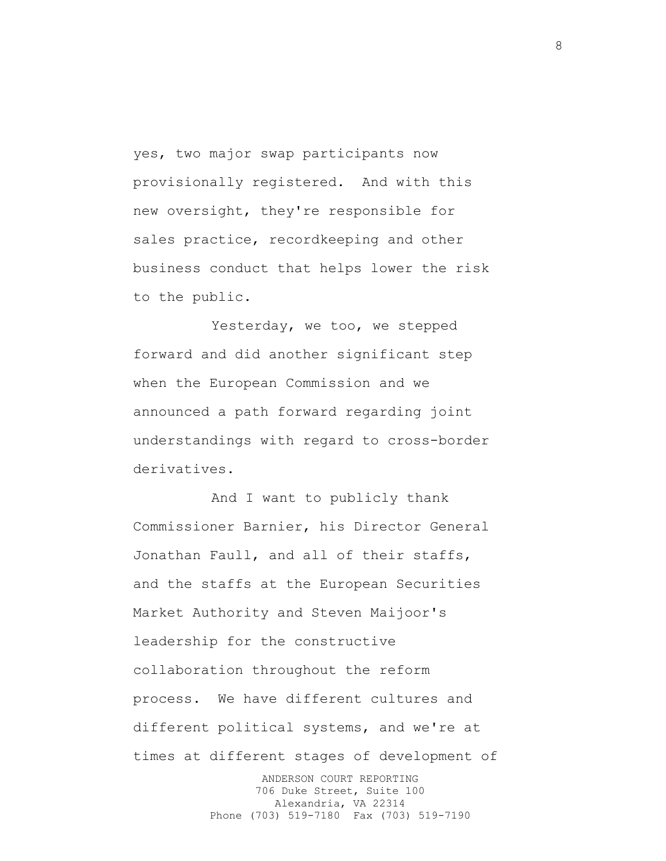yes, two major swap participants now provisionally registered. And with this new oversight, they're responsible for sales practice, recordkeeping and other business conduct that helps lower the risk to the public.

Yesterday, we too, we stepped forward and did another significant step when the European Commission and we announced a path forward regarding joint understandings with regard to cross-border derivatives.

And I want to publicly thank Commissioner Barnier, his Director General Jonathan Faull, and all of their staffs, and the staffs at the European Securities Market Authority and Steven Maijoor's leadership for the constructive collaboration throughout the reform process. We have different cultures and different political systems, and we're at times at different stages of development of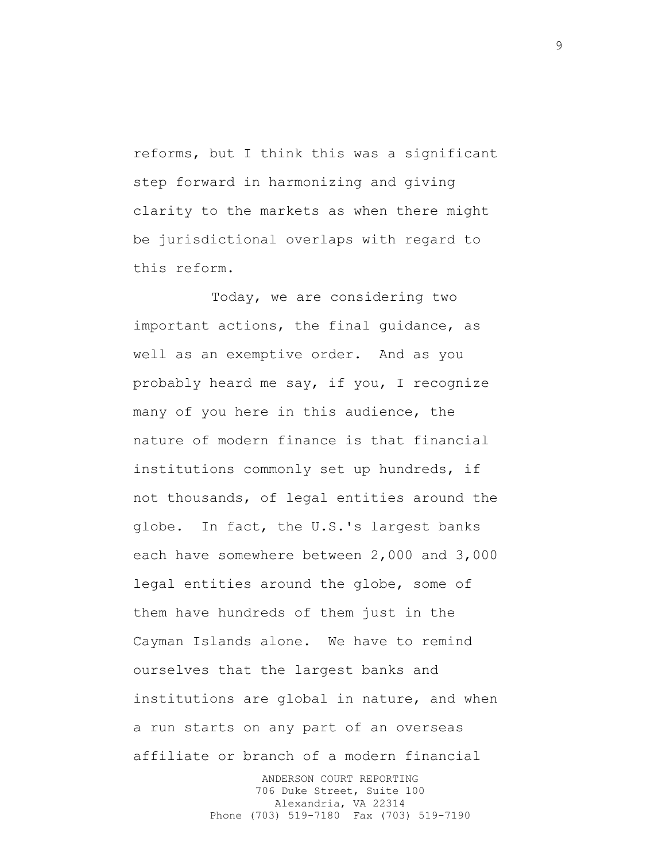reforms, but I think this was a significant step forward in harmonizing and giving clarity to the markets as when there might be jurisdictional overlaps with regard to this reform.

Today, we are considering two important actions, the final guidance, as well as an exemptive order. And as you probably heard me say, if you, I recognize many of you here in this audience, the nature of modern finance is that financial institutions commonly set up hundreds, if not thousands, of legal entities around the globe. In fact, the U.S.'s largest banks each have somewhere between 2,000 and 3,000 legal entities around the globe, some of them have hundreds of them just in the Cayman Islands alone. We have to remind ourselves that the largest banks and institutions are global in nature, and when a run starts on any part of an overseas affiliate or branch of a modern financial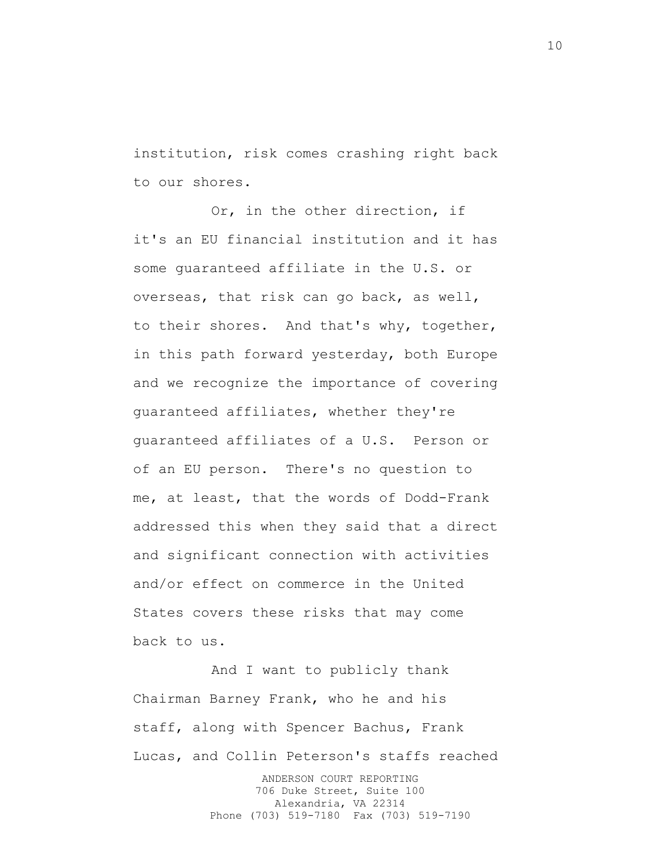institution, risk comes crashing right back to our shores.

Or, in the other direction, if it's an EU financial institution and it has some guaranteed affiliate in the U.S. or overseas, that risk can go back, as well, to their shores. And that's why, together, in this path forward yesterday, both Europe and we recognize the importance of covering guaranteed affiliates, whether they're guaranteed affiliates of a U.S. Person or of an EU person. There's no question to me, at least, that the words of Dodd-Frank addressed this when they said that a direct and significant connection with activities and/or effect on commerce in the United States covers these risks that may come back to us.

And I want to publicly thank Chairman Barney Frank, who he and his staff, along with Spencer Bachus, Frank Lucas, and Collin Peterson's staffs reached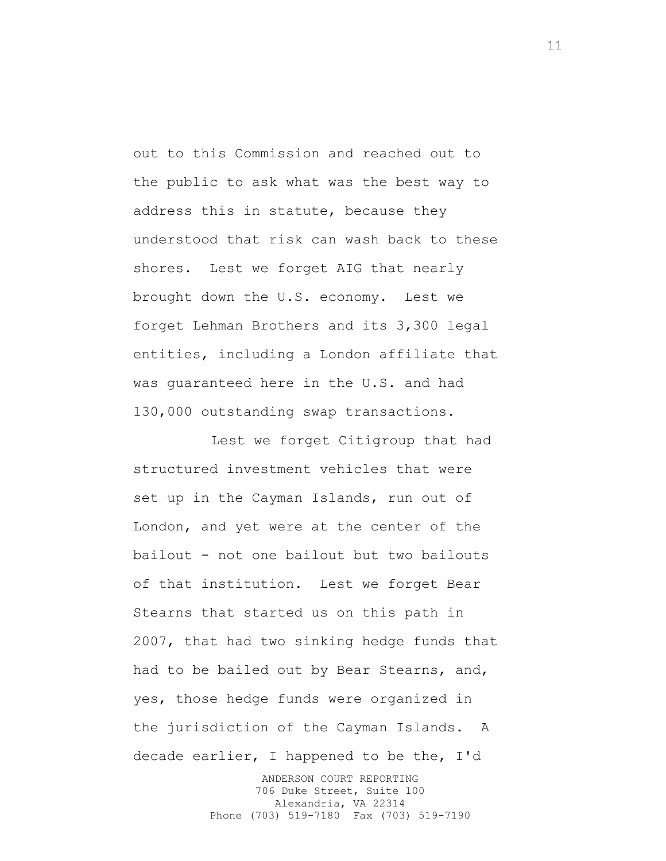out to this Commission and reached out to the public to ask what was the best way to address this in statute, because they understood that risk can wash back to these shores. Lest we forget AIG that nearly brought down the U.S. economy. Lest we forget Lehman Brothers and its 3,300 legal entities, including a London affiliate that was guaranteed here in the U.S. and had 130,000 outstanding swap transactions.

Lest we forget Citigroup that had structured investment vehicles that were set up in the Cayman Islands, run out of London, and yet were at the center of the bailout - not one bailout but two bailouts of that institution. Lest we forget Bear Stearns that started us on this path in 2007, that had two sinking hedge funds that had to be bailed out by Bear Stearns, and, yes, those hedge funds were organized in the jurisdiction of the Cayman Islands. A decade earlier, I happened to be the, I'd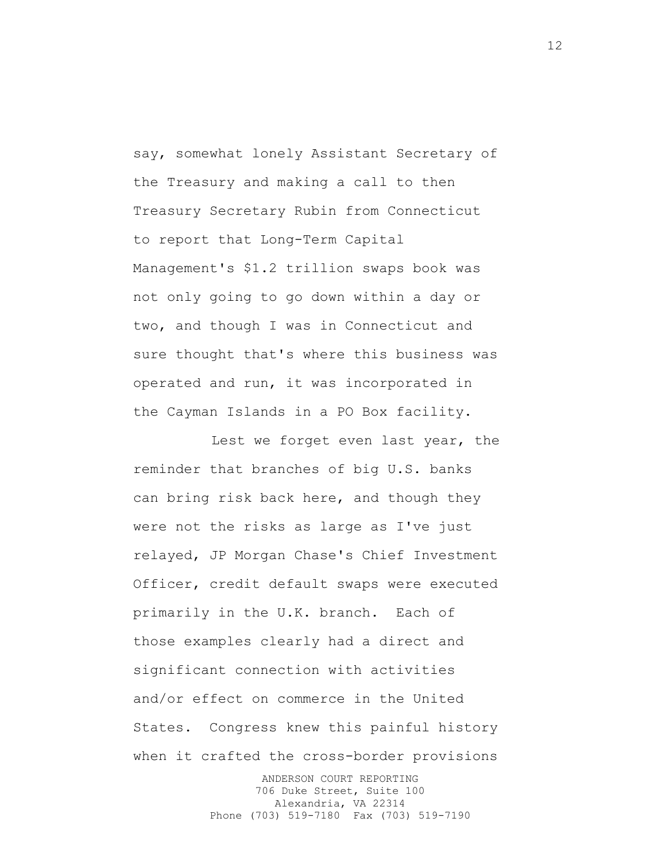say, somewhat lonely Assistant Secretary of the Treasury and making a call to then Treasury Secretary Rubin from Connecticut to report that Long-Term Capital Management's \$1.2 trillion swaps book was not only going to go down within a day or two, and though I was in Connecticut and sure thought that's where this business was operated and run, it was incorporated in the Cayman Islands in a PO Box facility.

Lest we forget even last year, the reminder that branches of big U.S. banks can bring risk back here, and though they were not the risks as large as I've just relayed, JP Morgan Chase's Chief Investment Officer, credit default swaps were executed primarily in the U.K. branch. Each of those examples clearly had a direct and significant connection with activities and/or effect on commerce in the United States. Congress knew this painful history when it crafted the cross-border provisions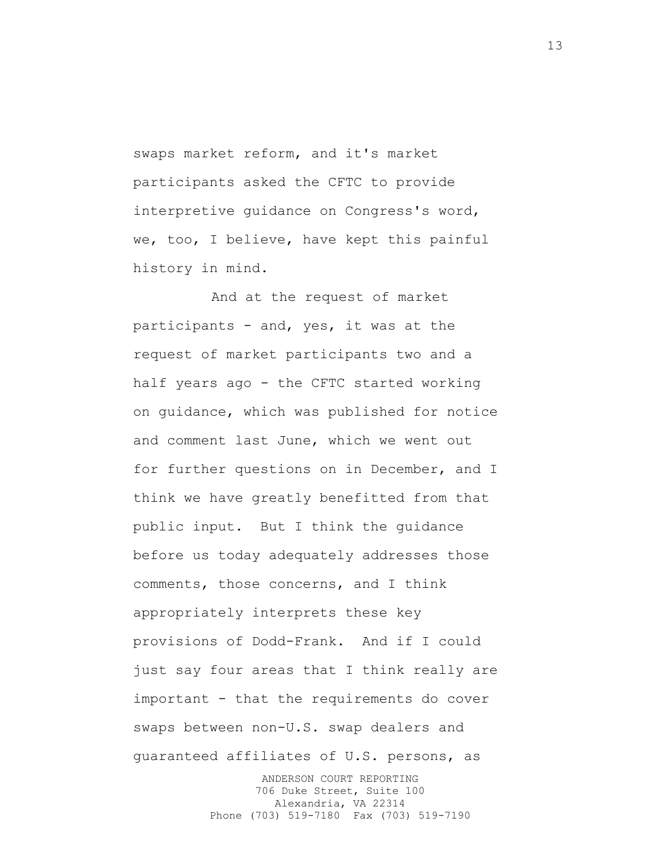swaps market reform, and it's market participants asked the CFTC to provide interpretive guidance on Congress's word, we, too, I believe, have kept this painful history in mind.

And at the request of market participants - and, yes, it was at the request of market participants two and a half years ago - the CFTC started working on guidance, which was published for notice and comment last June, which we went out for further questions on in December, and I think we have greatly benefitted from that public input. But I think the guidance before us today adequately addresses those comments, those concerns, and I think appropriately interprets these key provisions of Dodd-Frank. And if I could just say four areas that I think really are important - that the requirements do cover swaps between non-U.S. swap dealers and guaranteed affiliates of U.S. persons, as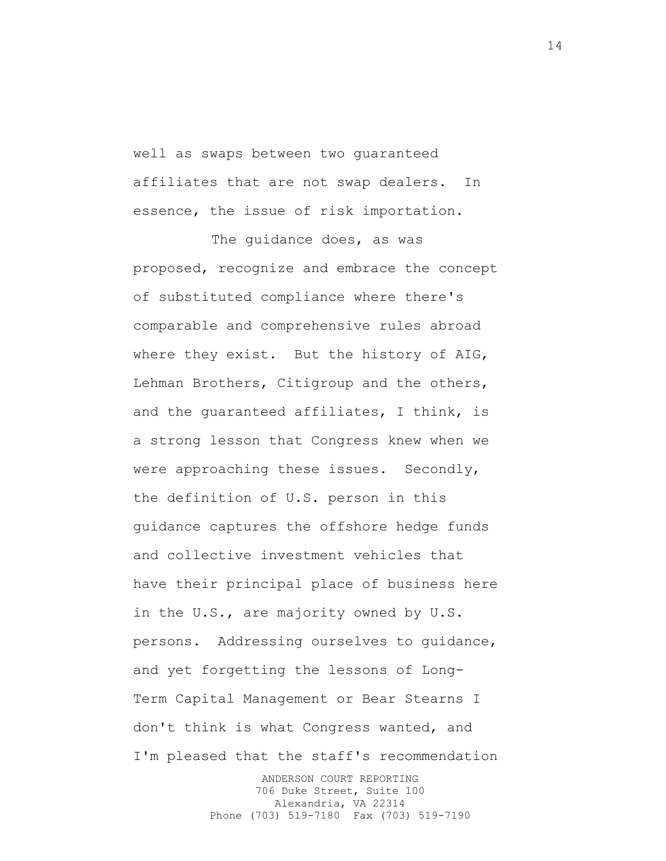well as swaps between two guaranteed affiliates that are not swap dealers. In essence, the issue of risk importation.

The guidance does, as was proposed, recognize and embrace the concept of substituted compliance where there's comparable and comprehensive rules abroad where they exist. But the history of AIG, Lehman Brothers, Citigroup and the others, and the guaranteed affiliates, I think, is a strong lesson that Congress knew when we were approaching these issues. Secondly, the definition of U.S. person in this guidance captures the offshore hedge funds and collective investment vehicles that have their principal place of business here in the U.S., are majority owned by U.S. persons. Addressing ourselves to guidance, and yet forgetting the lessons of Long-Term Capital Management or Bear Stearns I don't think is what Congress wanted, and I'm pleased that the staff's recommendation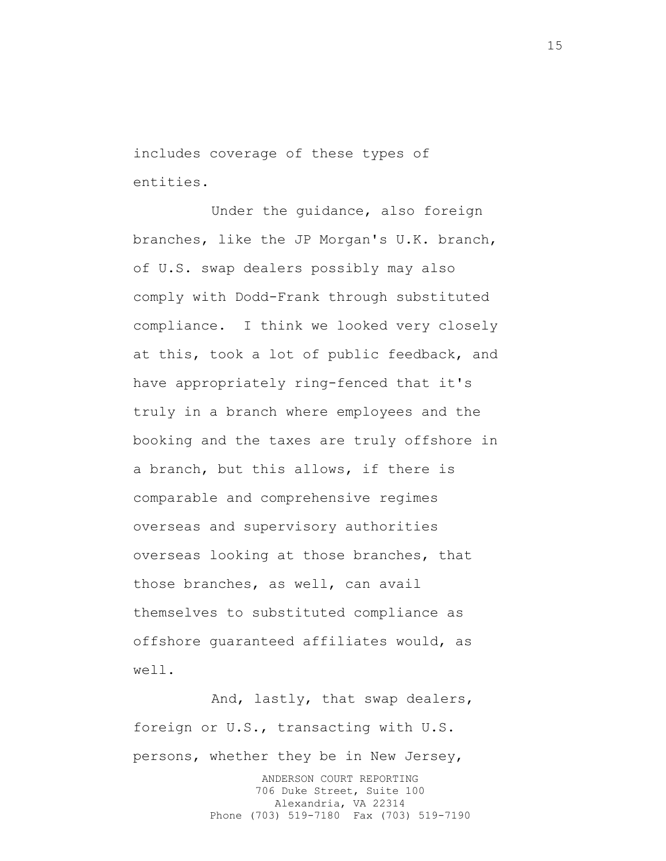includes coverage of these types of entities.

Under the guidance, also foreign branches, like the JP Morgan's U.K. branch, of U.S. swap dealers possibly may also comply with Dodd-Frank through substituted compliance. I think we looked very closely at this, took a lot of public feedback, and have appropriately ring-fenced that it's truly in a branch where employees and the booking and the taxes are truly offshore in a branch, but this allows, if there is comparable and comprehensive regimes overseas and supervisory authorities overseas looking at those branches, that those branches, as well, can avail themselves to substituted compliance as offshore guaranteed affiliates would, as well.

ANDERSON COURT REPORTING 706 Duke Street, Suite 100 Alexandria, VA 22314 Phone (703) 519-7180 Fax (703) 519-7190 And, lastly, that swap dealers, foreign or U.S., transacting with U.S. persons, whether they be in New Jersey,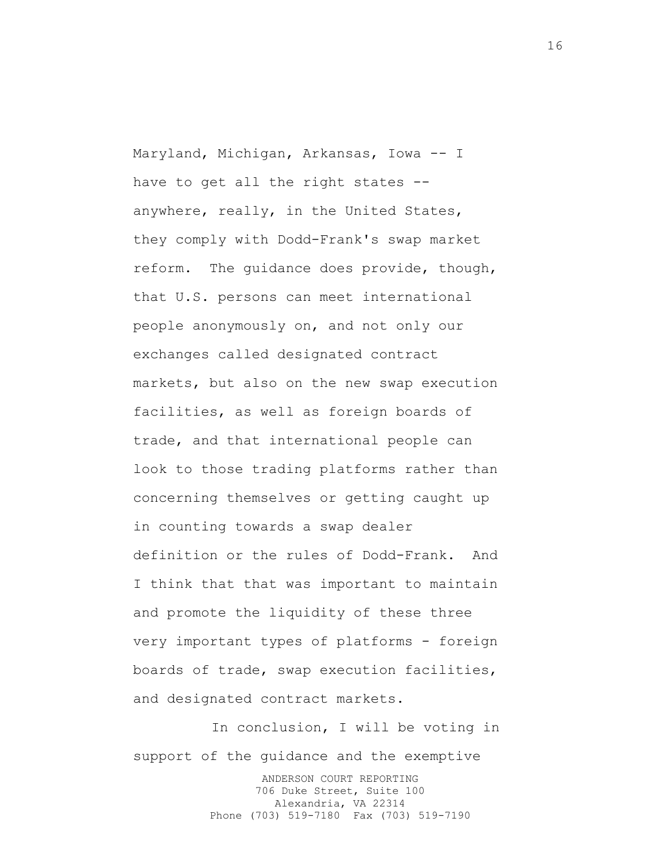Maryland, Michigan, Arkansas, Iowa -- I have to get all the right states - anywhere, really, in the United States, they comply with Dodd-Frank's swap market reform. The guidance does provide, though, that U.S. persons can meet international people anonymously on, and not only our exchanges called designated contract markets, but also on the new swap execution facilities, as well as foreign boards of trade, and that international people can look to those trading platforms rather than concerning themselves or getting caught up in counting towards a swap dealer definition or the rules of Dodd-Frank. And I think that that was important to maintain and promote the liquidity of these three very important types of platforms - foreign boards of trade, swap execution facilities, and designated contract markets.

In conclusion, I will be voting in support of the guidance and the exemptive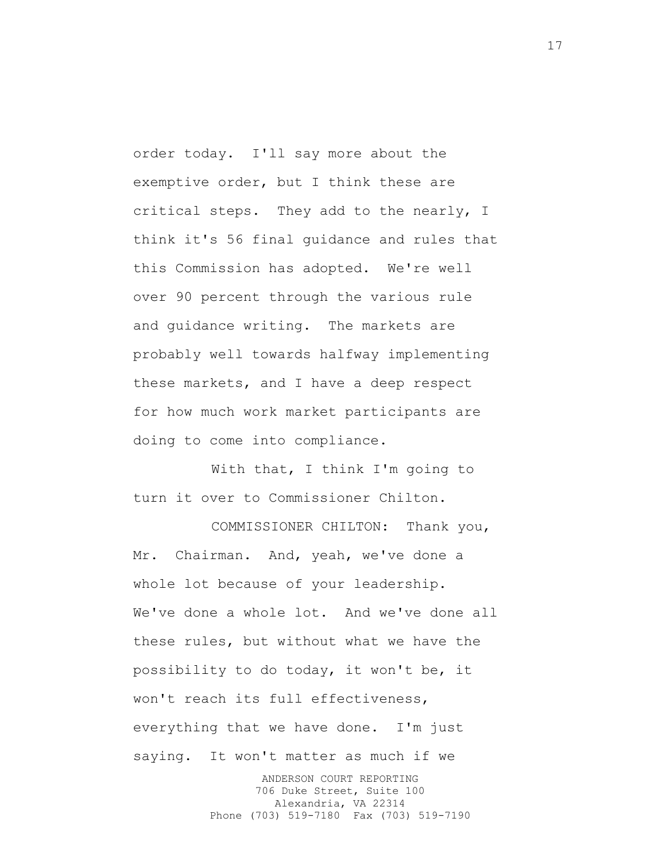order today. I'll say more about the exemptive order, but I think these are critical steps. They add to the nearly, I think it's 56 final guidance and rules that this Commission has adopted. We're well over 90 percent through the various rule and guidance writing. The markets are probably well towards halfway implementing these markets, and I have a deep respect for how much work market participants are doing to come into compliance.

With that, I think I'm going to turn it over to Commissioner Chilton.

COMMISSIONER CHILTON: Thank you, Mr. Chairman. And, yeah, we've done a whole lot because of your leadership. We've done a whole lot. And we've done all these rules, but without what we have the possibility to do today, it won't be, it won't reach its full effectiveness, everything that we have done. I'm just saying. It won't matter as much if we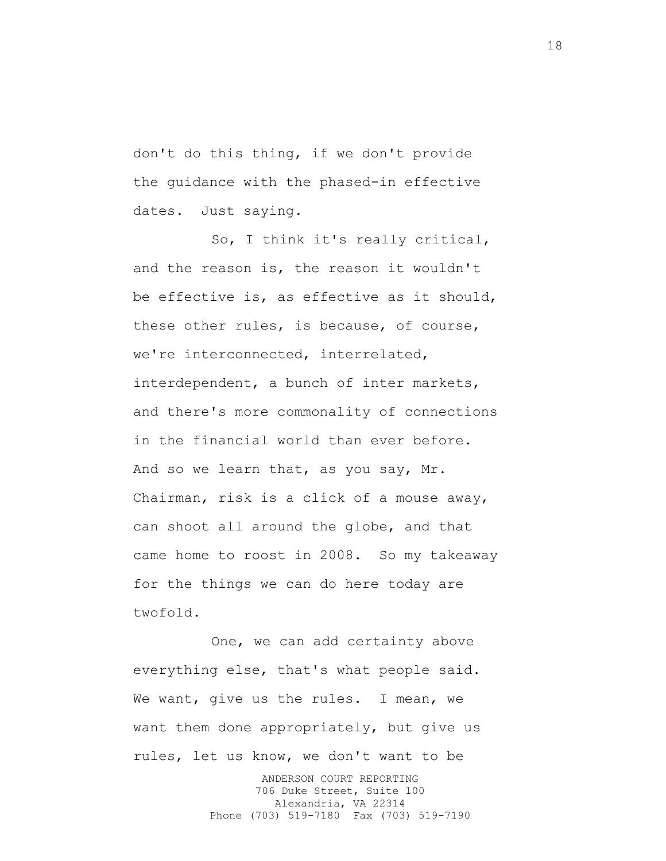don't do this thing, if we don't provide the guidance with the phased-in effective dates. Just saying.

So, I think it's really critical, and the reason is, the reason it wouldn't be effective is, as effective as it should, these other rules, is because, of course, we're interconnected, interrelated, interdependent, a bunch of inter markets, and there's more commonality of connections in the financial world than ever before. And so we learn that, as you say, Mr. Chairman, risk is a click of a mouse away, can shoot all around the globe, and that came home to roost in 2008. So my takeaway for the things we can do here today are twofold.

One, we can add certainty above everything else, that's what people said. We want, give us the rules. I mean, we want them done appropriately, but give us rules, let us know, we don't want to be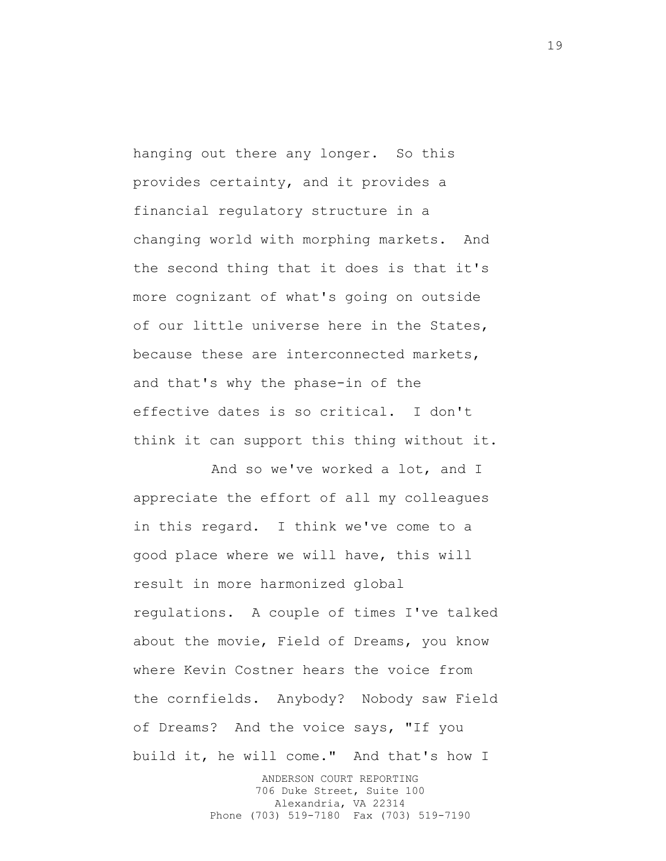hanging out there any longer. So this provides certainty, and it provides a financial regulatory structure in a changing world with morphing markets. And the second thing that it does is that it's more cognizant of what's going on outside of our little universe here in the States, because these are interconnected markets, and that's why the phase-in of the effective dates is so critical. I don't think it can support this thing without it.

And so we've worked a lot, and I appreciate the effort of all my colleagues in this regard. I think we've come to a good place where we will have, this will result in more harmonized global regulations. A couple of times I've talked about the movie, Field of Dreams, you know where Kevin Costner hears the voice from the cornfields. Anybody? Nobody saw Field of Dreams? And the voice says, "If you build it, he will come." And that's how I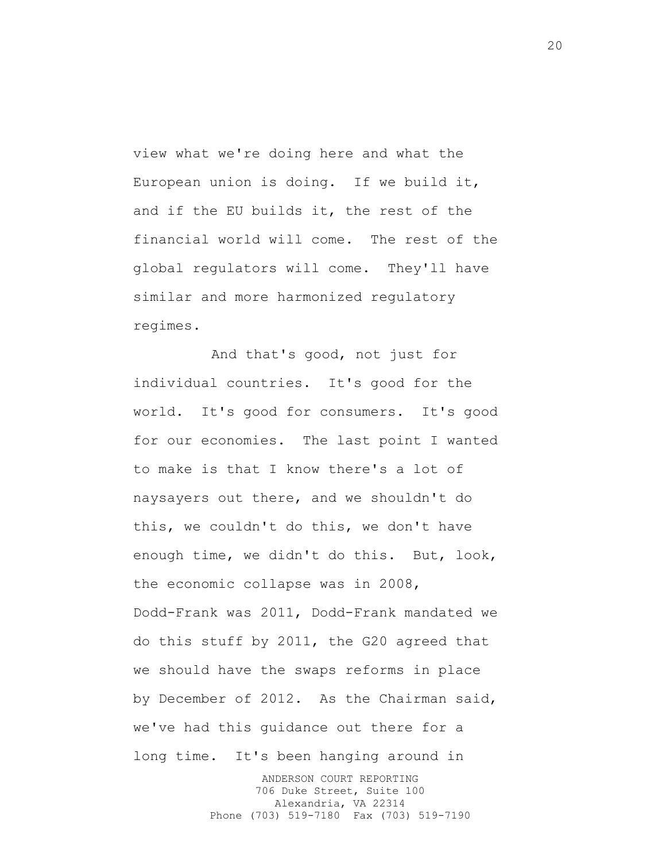view what we're doing here and what the European union is doing. If we build it, and if the EU builds it, the rest of the financial world will come. The rest of the global regulators will come. They'll have similar and more harmonized regulatory regimes.

And that's good, not just for individual countries. It's good for the world. It's good for consumers. It's good for our economies. The last point I wanted to make is that I know there's a lot of naysayers out there, and we shouldn't do this, we couldn't do this, we don't have enough time, we didn't do this. But, look, the economic collapse was in 2008, Dodd-Frank was 2011, Dodd-Frank mandated we do this stuff by 2011, the G20 agreed that we should have the swaps reforms in place by December of 2012. As the Chairman said, we've had this guidance out there for a long time. It's been hanging around in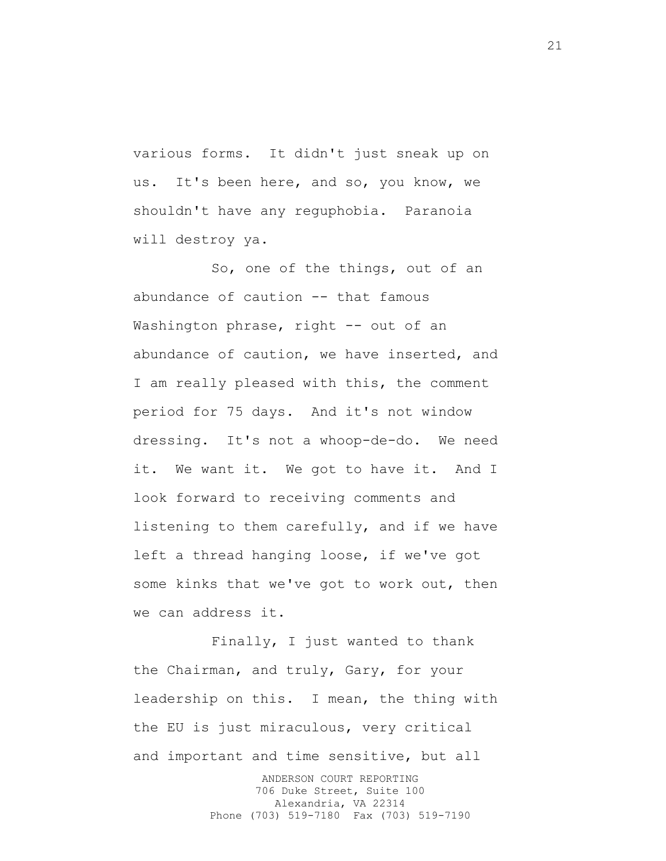various forms. It didn't just sneak up on us. It's been here, and so, you know, we shouldn't have any reguphobia. Paranoia will destroy ya.

So, one of the things, out of an abundance of caution -- that famous Washington phrase, right -- out of an abundance of caution, we have inserted, and I am really pleased with this, the comment period for 75 days. And it's not window dressing. It's not a whoop-de-do. We need it. We want it. We got to have it. And I look forward to receiving comments and listening to them carefully, and if we have left a thread hanging loose, if we've got some kinks that we've got to work out, then we can address it.

Finally, I just wanted to thank the Chairman, and truly, Gary, for your leadership on this. I mean, the thing with the EU is just miraculous, very critical and important and time sensitive, but all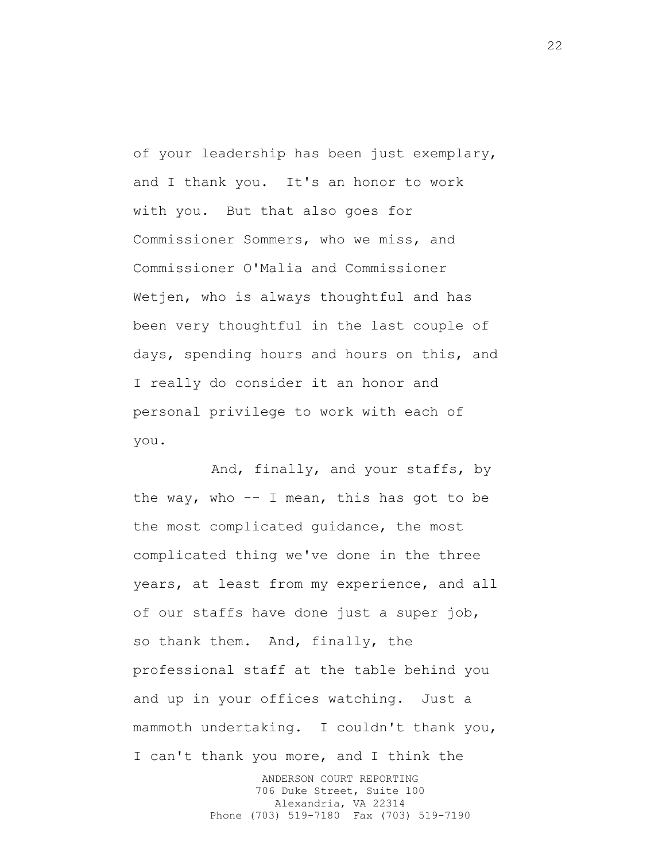of your leadership has been just exemplary, and I thank you. It's an honor to work with you. But that also goes for Commissioner Sommers, who we miss, and Commissioner O'Malia and Commissioner Wetjen, who is always thoughtful and has been very thoughtful in the last couple of days, spending hours and hours on this, and I really do consider it an honor and personal privilege to work with each of you.

And, finally, and your staffs, by the way, who  $-$ - I mean, this has got to be the most complicated guidance, the most complicated thing we've done in the three years, at least from my experience, and all of our staffs have done just a super job, so thank them. And, finally, the professional staff at the table behind you and up in your offices watching. Just a mammoth undertaking. I couldn't thank you, I can't thank you more, and I think the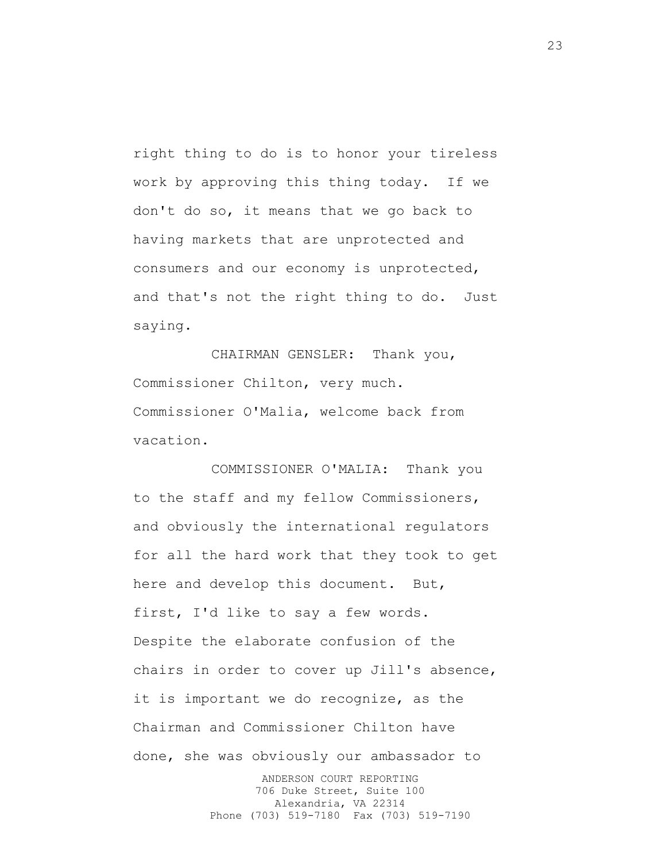right thing to do is to honor your tireless work by approving this thing today. If we don't do so, it means that we go back to having markets that are unprotected and consumers and our economy is unprotected, and that's not the right thing to do. Just saying.

CHAIRMAN GENSLER: Thank you, Commissioner Chilton, very much. Commissioner O'Malia, welcome back from vacation.

COMMISSIONER O'MALIA: Thank you to the staff and my fellow Commissioners, and obviously the international regulators for all the hard work that they took to get here and develop this document. But, first, I'd like to say a few words. Despite the elaborate confusion of the chairs in order to cover up Jill's absence, it is important we do recognize, as the Chairman and Commissioner Chilton have done, she was obviously our ambassador to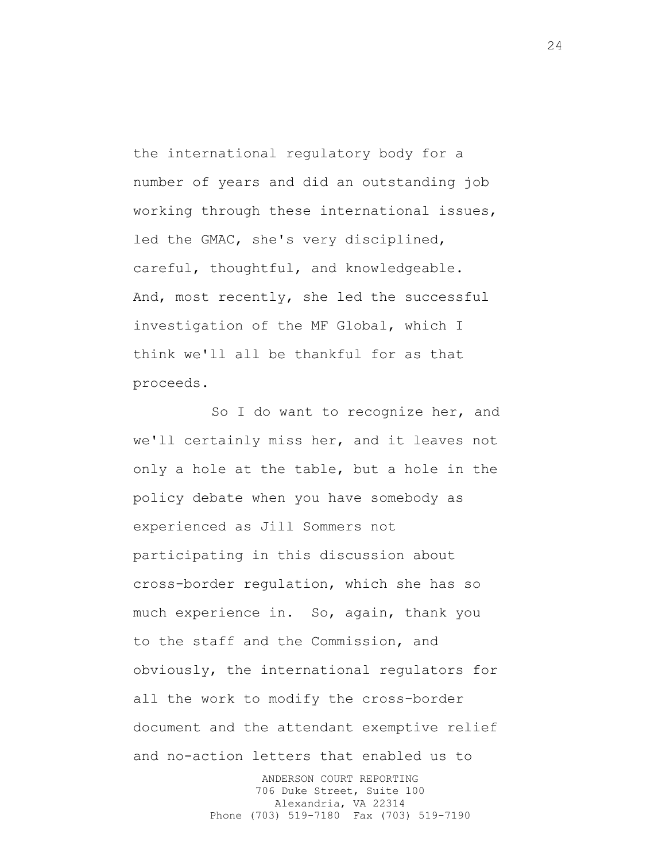the international regulatory body for a number of years and did an outstanding job working through these international issues, led the GMAC, she's very disciplined, careful, thoughtful, and knowledgeable. And, most recently, she led the successful investigation of the MF Global, which I think we'll all be thankful for as that proceeds.

So I do want to recognize her, and we'll certainly miss her, and it leaves not only a hole at the table, but a hole in the policy debate when you have somebody as experienced as Jill Sommers not participating in this discussion about cross-border regulation, which she has so much experience in. So, again, thank you to the staff and the Commission, and obviously, the international regulators for all the work to modify the cross-border document and the attendant exemptive relief and no-action letters that enabled us to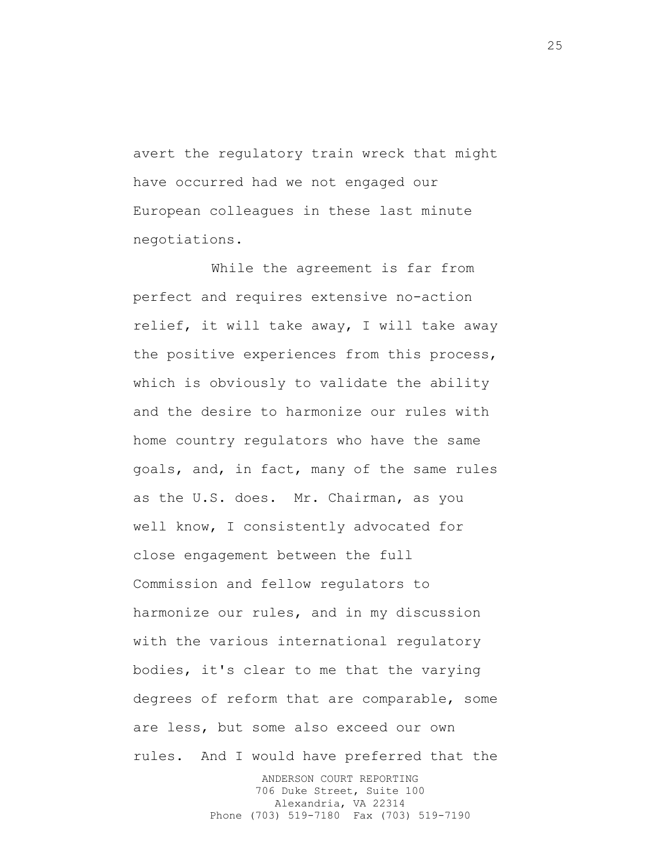avert the regulatory train wreck that might have occurred had we not engaged our European colleagues in these last minute negotiations.

While the agreement is far from perfect and requires extensive no-action relief, it will take away, I will take away the positive experiences from this process, which is obviously to validate the ability and the desire to harmonize our rules with home country regulators who have the same goals, and, in fact, many of the same rules as the U.S. does. Mr. Chairman, as you well know, I consistently advocated for close engagement between the full Commission and fellow regulators to harmonize our rules, and in my discussion with the various international regulatory bodies, it's clear to me that the varying degrees of reform that are comparable, some are less, but some also exceed our own rules. And I would have preferred that the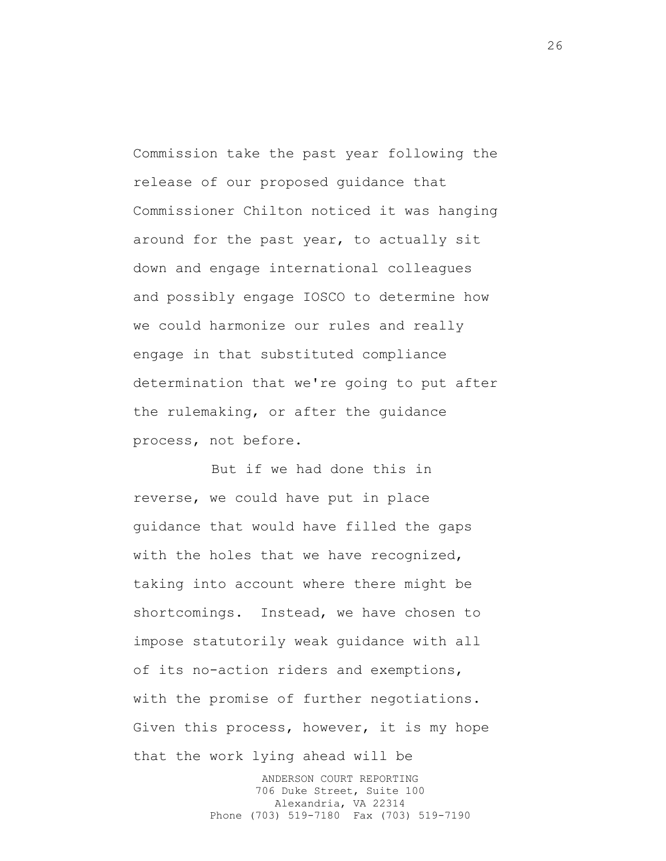Commission take the past year following the release of our proposed guidance that Commissioner Chilton noticed it was hanging around for the past year, to actually sit down and engage international colleagues and possibly engage IOSCO to determine how we could harmonize our rules and really engage in that substituted compliance determination that we're going to put after the rulemaking, or after the guidance process, not before.

But if we had done this in reverse, we could have put in place guidance that would have filled the gaps with the holes that we have recognized, taking into account where there might be shortcomings. Instead, we have chosen to impose statutorily weak guidance with all of its no-action riders and exemptions, with the promise of further negotiations. Given this process, however, it is my hope that the work lying ahead will be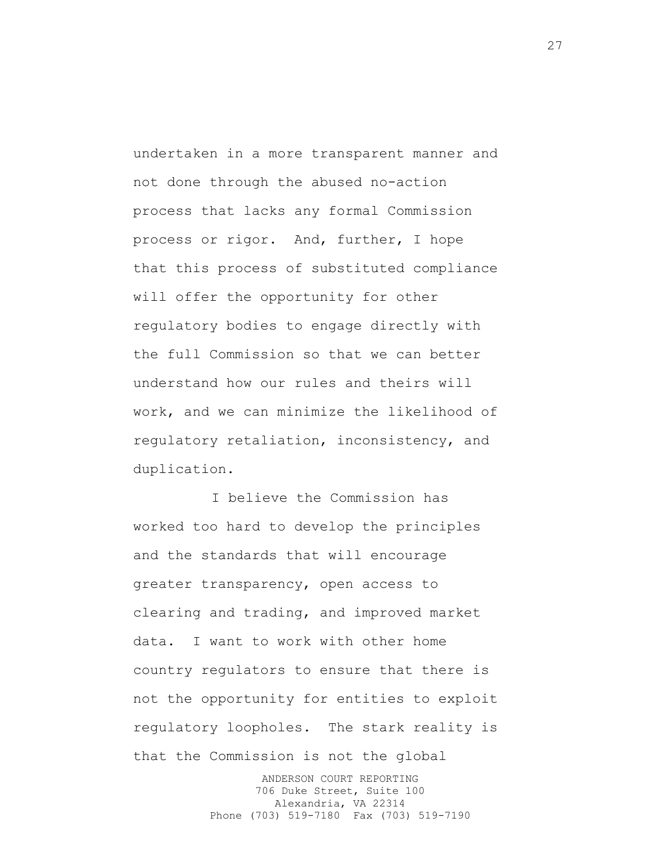undertaken in a more transparent manner and not done through the abused no-action process that lacks any formal Commission process or rigor. And, further, I hope that this process of substituted compliance will offer the opportunity for other regulatory bodies to engage directly with the full Commission so that we can better understand how our rules and theirs will work, and we can minimize the likelihood of regulatory retaliation, inconsistency, and duplication.

I believe the Commission has worked too hard to develop the principles and the standards that will encourage greater transparency, open access to clearing and trading, and improved market data. I want to work with other home country regulators to ensure that there is not the opportunity for entities to exploit regulatory loopholes. The stark reality is that the Commission is not the global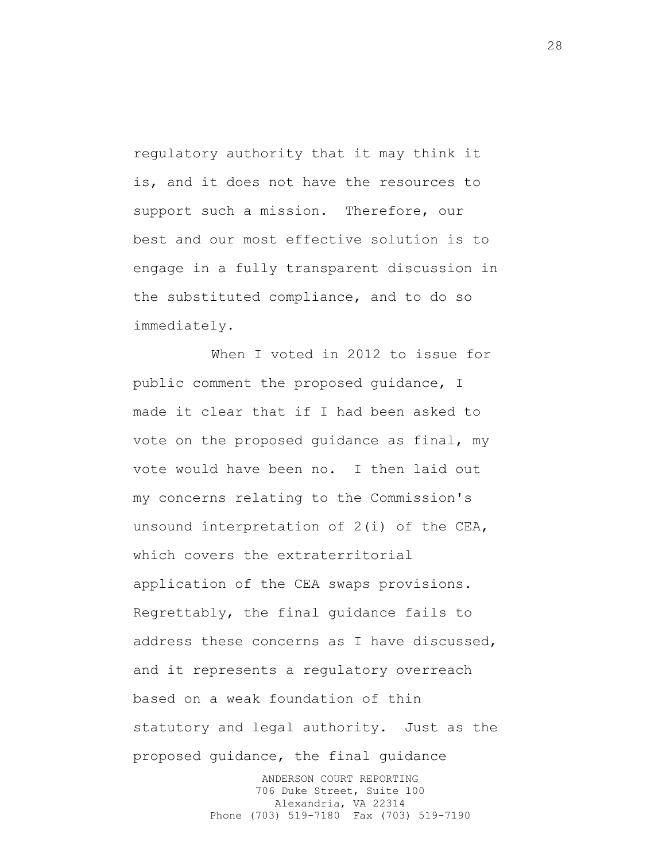regulatory authority that it may think it is, and it does not have the resources to support such a mission. Therefore, our best and our most effective solution is to engage in a fully transparent discussion in the substituted compliance, and to do so immediately.

When I voted in 2012 to issue for public comment the proposed guidance, I made it clear that if I had been asked to vote on the proposed guidance as final, my vote would have been no. I then laid out my concerns relating to the Commission's unsound interpretation of 2(i) of the CEA, which covers the extraterritorial application of the CEA swaps provisions. Regrettably, the final guidance fails to address these concerns as I have discussed, and it represents a regulatory overreach based on a weak foundation of thin statutory and legal authority. Just as the proposed guidance, the final guidance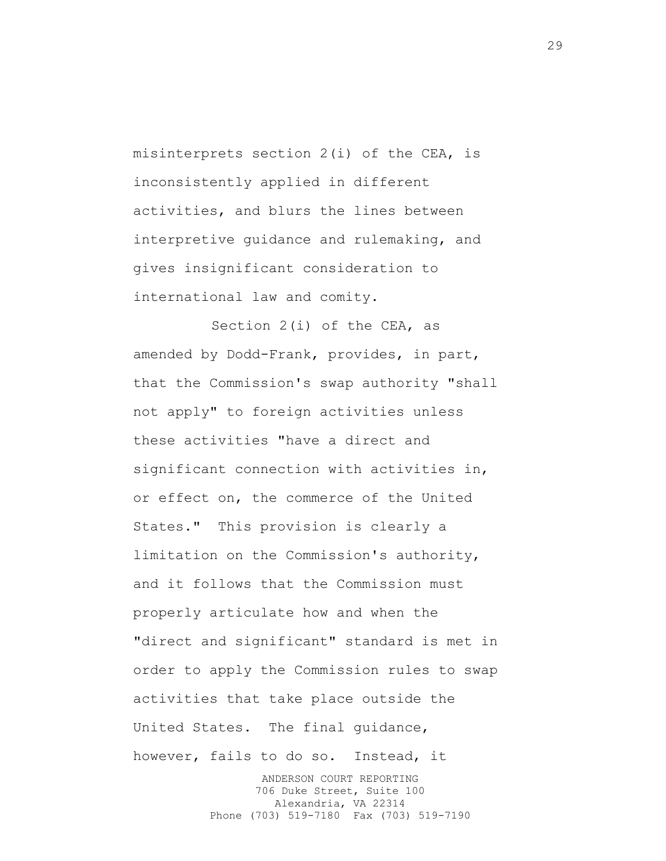misinterprets section 2(i) of the CEA, is inconsistently applied in different activities, and blurs the lines between interpretive guidance and rulemaking, and gives insignificant consideration to international law and comity.

Section 2(i) of the CEA, as amended by Dodd-Frank, provides, in part, that the Commission's swap authority "shall not apply" to foreign activities unless these activities "have a direct and significant connection with activities in, or effect on, the commerce of the United States." This provision is clearly a limitation on the Commission's authority, and it follows that the Commission must properly articulate how and when the "direct and significant" standard is met in order to apply the Commission rules to swap activities that take place outside the United States. The final guidance, however, fails to do so. Instead, it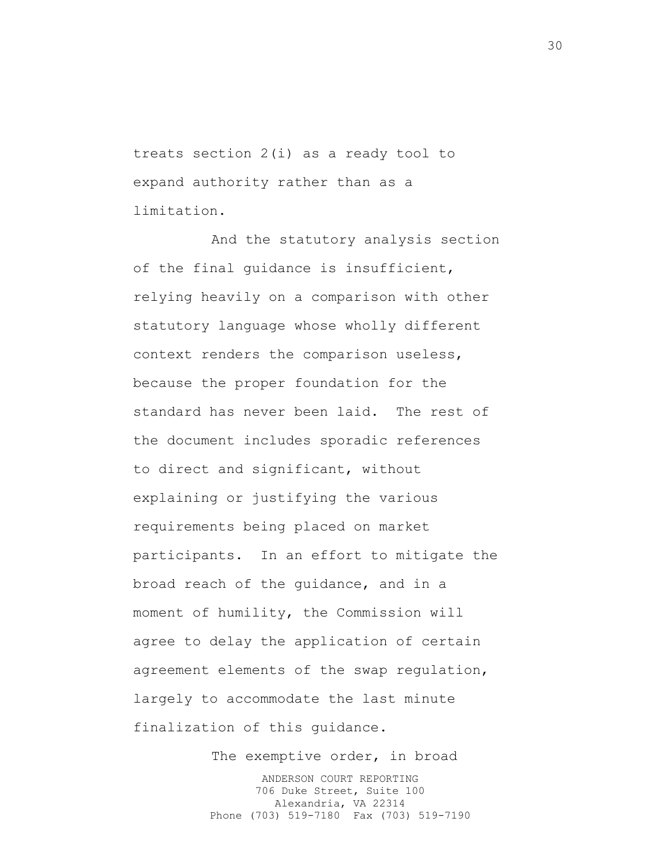treats section 2(i) as a ready tool to expand authority rather than as a limitation.

And the statutory analysis section of the final guidance is insufficient, relying heavily on a comparison with other statutory language whose wholly different context renders the comparison useless, because the proper foundation for the standard has never been laid. The rest of the document includes sporadic references to direct and significant, without explaining or justifying the various requirements being placed on market participants. In an effort to mitigate the broad reach of the guidance, and in a moment of humility, the Commission will agree to delay the application of certain agreement elements of the swap regulation, largely to accommodate the last minute finalization of this guidance.

> ANDERSON COURT REPORTING 706 Duke Street, Suite 100 Alexandria, VA 22314 Phone (703) 519-7180 Fax (703) 519-7190 The exemptive order, in broad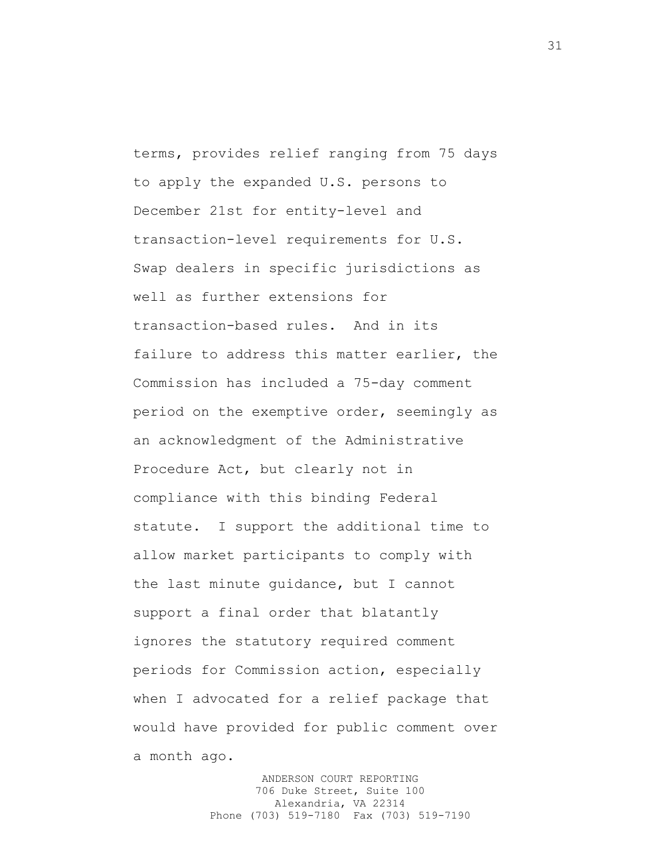terms, provides relief ranging from 75 days to apply the expanded U.S. persons to December 21st for entity-level and transaction-level requirements for U.S. Swap dealers in specific jurisdictions as well as further extensions for transaction-based rules. And in its failure to address this matter earlier, the Commission has included a 75-day comment period on the exemptive order, seemingly as an acknowledgment of the Administrative Procedure Act, but clearly not in compliance with this binding Federal statute. I support the additional time to allow market participants to comply with the last minute guidance, but I cannot support a final order that blatantly ignores the statutory required comment periods for Commission action, especially when I advocated for a relief package that would have provided for public comment over a month ago.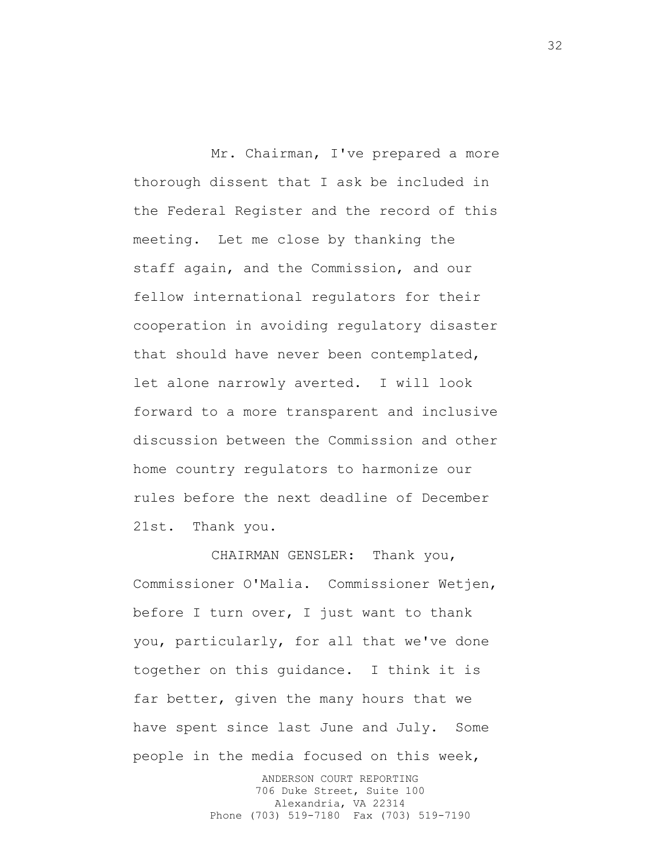Mr. Chairman, I've prepared a more thorough dissent that I ask be included in the Federal Register and the record of this meeting. Let me close by thanking the staff again, and the Commission, and our fellow international regulators for their cooperation in avoiding regulatory disaster that should have never been contemplated, let alone narrowly averted. I will look forward to a more transparent and inclusive discussion between the Commission and other home country regulators to harmonize our rules before the next deadline of December 21st. Thank you.

CHAIRMAN GENSLER: Thank you, Commissioner O'Malia. Commissioner Wetjen, before I turn over, I just want to thank you, particularly, for all that we've done together on this guidance. I think it is far better, given the many hours that we have spent since last June and July. Some people in the media focused on this week,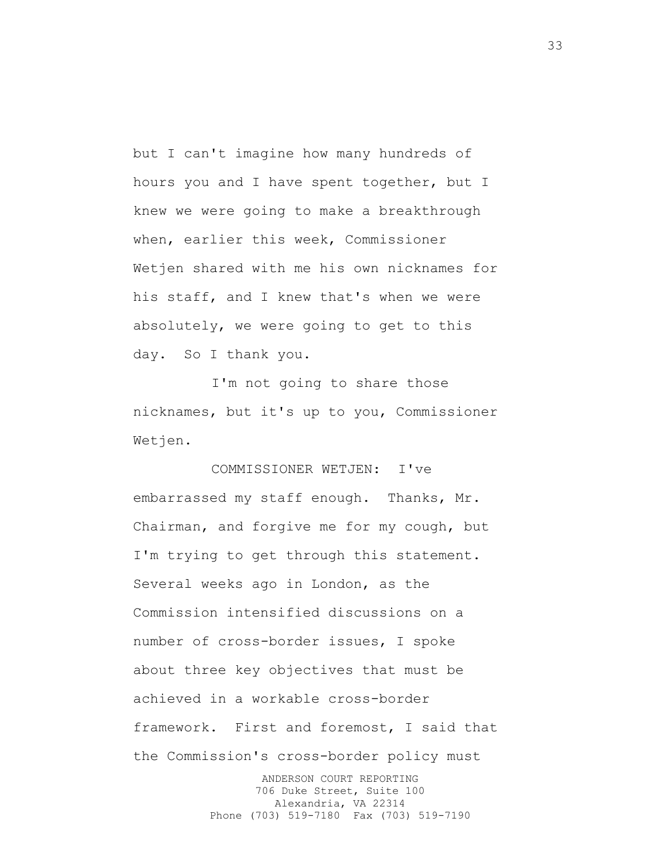but I can't imagine how many hundreds of hours you and I have spent together, but I knew we were going to make a breakthrough when, earlier this week, Commissioner Wetjen shared with me his own nicknames for his staff, and I knew that's when we were absolutely, we were going to get to this day. So I thank you.

I'm not going to share those nicknames, but it's up to you, Commissioner Wetjen.

COMMISSIONER WETJEN: I've embarrassed my staff enough. Thanks, Mr. Chairman, and forgive me for my cough, but I'm trying to get through this statement. Several weeks ago in London, as the Commission intensified discussions on a number of cross-border issues, I spoke about three key objectives that must be achieved in a workable cross-border framework. First and foremost, I said that the Commission's cross-border policy must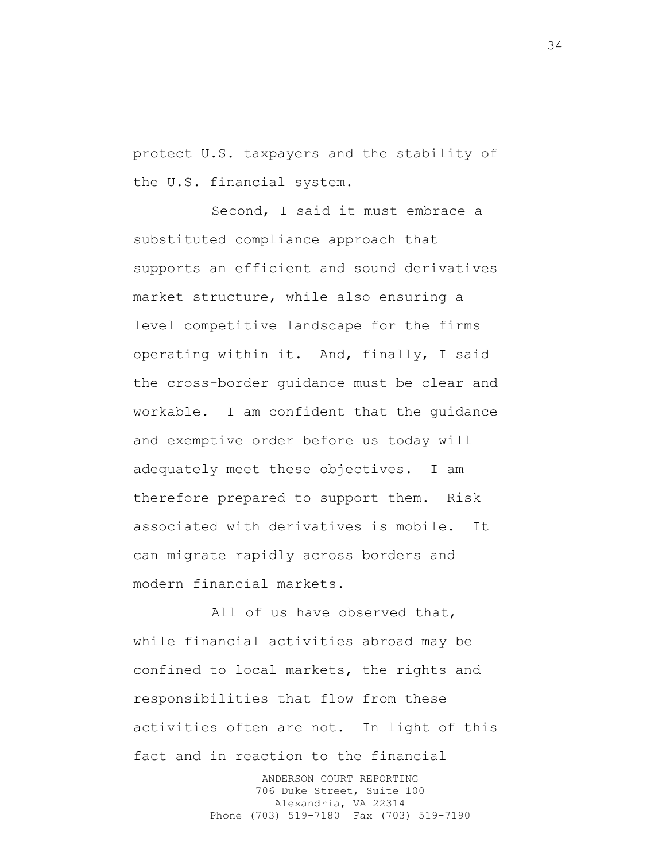protect U.S. taxpayers and the stability of the U.S. financial system.

Second, I said it must embrace a substituted compliance approach that supports an efficient and sound derivatives market structure, while also ensuring a level competitive landscape for the firms operating within it. And, finally, I said the cross-border guidance must be clear and workable. I am confident that the guidance and exemptive order before us today will adequately meet these objectives. I am therefore prepared to support them. Risk associated with derivatives is mobile. It can migrate rapidly across borders and modern financial markets.

All of us have observed that, while financial activities abroad may be confined to local markets, the rights and responsibilities that flow from these activities often are not. In light of this fact and in reaction to the financial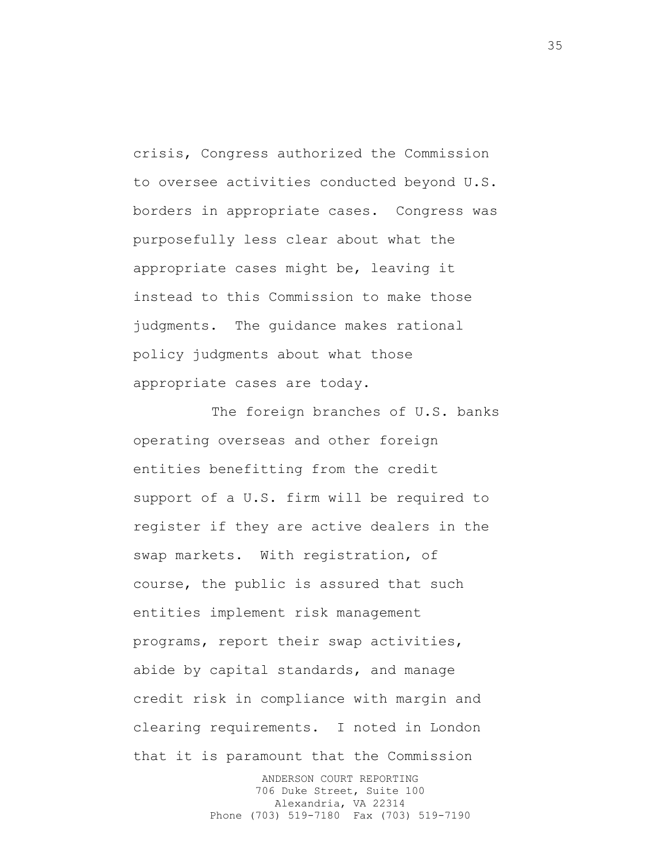crisis, Congress authorized the Commission to oversee activities conducted beyond U.S. borders in appropriate cases. Congress was purposefully less clear about what the appropriate cases might be, leaving it instead to this Commission to make those judgments. The guidance makes rational policy judgments about what those appropriate cases are today.

The foreign branches of U.S. banks operating overseas and other foreign entities benefitting from the credit support of a U.S. firm will be required to register if they are active dealers in the swap markets. With registration, of course, the public is assured that such entities implement risk management programs, report their swap activities, abide by capital standards, and manage credit risk in compliance with margin and clearing requirements. I noted in London that it is paramount that the Commission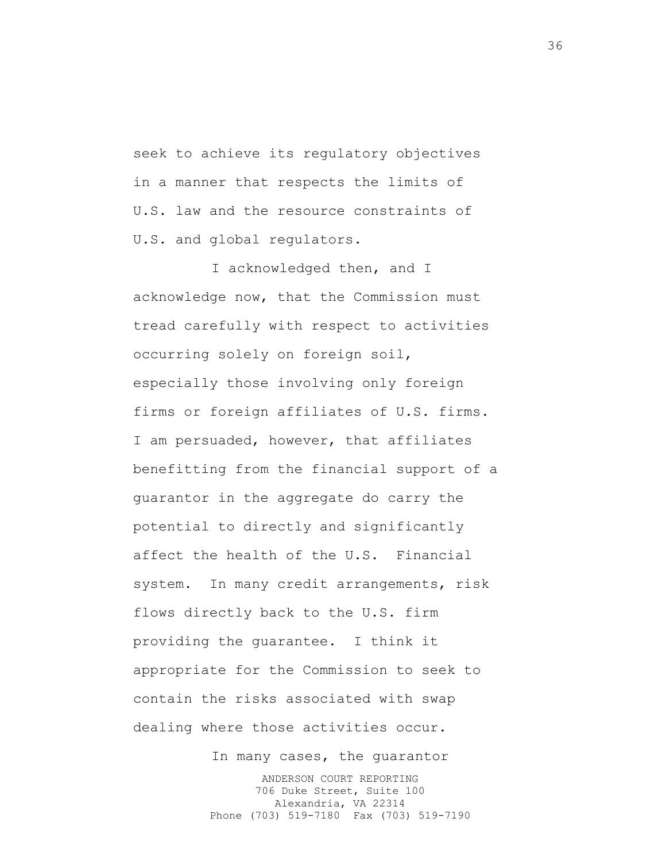seek to achieve its regulatory objectives in a manner that respects the limits of U.S. law and the resource constraints of U.S. and global regulators.

I acknowledged then, and I acknowledge now, that the Commission must tread carefully with respect to activities occurring solely on foreign soil, especially those involving only foreign firms or foreign affiliates of U.S. firms. I am persuaded, however, that affiliates benefitting from the financial support of a guarantor in the aggregate do carry the potential to directly and significantly affect the health of the U.S. Financial system. In many credit arrangements, risk flows directly back to the U.S. firm providing the guarantee. I think it appropriate for the Commission to seek to contain the risks associated with swap dealing where those activities occur.

> ANDERSON COURT REPORTING 706 Duke Street, Suite 100 Alexandria, VA 22314 Phone (703) 519-7180 Fax (703) 519-7190 In many cases, the guarantor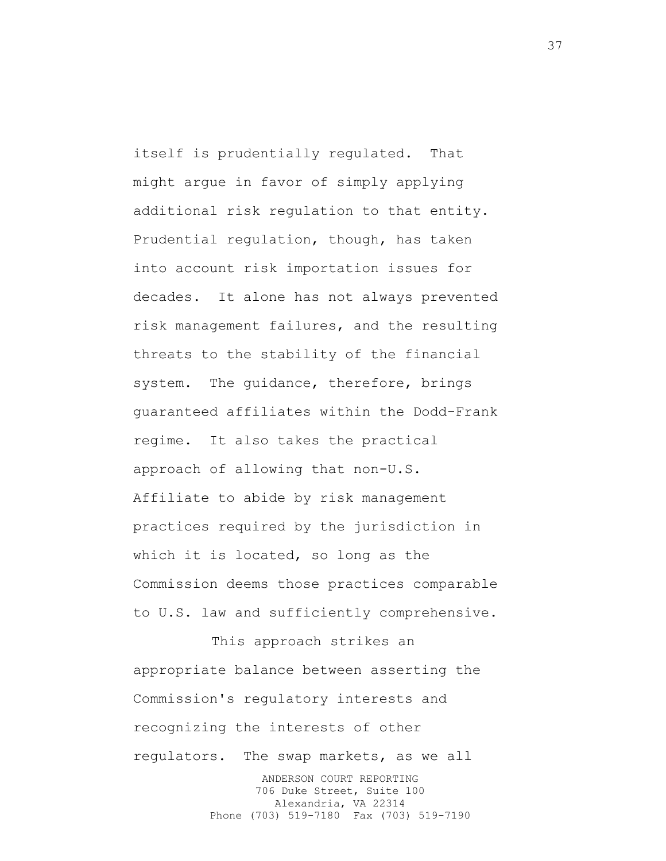itself is prudentially regulated. That might argue in favor of simply applying additional risk regulation to that entity. Prudential regulation, though, has taken into account risk importation issues for decades. It alone has not always prevented risk management failures, and the resulting threats to the stability of the financial system. The guidance, therefore, brings guaranteed affiliates within the Dodd-Frank regime. It also takes the practical approach of allowing that non-U.S. Affiliate to abide by risk management practices required by the jurisdiction in which it is located, so long as the Commission deems those practices comparable to U.S. law and sufficiently comprehensive.

ANDERSON COURT REPORTING 706 Duke Street, Suite 100 Alexandria, VA 22314 Phone (703) 519-7180 Fax (703) 519-7190 This approach strikes an appropriate balance between asserting the Commission's regulatory interests and recognizing the interests of other regulators. The swap markets, as we all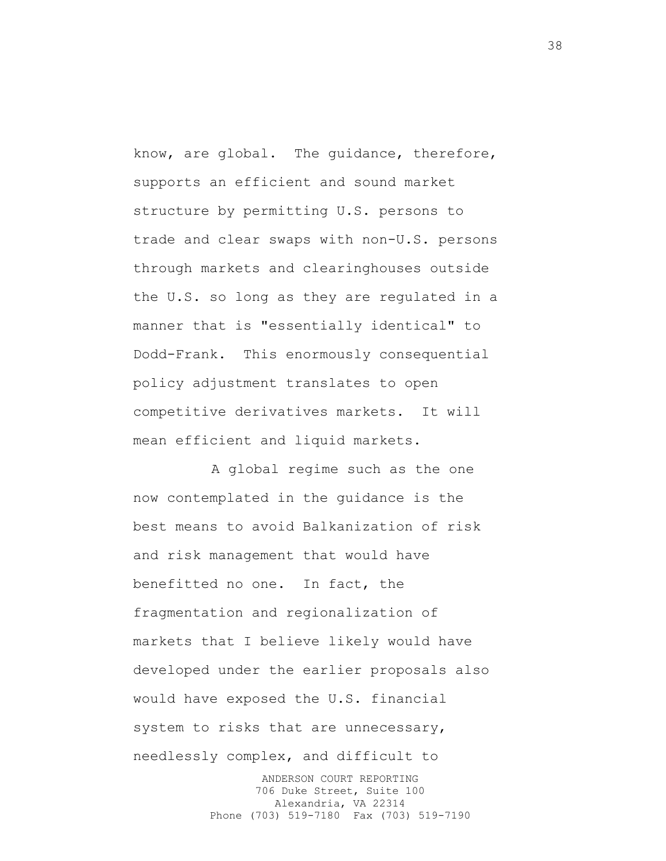know, are global. The guidance, therefore, supports an efficient and sound market structure by permitting U.S. persons to trade and clear swaps with non-U.S. persons through markets and clearinghouses outside the U.S. so long as they are regulated in a manner that is "essentially identical" to Dodd-Frank. This enormously consequential policy adjustment translates to open competitive derivatives markets. It will mean efficient and liquid markets.

A global regime such as the one now contemplated in the guidance is the best means to avoid Balkanization of risk and risk management that would have benefitted no one. In fact, the fragmentation and regionalization of markets that I believe likely would have developed under the earlier proposals also would have exposed the U.S. financial system to risks that are unnecessary, needlessly complex, and difficult to

> ANDERSON COURT REPORTING 706 Duke Street, Suite 100 Alexandria, VA 22314 Phone (703) 519-7180 Fax (703) 519-7190

38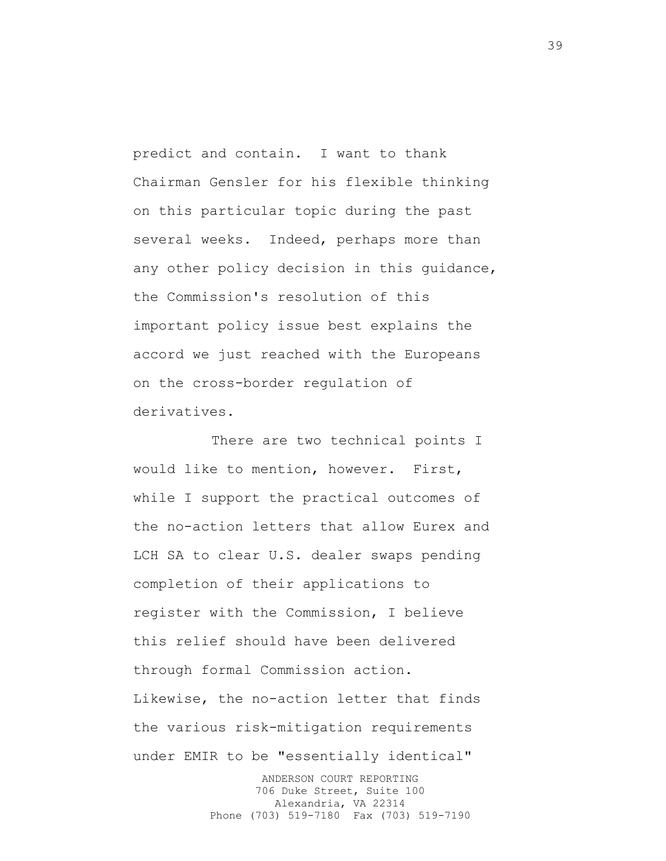predict and contain. I want to thank Chairman Gensler for his flexible thinking on this particular topic during the past several weeks. Indeed, perhaps more than any other policy decision in this guidance, the Commission's resolution of this important policy issue best explains the accord we just reached with the Europeans on the cross-border regulation of derivatives.

There are two technical points I would like to mention, however. First, while I support the practical outcomes of the no-action letters that allow Eurex and LCH SA to clear U.S. dealer swaps pending completion of their applications to register with the Commission, I believe this relief should have been delivered through formal Commission action. Likewise, the no-action letter that finds the various risk-mitigation requirements under EMIR to be "essentially identical"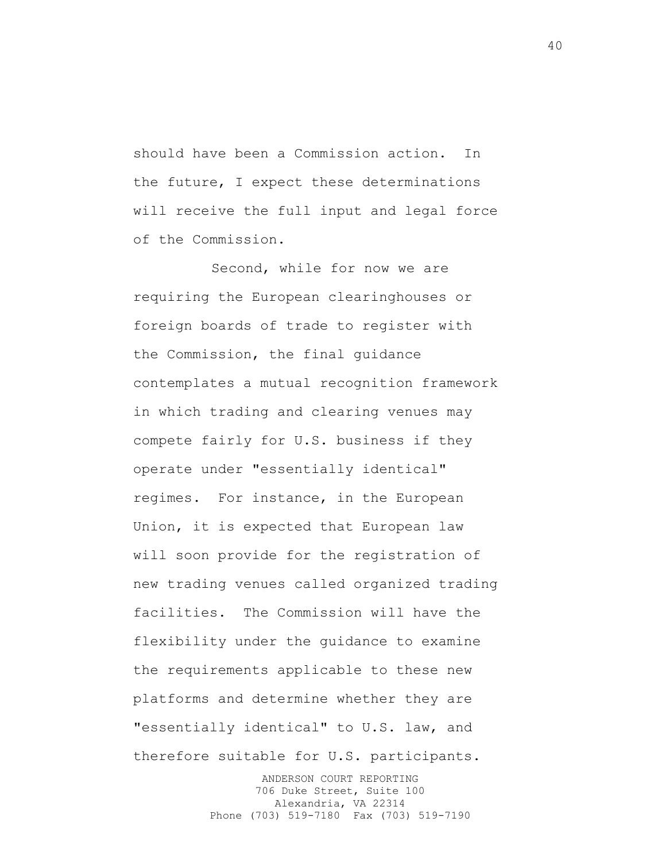should have been a Commission action. In the future, I expect these determinations will receive the full input and legal force of the Commission.

Second, while for now we are requiring the European clearinghouses or foreign boards of trade to register with the Commission, the final guidance contemplates a mutual recognition framework in which trading and clearing venues may compete fairly for U.S. business if they operate under "essentially identical" regimes. For instance, in the European Union, it is expected that European law will soon provide for the registration of new trading venues called organized trading facilities. The Commission will have the flexibility under the guidance to examine the requirements applicable to these new platforms and determine whether they are "essentially identical" to U.S. law, and therefore suitable for U.S. participants.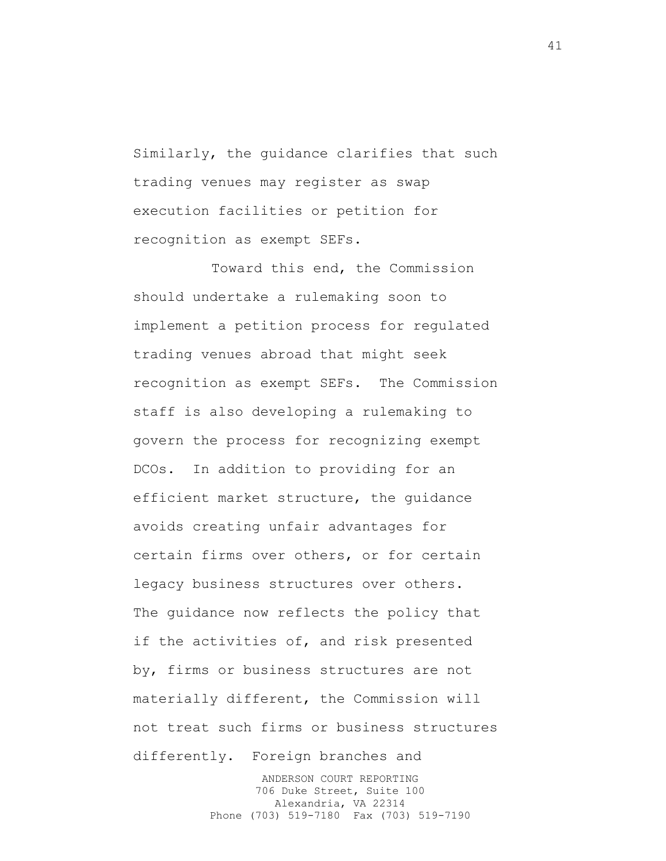Similarly, the guidance clarifies that such trading venues may register as swap execution facilities or petition for recognition as exempt SEFs.

Toward this end, the Commission should undertake a rulemaking soon to implement a petition process for regulated trading venues abroad that might seek recognition as exempt SEFs. The Commission staff is also developing a rulemaking to govern the process for recognizing exempt DCOs. In addition to providing for an efficient market structure, the guidance avoids creating unfair advantages for certain firms over others, or for certain legacy business structures over others. The guidance now reflects the policy that if the activities of, and risk presented by, firms or business structures are not materially different, the Commission will not treat such firms or business structures differently. Foreign branches and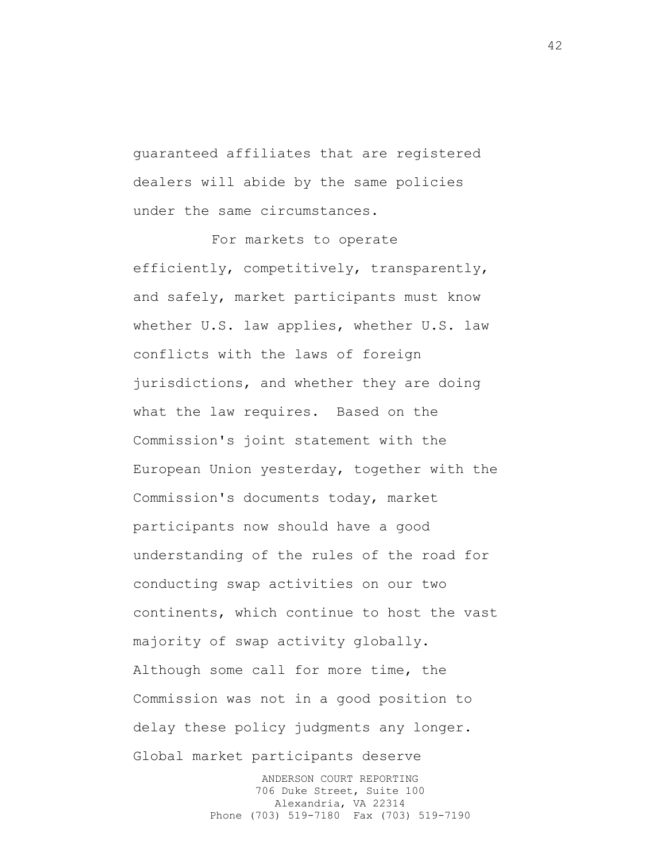guaranteed affiliates that are registered dealers will abide by the same policies under the same circumstances.

For markets to operate efficiently, competitively, transparently, and safely, market participants must know whether U.S. law applies, whether U.S. law conflicts with the laws of foreign jurisdictions, and whether they are doing what the law requires. Based on the Commission's joint statement with the European Union yesterday, together with the Commission's documents today, market participants now should have a good understanding of the rules of the road for conducting swap activities on our two continents, which continue to host the vast majority of swap activity globally. Although some call for more time, the Commission was not in a good position to delay these policy judgments any longer. Global market participants deserve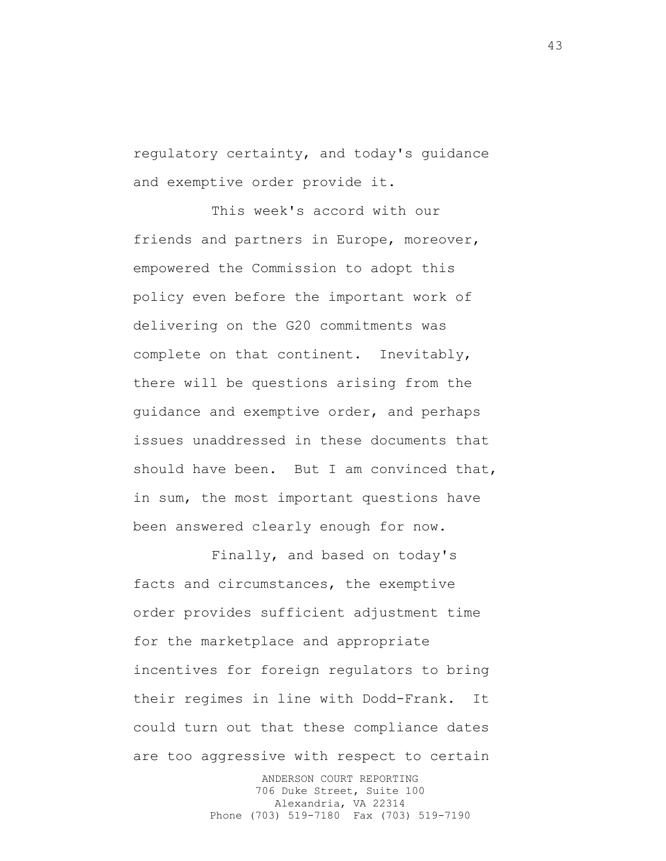regulatory certainty, and today's guidance and exemptive order provide it.

This week's accord with our friends and partners in Europe, moreover, empowered the Commission to adopt this policy even before the important work of delivering on the G20 commitments was complete on that continent. Inevitably, there will be questions arising from the guidance and exemptive order, and perhaps issues unaddressed in these documents that should have been. But I am convinced that, in sum, the most important questions have been answered clearly enough for now.

Finally, and based on today's facts and circumstances, the exemptive order provides sufficient adjustment time for the marketplace and appropriate incentives for foreign regulators to bring their regimes in line with Dodd-Frank. It could turn out that these compliance dates are too aggressive with respect to certain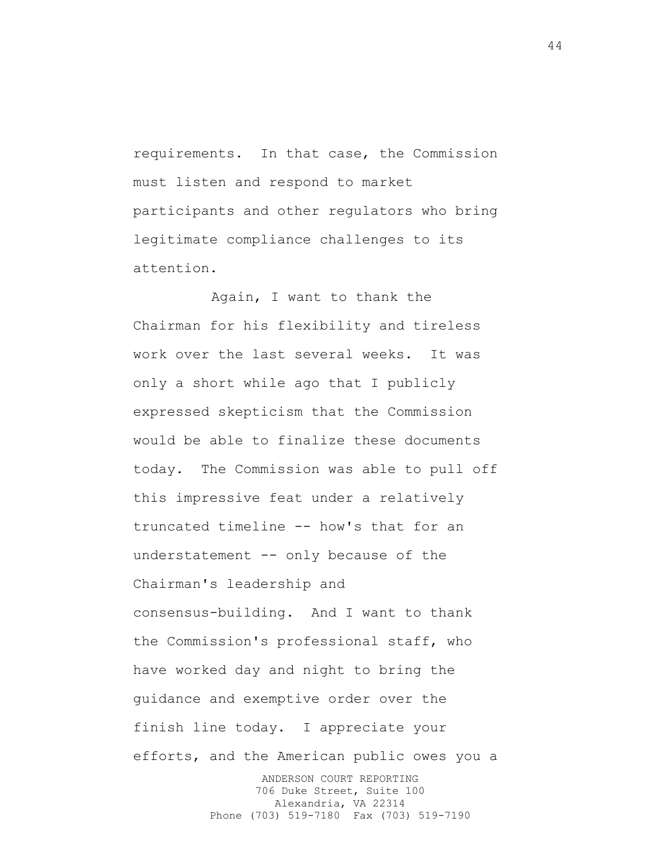requirements. In that case, the Commission must listen and respond to market participants and other regulators who bring legitimate compliance challenges to its attention.

Again, I want to thank the Chairman for his flexibility and tireless work over the last several weeks. It was only a short while ago that I publicly expressed skepticism that the Commission would be able to finalize these documents today. The Commission was able to pull off this impressive feat under a relatively truncated timeline -- how's that for an understatement -- only because of the Chairman's leadership and consensus-building. And I want to thank the Commission's professional staff, who have worked day and night to bring the guidance and exemptive order over the finish line today. I appreciate your efforts, and the American public owes you a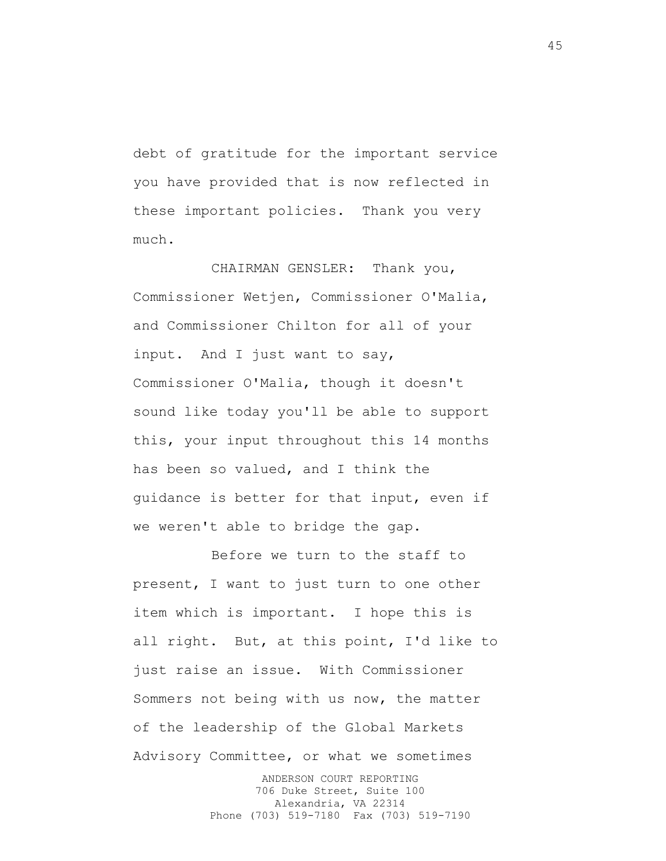debt of gratitude for the important service you have provided that is now reflected in these important policies. Thank you very much.

CHAIRMAN GENSLER: Thank you, Commissioner Wetjen, Commissioner O'Malia, and Commissioner Chilton for all of your input. And I just want to say, Commissioner O'Malia, though it doesn't sound like today you'll be able to support this, your input throughout this 14 months has been so valued, and I think the guidance is better for that input, even if we weren't able to bridge the gap.

Before we turn to the staff to present, I want to just turn to one other item which is important. I hope this is all right. But, at this point, I'd like to just raise an issue. With Commissioner Sommers not being with us now, the matter of the leadership of the Global Markets Advisory Committee, or what we sometimes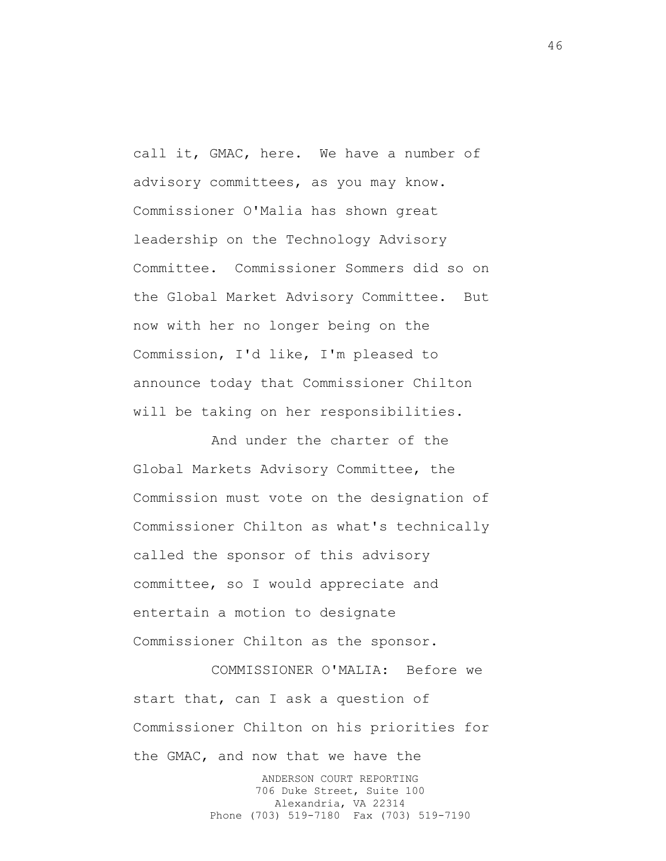call it, GMAC, here. We have a number of advisory committees, as you may know. Commissioner O'Malia has shown great leadership on the Technology Advisory Committee. Commissioner Sommers did so on the Global Market Advisory Committee. But now with her no longer being on the Commission, I'd like, I'm pleased to announce today that Commissioner Chilton will be taking on her responsibilities.

And under the charter of the Global Markets Advisory Committee, the Commission must vote on the designation of Commissioner Chilton as what's technically called the sponsor of this advisory committee, so I would appreciate and entertain a motion to designate Commissioner Chilton as the sponsor.

COMMISSIONER O'MALIA: Before we start that, can I ask a question of Commissioner Chilton on his priorities for the GMAC, and now that we have the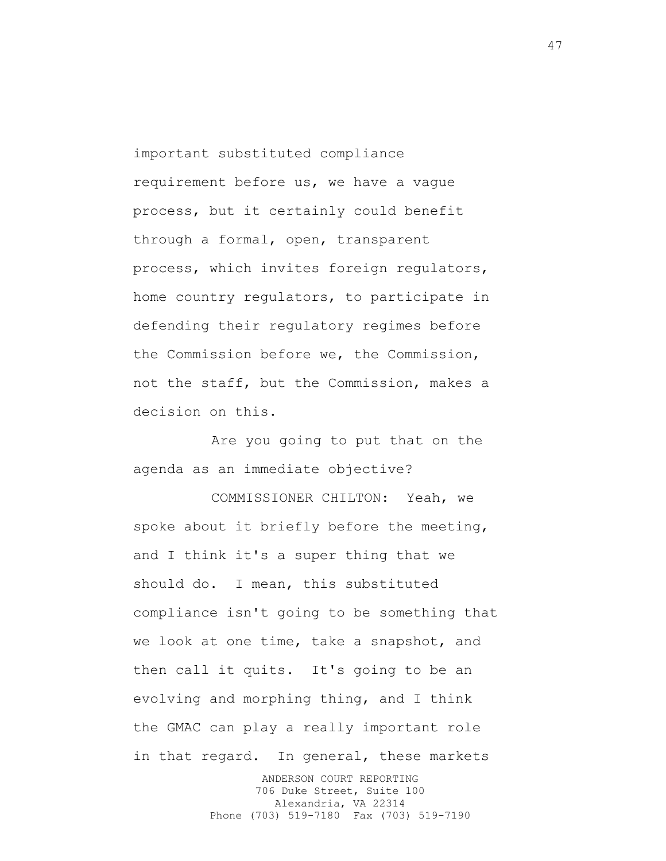important substituted compliance requirement before us, we have a vague process, but it certainly could benefit through a formal, open, transparent process, which invites foreign regulators, home country regulators, to participate in defending their regulatory regimes before the Commission before we, the Commission, not the staff, but the Commission, makes a decision on this.

Are you going to put that on the agenda as an immediate objective?

COMMISSIONER CHILTON: Yeah, we spoke about it briefly before the meeting, and I think it's a super thing that we should do. I mean, this substituted compliance isn't going to be something that we look at one time, take a snapshot, and then call it quits. It's going to be an evolving and morphing thing, and I think the GMAC can play a really important role in that regard. In general, these markets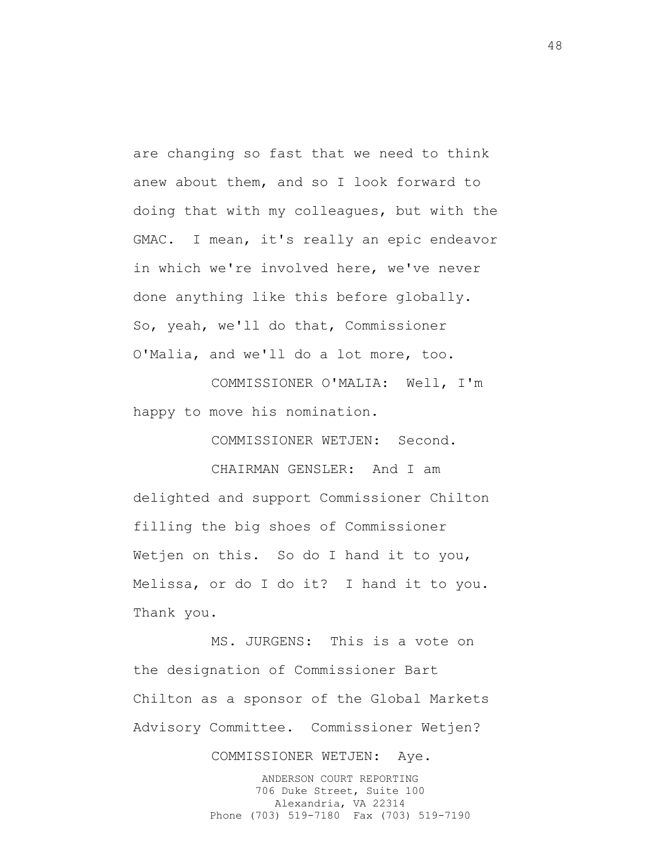are changing so fast that we need to think anew about them, and so I look forward to doing that with my colleagues, but with the GMAC. I mean, it's really an epic endeavor in which we're involved here, we've never done anything like this before globally. So, yeah, we'll do that, Commissioner O'Malia, and we'll do a lot more, too.

COMMISSIONER O'MALIA: Well, I'm happy to move his nomination.

COMMISSIONER WETJEN: Second.

CHAIRMAN GENSLER: And I am delighted and support Commissioner Chilton filling the big shoes of Commissioner Wetjen on this. So do I hand it to you, Melissa, or do I do it? I hand it to you. Thank you.

MS. JURGENS: This is a vote on the designation of Commissioner Bart Chilton as a sponsor of the Global Markets Advisory Committee. Commissioner Wetjen?

COMMISSIONER WETJEN: Aye.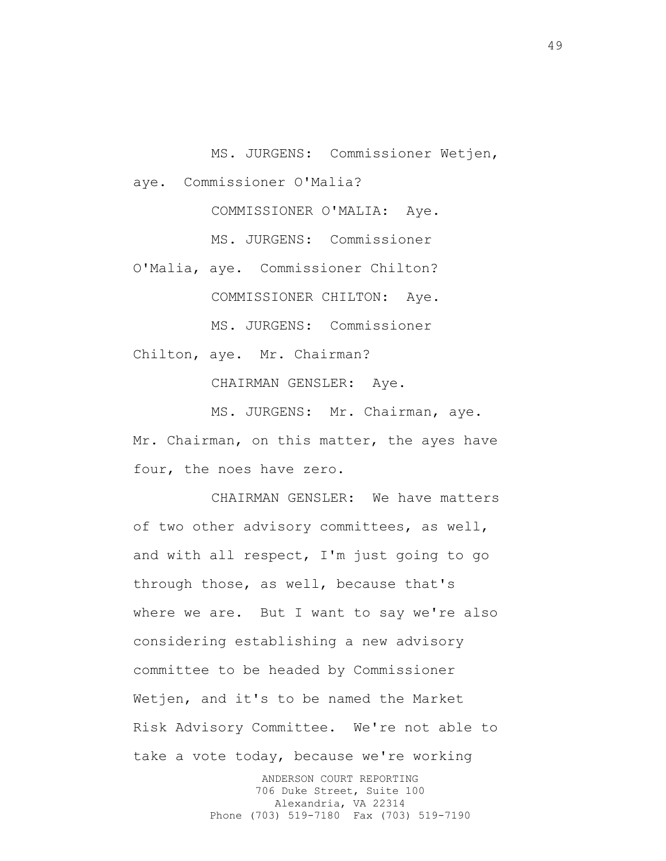MS. JURGENS: Commissioner Wetjen,

aye. Commissioner O'Malia?

COMMISSIONER O'MALIA: Aye.

MS. JURGENS: Commissioner

O'Malia, aye. Commissioner Chilton?

COMMISSIONER CHILTON: Aye.

MS. JURGENS: Commissioner

Chilton, aye. Mr. Chairman?

CHAIRMAN GENSLER: Aye.

MS. JURGENS: Mr. Chairman, aye. Mr. Chairman, on this matter, the ayes have four, the noes have zero.

CHAIRMAN GENSLER: We have matters of two other advisory committees, as well, and with all respect, I'm just going to go through those, as well, because that's where we are. But I want to say we're also considering establishing a new advisory committee to be headed by Commissioner Wetjen, and it's to be named the Market Risk Advisory Committee. We're not able to take a vote today, because we're working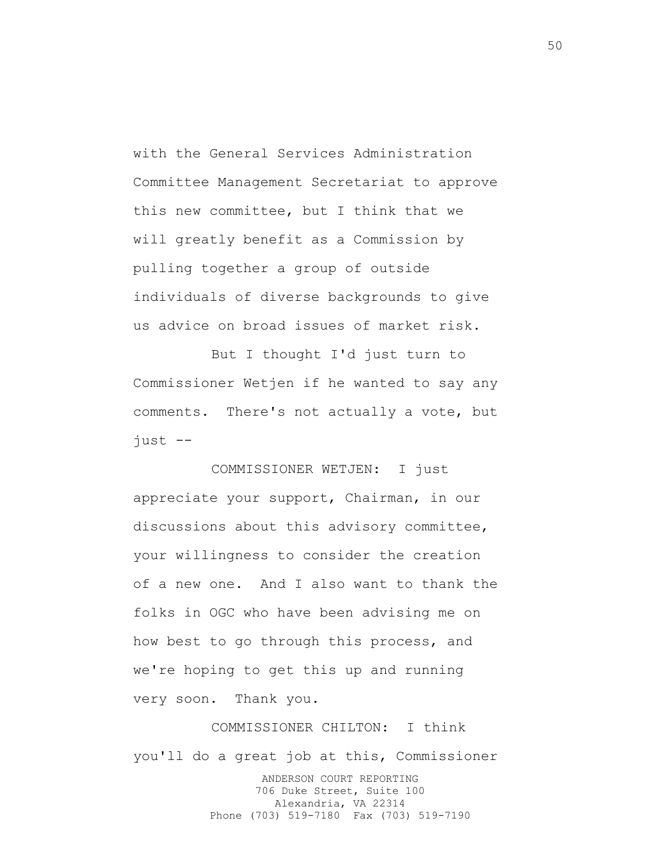with the General Services Administration Committee Management Secretariat to approve this new committee, but I think that we will greatly benefit as a Commission by pulling together a group of outside individuals of diverse backgrounds to give us advice on broad issues of market risk.

But I thought I'd just turn to Commissioner Wetjen if he wanted to say any comments. There's not actually a vote, but just --

COMMISSIONER WETJEN: I just appreciate your support, Chairman, in our discussions about this advisory committee, your willingness to consider the creation of a new one. And I also want to thank the folks in OGC who have been advising me on how best to go through this process, and we're hoping to get this up and running very soon. Thank you.

ANDERSON COURT REPORTING 706 Duke Street, Suite 100 Alexandria, VA 22314 Phone (703) 519-7180 Fax (703) 519-7190 COMMISSIONER CHILTON: I think you'll do a great job at this, Commissioner 50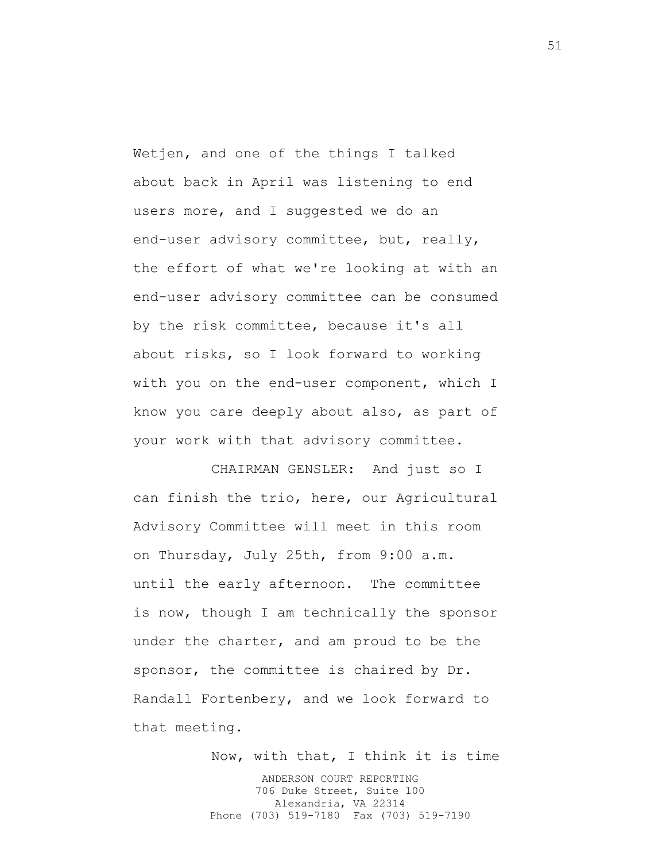Wetjen, and one of the things I talked about back in April was listening to end users more, and I suggested we do an end-user advisory committee, but, really, the effort of what we're looking at with an end-user advisory committee can be consumed by the risk committee, because it's all about risks, so I look forward to working with you on the end-user component, which I know you care deeply about also, as part of your work with that advisory committee.

CHAIRMAN GENSLER: And just so I can finish the trio, here, our Agricultural Advisory Committee will meet in this room on Thursday, July 25th, from 9:00 a.m. until the early afternoon. The committee is now, though I am technically the sponsor under the charter, and am proud to be the sponsor, the committee is chaired by Dr. Randall Fortenbery, and we look forward to that meeting.

> ANDERSON COURT REPORTING 706 Duke Street, Suite 100 Alexandria, VA 22314 Phone (703) 519-7180 Fax (703) 519-7190 Now, with that, I think it is time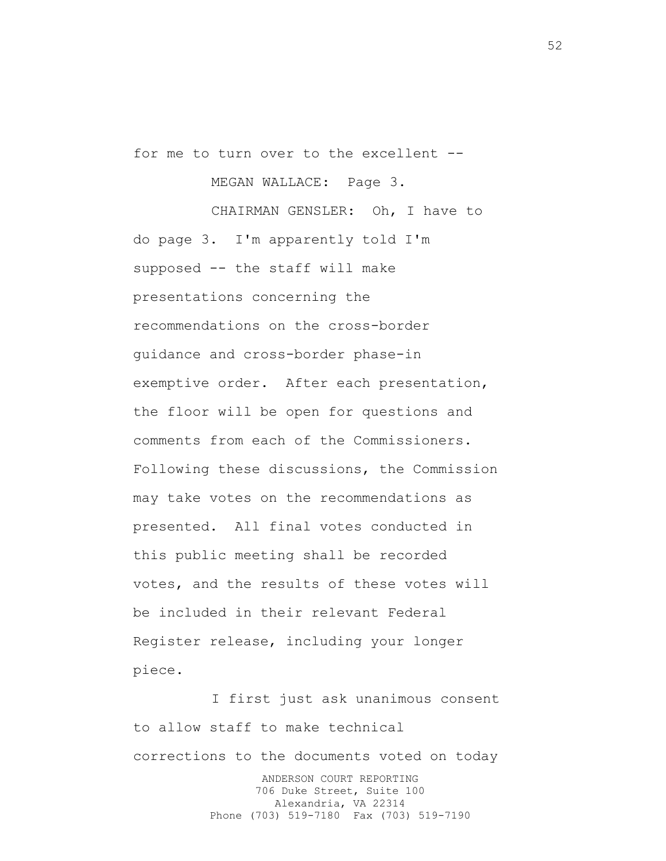for me to turn over to the excellent --

MEGAN WALLACE: Page 3.

CHAIRMAN GENSLER: Oh, I have to do page 3. I'm apparently told I'm supposed -- the staff will make presentations concerning the recommendations on the cross-border guidance and cross-border phase-in exemptive order. After each presentation, the floor will be open for questions and comments from each of the Commissioners. Following these discussions, the Commission may take votes on the recommendations as presented. All final votes conducted in this public meeting shall be recorded votes, and the results of these votes will be included in their relevant Federal Register release, including your longer piece.

ANDERSON COURT REPORTING 706 Duke Street, Suite 100 Alexandria, VA 22314 Phone (703) 519-7180 Fax (703) 519-7190 I first just ask unanimous consent to allow staff to make technical corrections to the documents voted on today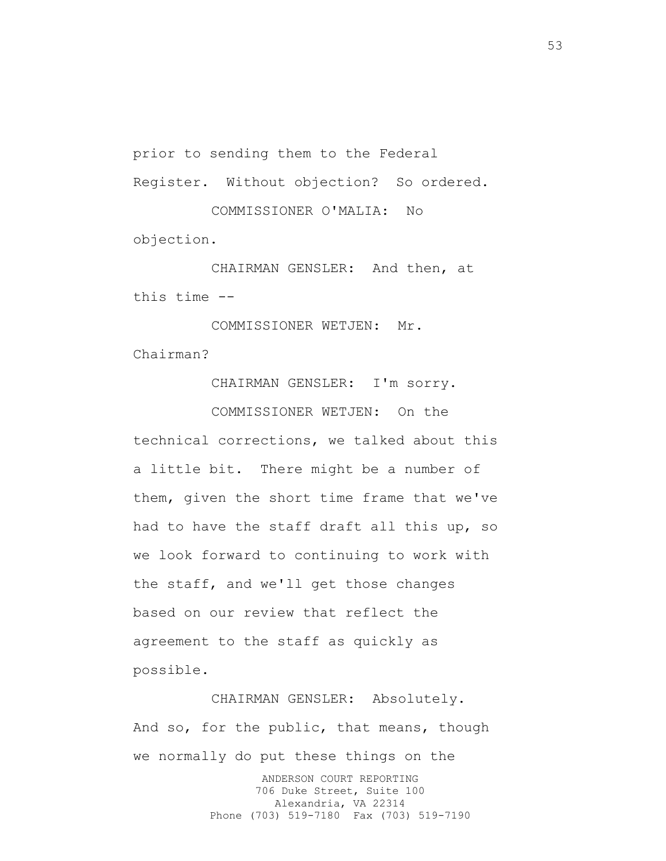prior to sending them to the Federal Register. Without objection? So ordered. COMMISSIONER O'MALIA: No

objection.

CHAIRMAN GENSLER: And then, at this time --

COMMISSIONER WETJEN: Mr. Chairman?

CHAIRMAN GENSLER: I'm sorry.

COMMISSIONER WETJEN: On the technical corrections, we talked about this a little bit. There might be a number of them, given the short time frame that we've had to have the staff draft all this up, so we look forward to continuing to work with the staff, and we'll get those changes based on our review that reflect the agreement to the staff as quickly as possible.

ANDERSON COURT REPORTING 706 Duke Street, Suite 100 Alexandria, VA 22314 Phone (703) 519-7180 Fax (703) 519-7190 CHAIRMAN GENSLER: Absolutely. And so, for the public, that means, though we normally do put these things on the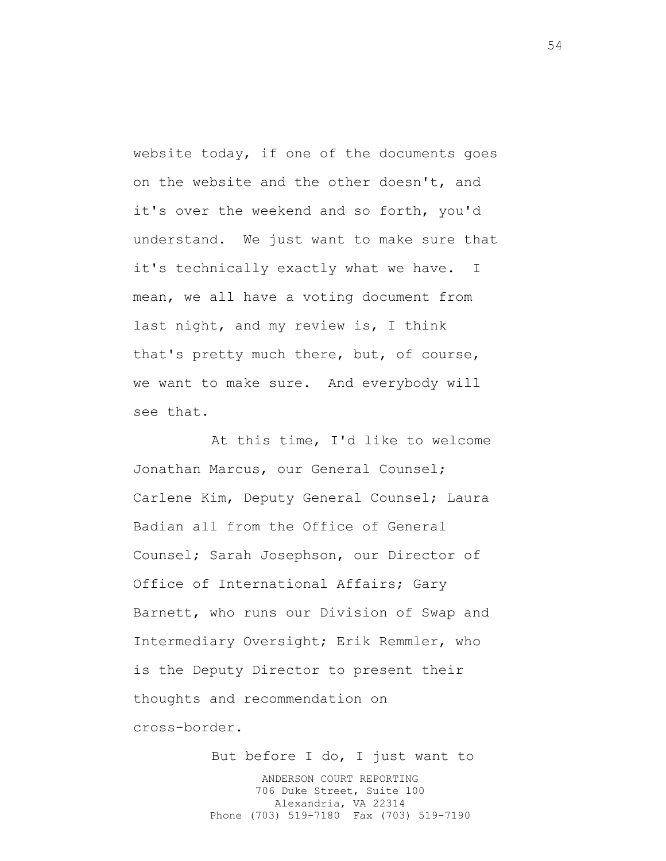website today, if one of the documents goes on the website and the other doesn't, and it's over the weekend and so forth, you'd understand. We just want to make sure that it's technically exactly what we have. I mean, we all have a voting document from last night, and my review is, I think that's pretty much there, but, of course, we want to make sure. And everybody will see that.

At this time, I'd like to welcome Jonathan Marcus, our General Counsel; Carlene Kim, Deputy General Counsel; Laura Badian all from the Office of General Counsel; Sarah Josephson, our Director of Office of International Affairs; Gary Barnett, who runs our Division of Swap and Intermediary Oversight; Erik Remmler, who is the Deputy Director to present their thoughts and recommendation on cross-border.

> ANDERSON COURT REPORTING 706 Duke Street, Suite 100 Alexandria, VA 22314 Phone (703) 519-7180 Fax (703) 519-7190 But before I do, I just want to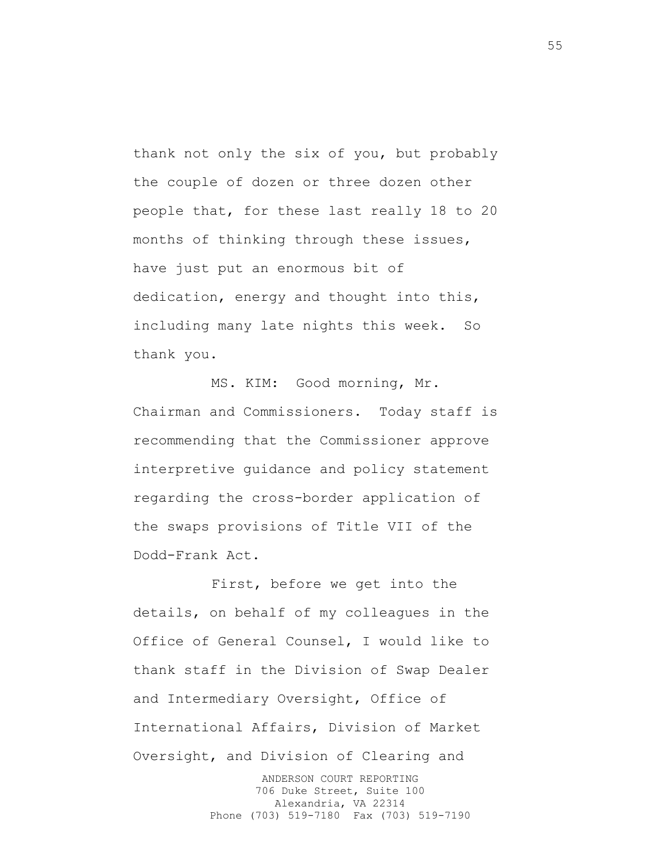thank not only the six of you, but probably the couple of dozen or three dozen other people that, for these last really 18 to 20 months of thinking through these issues, have just put an enormous bit of dedication, energy and thought into this, including many late nights this week. So thank you.

MS. KIM: Good morning, Mr. Chairman and Commissioners. Today staff is recommending that the Commissioner approve interpretive guidance and policy statement regarding the cross-border application of the swaps provisions of Title VII of the Dodd-Frank Act.

First, before we get into the details, on behalf of my colleagues in the Office of General Counsel, I would like to thank staff in the Division of Swap Dealer and Intermediary Oversight, Office of International Affairs, Division of Market Oversight, and Division of Clearing and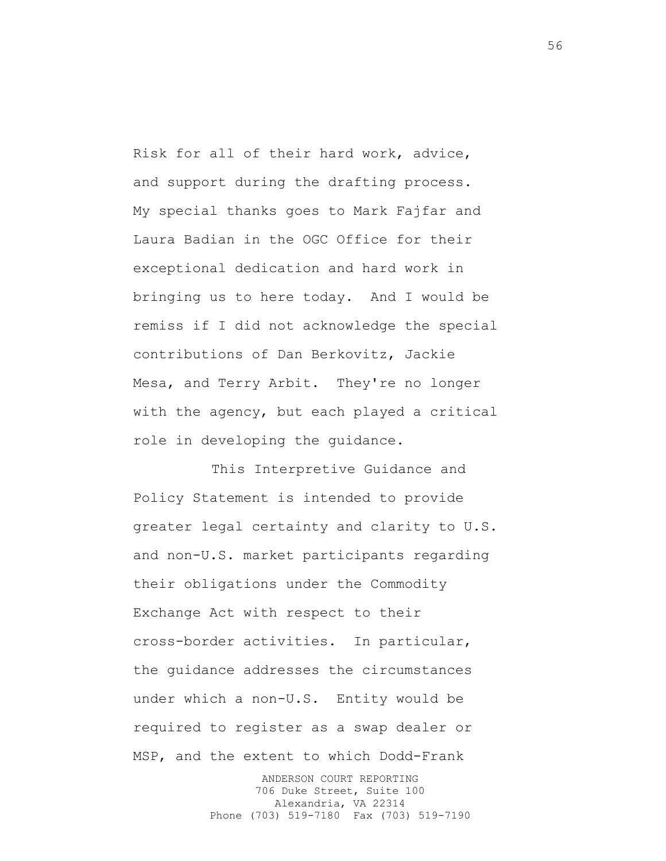Risk for all of their hard work, advice, and support during the drafting process. My special thanks goes to Mark Fajfar and Laura Badian in the OGC Office for their exceptional dedication and hard work in bringing us to here today. And I would be remiss if I did not acknowledge the special contributions of Dan Berkovitz, Jackie Mesa, and Terry Arbit. They're no longer with the agency, but each played a critical role in developing the guidance.

This Interpretive Guidance and Policy Statement is intended to provide greater legal certainty and clarity to U.S. and non-U.S. market participants regarding their obligations under the Commodity Exchange Act with respect to their cross-border activities. In particular, the guidance addresses the circumstances under which a non-U.S. Entity would be required to register as a swap dealer or MSP, and the extent to which Dodd-Frank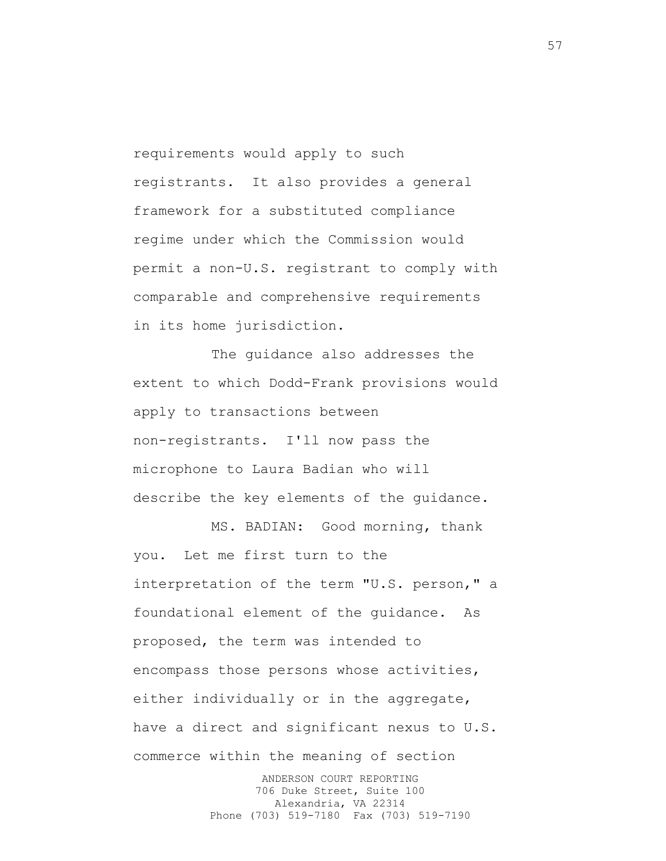requirements would apply to such registrants. It also provides a general framework for a substituted compliance regime under which the Commission would permit a non-U.S. registrant to comply with comparable and comprehensive requirements in its home jurisdiction.

The guidance also addresses the extent to which Dodd-Frank provisions would apply to transactions between non-registrants. I'll now pass the microphone to Laura Badian who will describe the key elements of the guidance.

MS. BADIAN: Good morning, thank you. Let me first turn to the interpretation of the term "U.S. person," a foundational element of the guidance. As proposed, the term was intended to encompass those persons whose activities, either individually or in the aggregate, have a direct and significant nexus to U.S. commerce within the meaning of section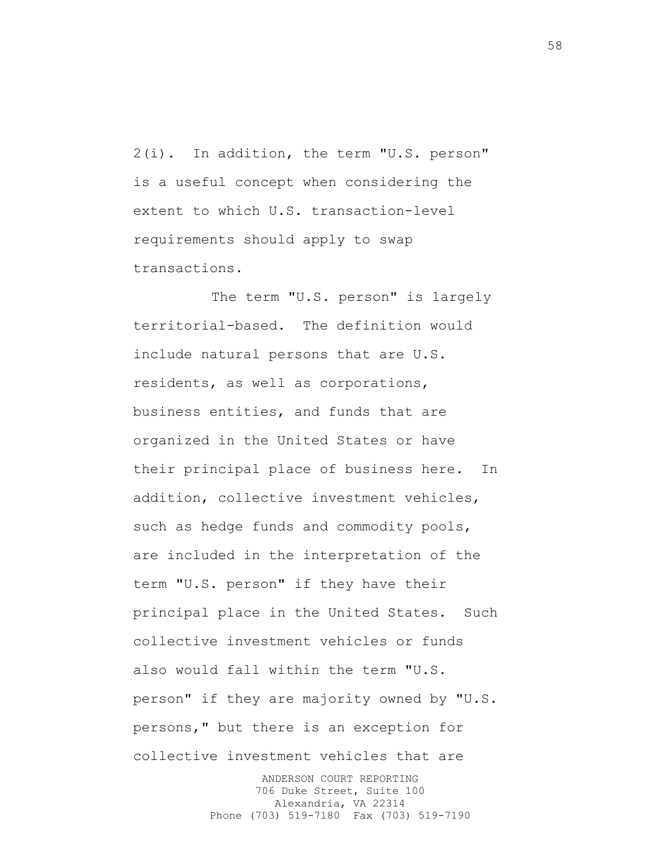2(i). In addition, the term "U.S. person" is a useful concept when considering the extent to which U.S. transaction-level requirements should apply to swap transactions.

The term "U.S. person" is largely territorial-based. The definition would include natural persons that are U.S. residents, as well as corporations, business entities, and funds that are organized in the United States or have their principal place of business here. In addition, collective investment vehicles, such as hedge funds and commodity pools, are included in the interpretation of the term "U.S. person" if they have their principal place in the United States. Such collective investment vehicles or funds also would fall within the term "U.S. person" if they are majority owned by "U.S. persons," but there is an exception for collective investment vehicles that are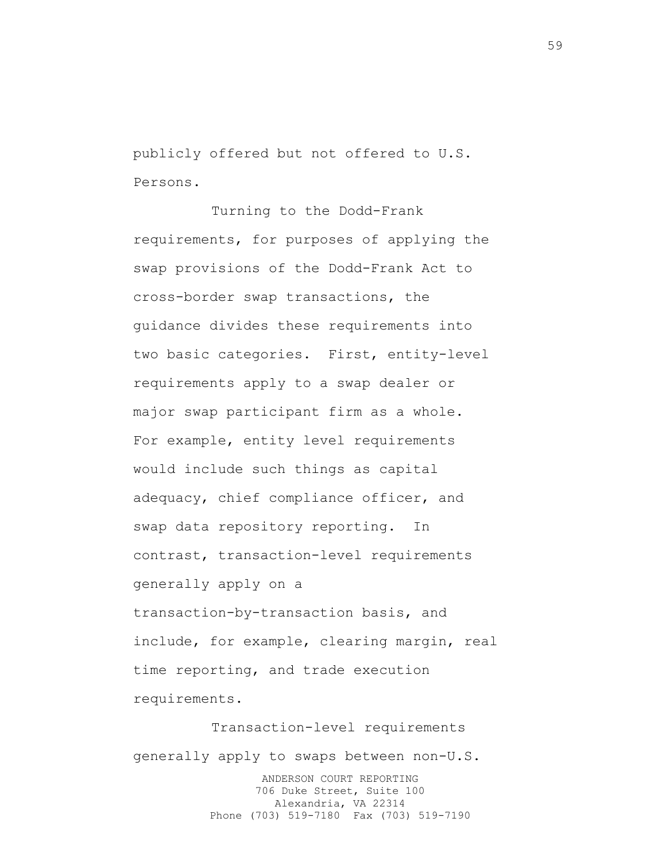publicly offered but not offered to U.S. Persons.

Turning to the Dodd-Frank requirements, for purposes of applying the swap provisions of the Dodd-Frank Act to cross-border swap transactions, the guidance divides these requirements into two basic categories. First, entity-level requirements apply to a swap dealer or major swap participant firm as a whole. For example, entity level requirements would include such things as capital adequacy, chief compliance officer, and swap data repository reporting. In contrast, transaction-level requirements generally apply on a transaction-by-transaction basis, and include, for example, clearing margin, real time reporting, and trade execution requirements.

ANDERSON COURT REPORTING 706 Duke Street, Suite 100 Alexandria, VA 22314 Phone (703) 519-7180 Fax (703) 519-7190 Transaction-level requirements generally apply to swaps between non-U.S.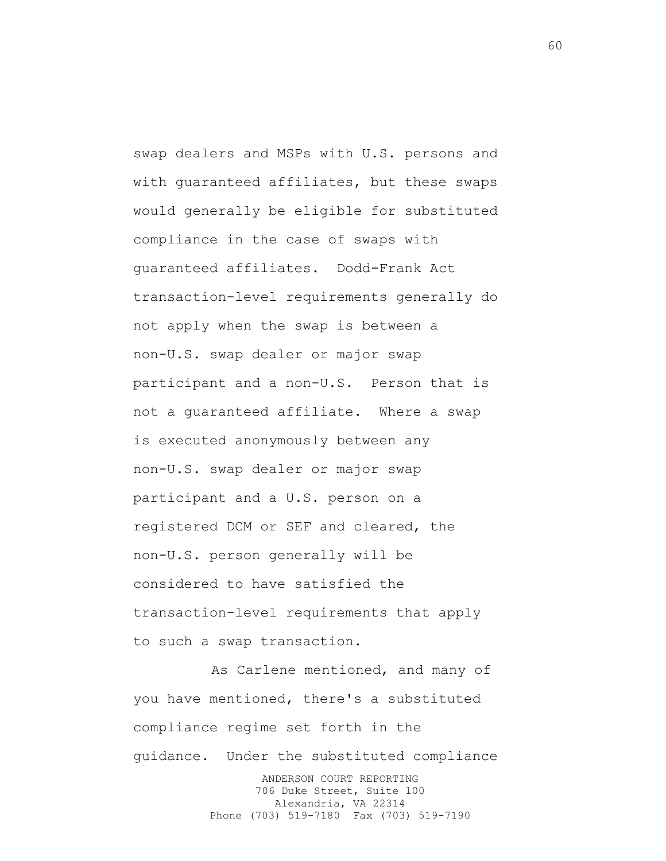swap dealers and MSPs with U.S. persons and with guaranteed affiliates, but these swaps would generally be eligible for substituted compliance in the case of swaps with guaranteed affiliates. Dodd-Frank Act transaction-level requirements generally do not apply when the swap is between a non-U.S. swap dealer or major swap participant and a non-U.S. Person that is not a guaranteed affiliate. Where a swap is executed anonymously between any non-U.S. swap dealer or major swap participant and a U.S. person on a registered DCM or SEF and cleared, the non-U.S. person generally will be considered to have satisfied the transaction-level requirements that apply to such a swap transaction.

ANDERSON COURT REPORTING 706 Duke Street, Suite 100 As Carlene mentioned, and many of you have mentioned, there's a substituted compliance regime set forth in the guidance. Under the substituted compliance

Alexandria, VA 22314 Phone (703) 519-7180 Fax (703) 519-7190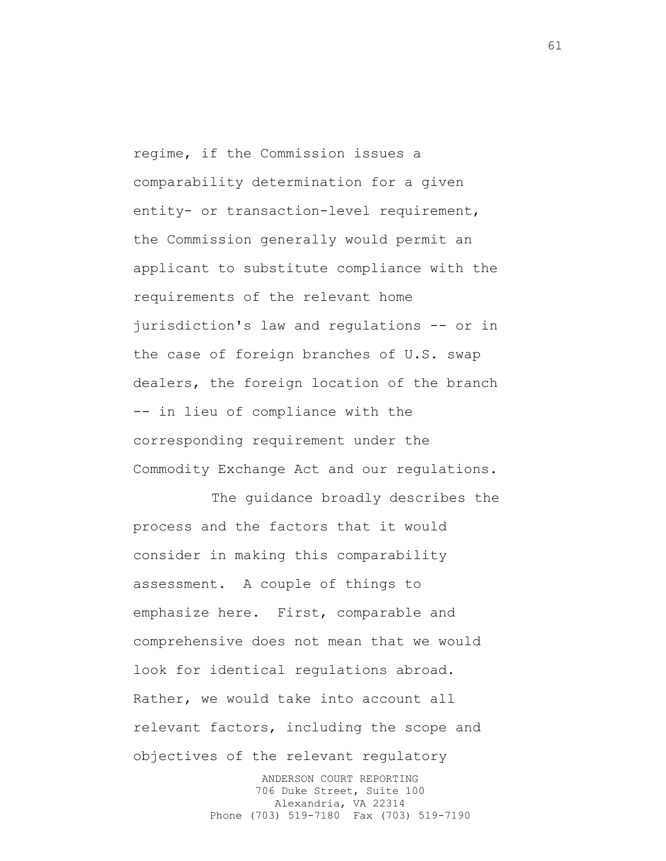regime, if the Commission issues a comparability determination for a given entity- or transaction-level requirement, the Commission generally would permit an applicant to substitute compliance with the requirements of the relevant home jurisdiction's law and regulations -- or in the case of foreign branches of U.S. swap dealers, the foreign location of the branch -- in lieu of compliance with the corresponding requirement under the Commodity Exchange Act and our regulations.

The guidance broadly describes the process and the factors that it would consider in making this comparability assessment. A couple of things to emphasize here. First, comparable and comprehensive does not mean that we would look for identical regulations abroad. Rather, we would take into account all relevant factors, including the scope and objectives of the relevant regulatory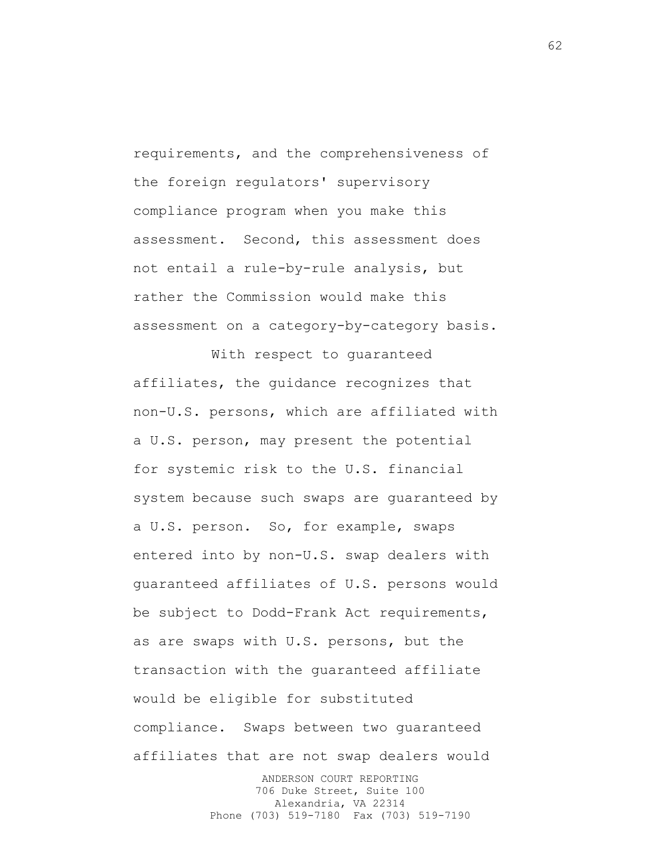requirements, and the comprehensiveness of the foreign regulators' supervisory compliance program when you make this assessment. Second, this assessment does not entail a rule-by-rule analysis, but rather the Commission would make this assessment on a category-by-category basis.

With respect to guaranteed affiliates, the guidance recognizes that non-U.S. persons, which are affiliated with a U.S. person, may present the potential for systemic risk to the U.S. financial system because such swaps are guaranteed by a U.S. person. So, for example, swaps entered into by non-U.S. swap dealers with guaranteed affiliates of U.S. persons would be subject to Dodd-Frank Act requirements, as are swaps with U.S. persons, but the transaction with the guaranteed affiliate would be eligible for substituted compliance. Swaps between two guaranteed affiliates that are not swap dealers would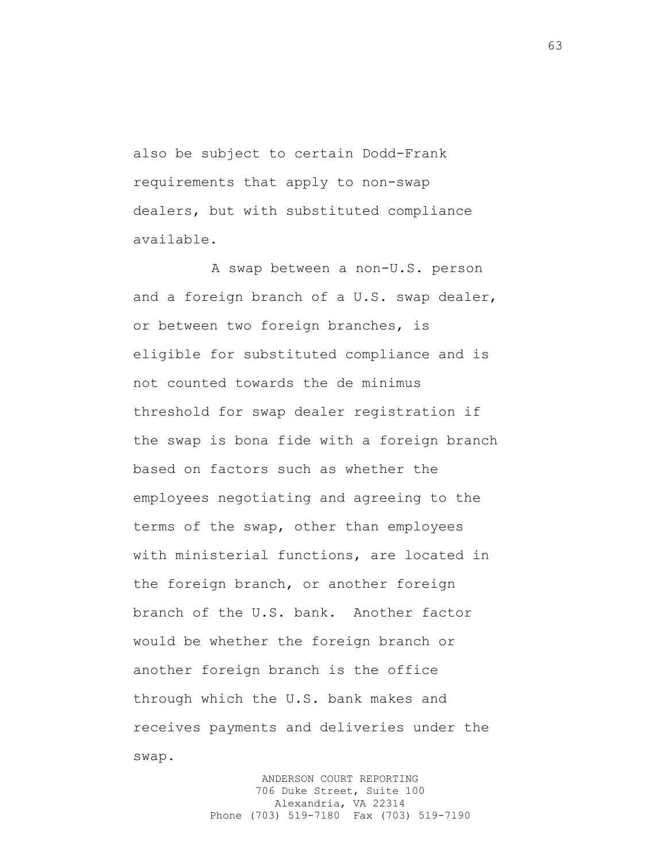also be subject to certain Dodd-Frank requirements that apply to non-swap dealers, but with substituted compliance available.

A swap between a non-U.S. person and a foreign branch of a U.S. swap dealer, or between two foreign branches, is eligible for substituted compliance and is not counted towards the de minimus threshold for swap dealer registration if the swap is bona fide with a foreign branch based on factors such as whether the employees negotiating and agreeing to the terms of the swap, other than employees with ministerial functions, are located in the foreign branch, or another foreign branch of the U.S. bank. Another factor would be whether the foreign branch or another foreign branch is the office through which the U.S. bank makes and receives payments and deliveries under the swap.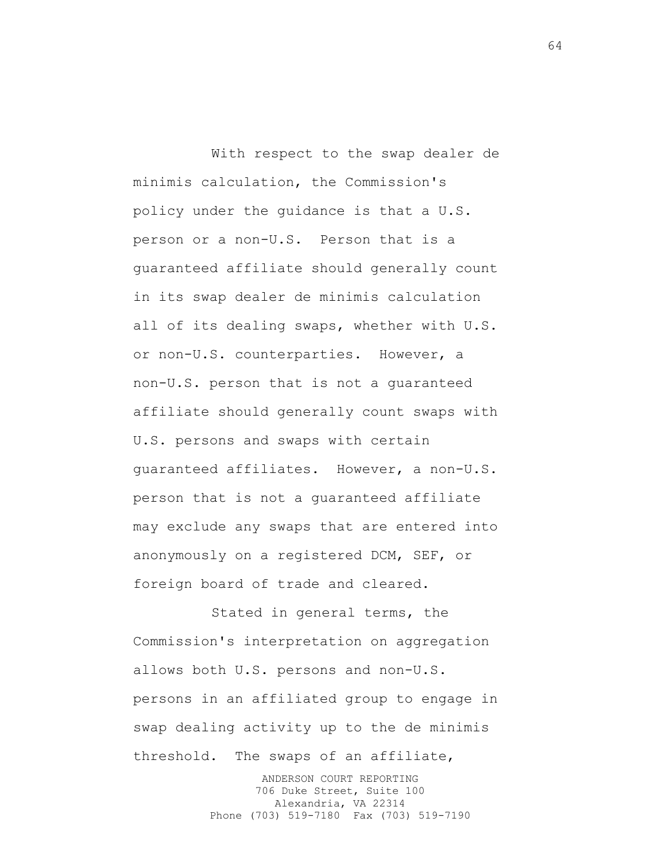With respect to the swap dealer de minimis calculation, the Commission's policy under the guidance is that a U.S. person or a non-U.S. Person that is a guaranteed affiliate should generally count in its swap dealer de minimis calculation all of its dealing swaps, whether with U.S. or non-U.S. counterparties. However, a non-U.S. person that is not a guaranteed affiliate should generally count swaps with U.S. persons and swaps with certain guaranteed affiliates. However, a non-U.S. person that is not a guaranteed affiliate may exclude any swaps that are entered into anonymously on a registered DCM, SEF, or foreign board of trade and cleared.

Stated in general terms, the Commission's interpretation on aggregation allows both U.S. persons and non-U.S. persons in an affiliated group to engage in swap dealing activity up to the de minimis threshold. The swaps of an affiliate,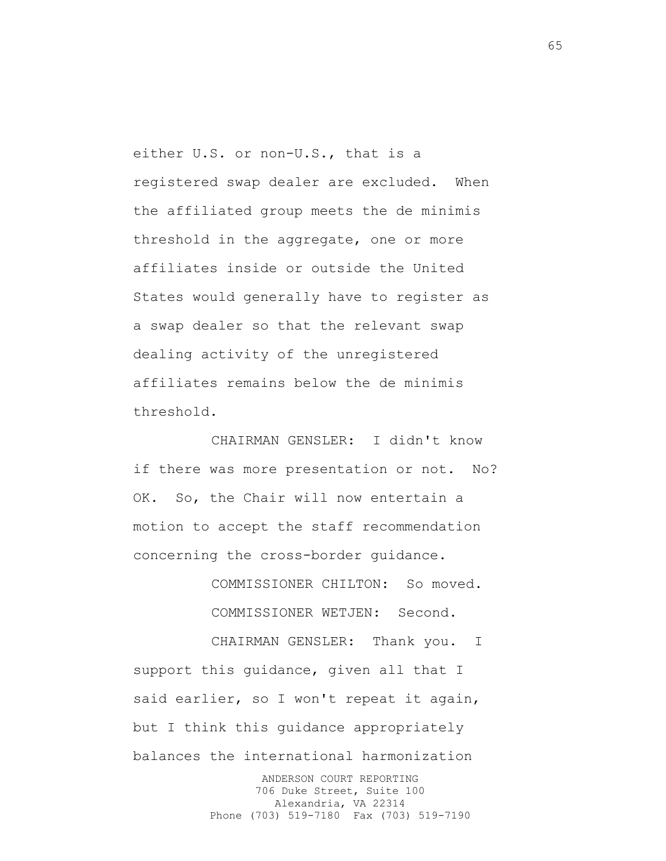either U.S. or non-U.S., that is a registered swap dealer are excluded. When the affiliated group meets the de minimis threshold in the aggregate, one or more affiliates inside or outside the United States would generally have to register as a swap dealer so that the relevant swap dealing activity of the unregistered affiliates remains below the de minimis threshold.

CHAIRMAN GENSLER: I didn't know if there was more presentation or not. No? OK. So, the Chair will now entertain a motion to accept the staff recommendation concerning the cross-border guidance.

> COMMISSIONER CHILTON: So moved. COMMISSIONER WETJEN: Second.

CHAIRMAN GENSLER: Thank you. I support this guidance, given all that I said earlier, so I won't repeat it again, but I think this guidance appropriately balances the international harmonization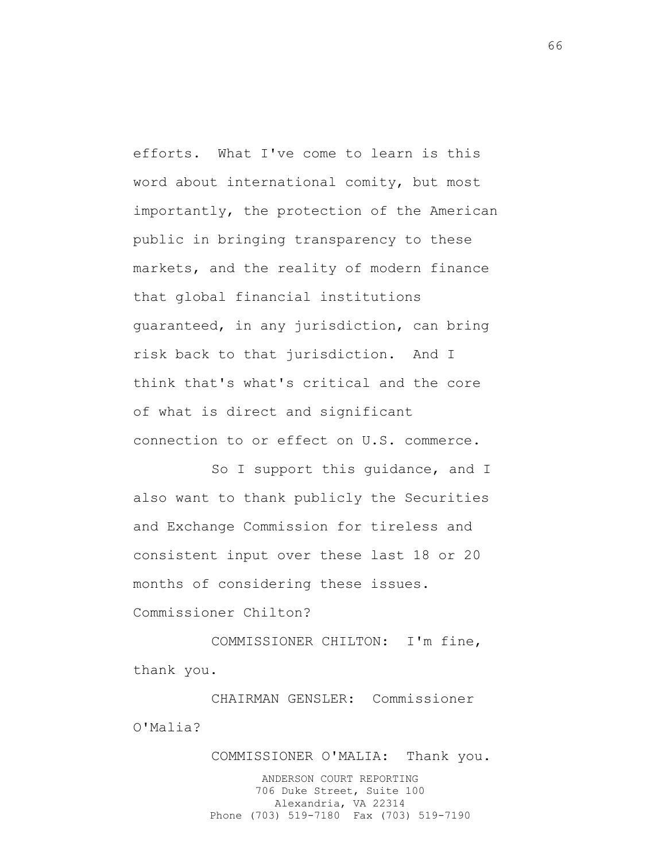efforts. What I've come to learn is this word about international comity, but most importantly, the protection of the American public in bringing transparency to these markets, and the reality of modern finance that global financial institutions guaranteed, in any jurisdiction, can bring risk back to that jurisdiction. And I think that's what's critical and the core of what is direct and significant connection to or effect on U.S. commerce.

So I support this guidance, and I also want to thank publicly the Securities and Exchange Commission for tireless and consistent input over these last 18 or 20 months of considering these issues. Commissioner Chilton?

COMMISSIONER CHILTON: I'm fine, thank you.

CHAIRMAN GENSLER: Commissioner O'Malia?

COMMISSIONER O'MALIA: Thank you.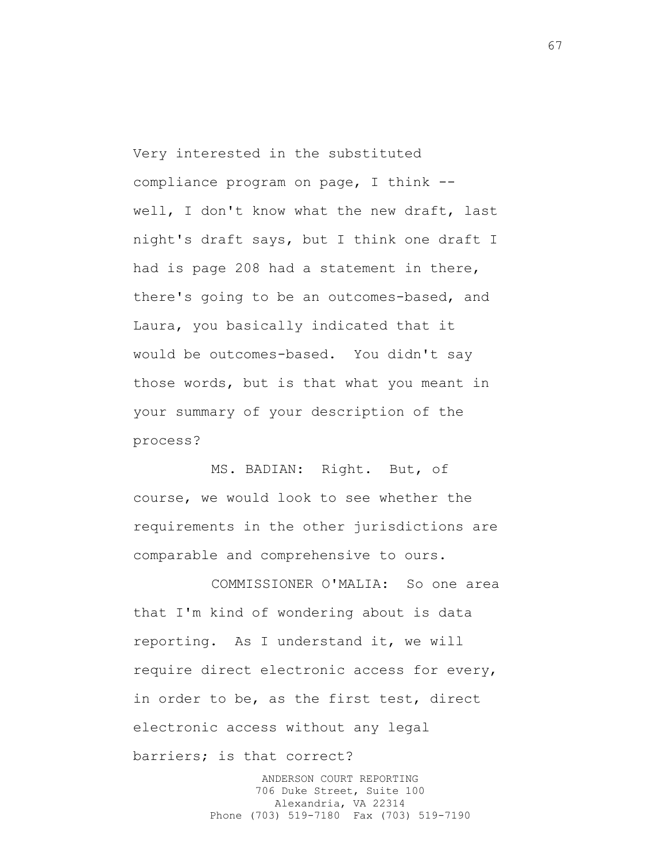Very interested in the substituted compliance program on page, I think - well, I don't know what the new draft, last night's draft says, but I think one draft I had is page 208 had a statement in there, there's going to be an outcomes-based, and Laura, you basically indicated that it would be outcomes-based. You didn't say those words, but is that what you meant in your summary of your description of the process?

MS. BADIAN: Right. But, of course, we would look to see whether the requirements in the other jurisdictions are comparable and comprehensive to ours.

COMMISSIONER O'MALIA: So one area that I'm kind of wondering about is data reporting. As I understand it, we will require direct electronic access for every, in order to be, as the first test, direct electronic access without any legal barriers; is that correct?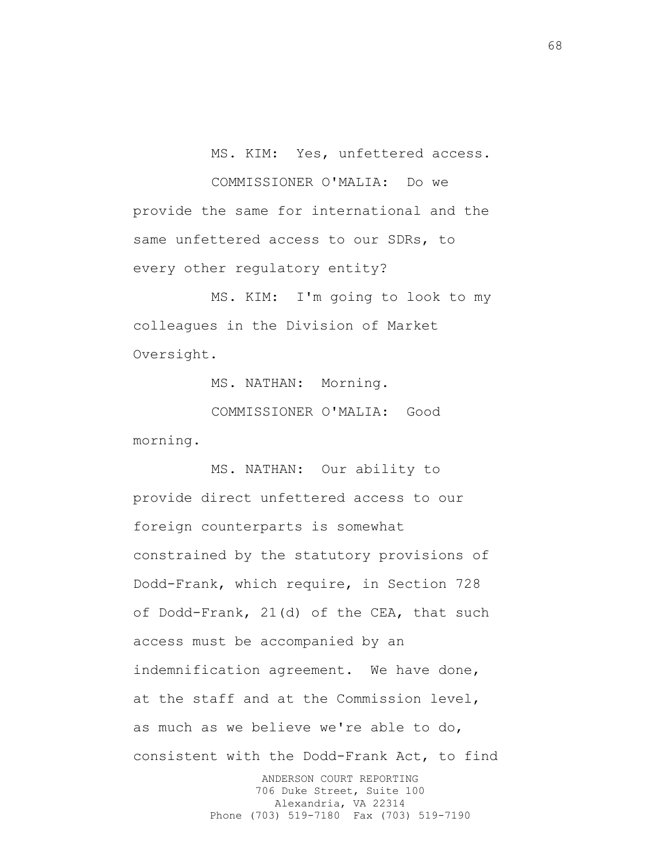MS. KIM: Yes, unfettered access.

COMMISSIONER O'MALIA: Do we provide the same for international and the same unfettered access to our SDRs, to every other regulatory entity?

MS. KIM: I'm going to look to my colleagues in the Division of Market Oversight.

MS. NATHAN: Morning.

COMMISSIONER O'MALIA: Good morning.

ANDERSON COURT REPORTING MS. NATHAN: Our ability to provide direct unfettered access to our foreign counterparts is somewhat constrained by the statutory provisions of Dodd-Frank, which require, in Section 728 of Dodd-Frank, 21(d) of the CEA, that such access must be accompanied by an indemnification agreement. We have done, at the staff and at the Commission level, as much as we believe we're able to do, consistent with the Dodd-Frank Act, to find

706 Duke Street, Suite 100 Alexandria, VA 22314 Phone (703) 519-7180 Fax (703) 519-7190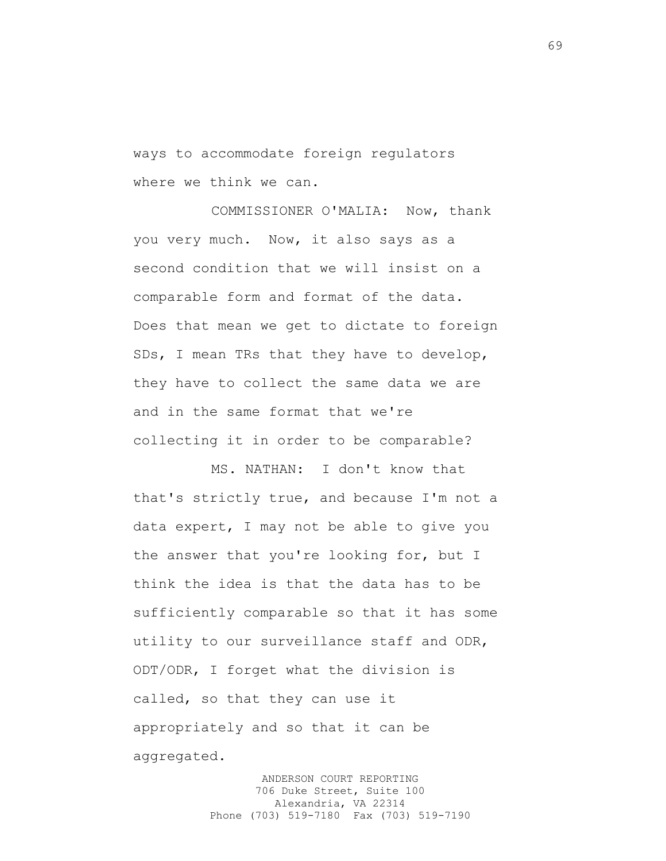ways to accommodate foreign regulators where we think we can.

COMMISSIONER O'MALIA: Now, thank you very much. Now, it also says as a second condition that we will insist on a comparable form and format of the data. Does that mean we get to dictate to foreign SDs, I mean TRs that they have to develop, they have to collect the same data we are and in the same format that we're collecting it in order to be comparable?

MS. NATHAN: I don't know that that's strictly true, and because I'm not a data expert, I may not be able to give you the answer that you're looking for, but I think the idea is that the data has to be sufficiently comparable so that it has some utility to our surveillance staff and ODR, ODT/ODR, I forget what the division is called, so that they can use it appropriately and so that it can be aggregated.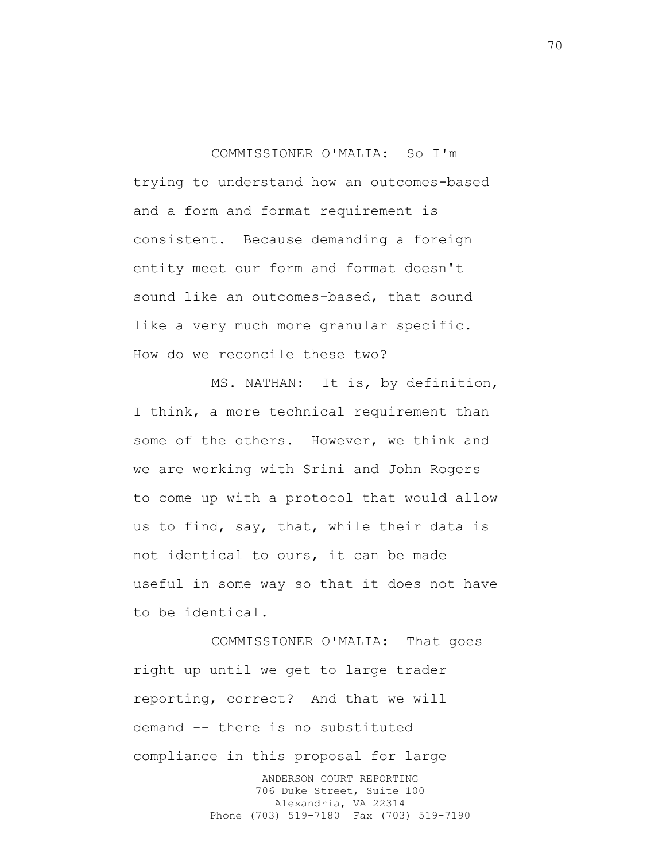## COMMISSIONER O'MALIA: So I'm

trying to understand how an outcomes-based and a form and format requirement is consistent. Because demanding a foreign entity meet our form and format doesn't sound like an outcomes-based, that sound like a very much more granular specific. How do we reconcile these two?

MS. NATHAN: It is, by definition, I think, a more technical requirement than some of the others. However, we think and we are working with Srini and John Rogers to come up with a protocol that would allow us to find, say, that, while their data is not identical to ours, it can be made useful in some way so that it does not have to be identical.

ANDERSON COURT REPORTING COMMISSIONER O'MALIA: That goes right up until we get to large trader reporting, correct? And that we will demand -- there is no substituted compliance in this proposal for large

706 Duke Street, Suite 100 Alexandria, VA 22314 Phone (703) 519-7180 Fax (703) 519-7190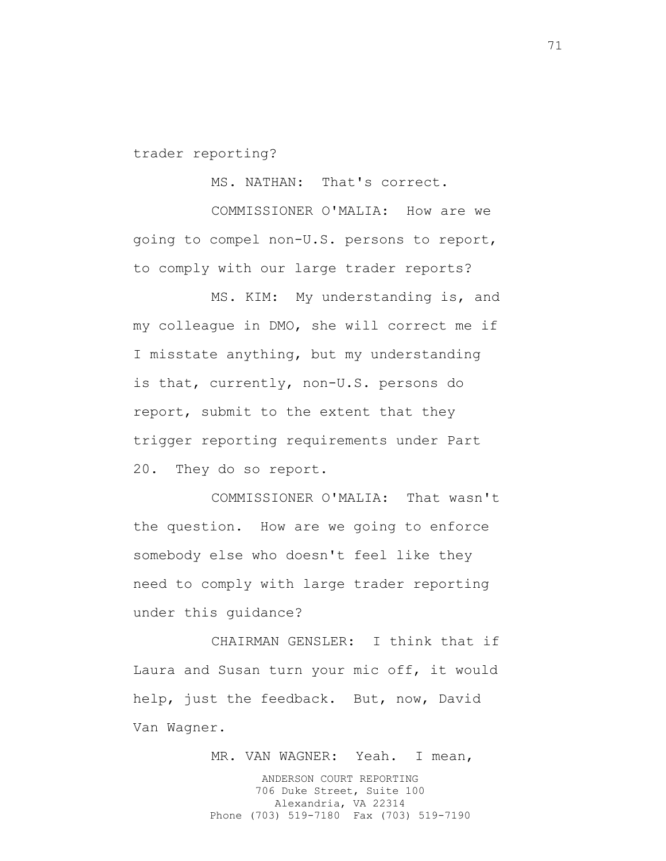trader reporting?

MS. NATHAN: That's correct.

COMMISSIONER O'MALIA: How are we going to compel non-U.S. persons to report, to comply with our large trader reports?

MS. KIM: My understanding is, and my colleague in DMO, she will correct me if I misstate anything, but my understanding is that, currently, non-U.S. persons do report, submit to the extent that they trigger reporting requirements under Part 20. They do so report.

COMMISSIONER O'MALIA: That wasn't the question. How are we going to enforce somebody else who doesn't feel like they need to comply with large trader reporting under this guidance?

CHAIRMAN GENSLER: I think that if Laura and Susan turn your mic off, it would help, just the feedback. But, now, David Van Wagner.

> ANDERSON COURT REPORTING 706 Duke Street, Suite 100 Alexandria, VA 22314 Phone (703) 519-7180 Fax (703) 519-7190 MR. VAN WAGNER: Yeah. I mean,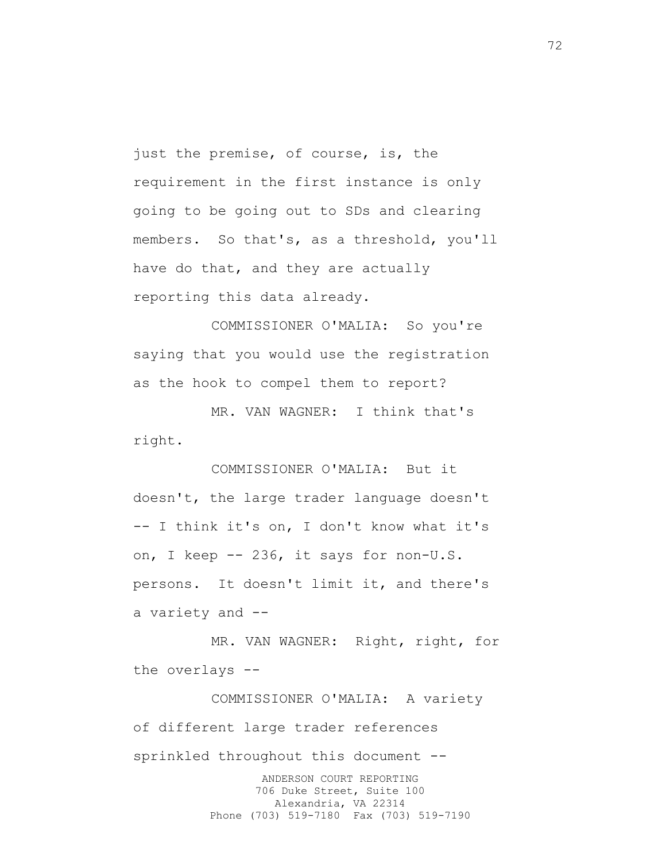just the premise, of course, is, the requirement in the first instance is only going to be going out to SDs and clearing members. So that's, as a threshold, you'll have do that, and they are actually reporting this data already.

COMMISSIONER O'MALIA: So you're saying that you would use the registration as the hook to compel them to report?

MR. VAN WAGNER: I think that's right.

COMMISSIONER O'MALIA: But it doesn't, the large trader language doesn't -- I think it's on, I don't know what it's on, I keep -- 236, it says for non-U.S. persons. It doesn't limit it, and there's a variety and --

MR. VAN WAGNER: Right, right, for the overlays --

ANDERSON COURT REPORTING 706 Duke Street, Suite 100 Alexandria, VA 22314 COMMISSIONER O'MALIA: A variety of different large trader references sprinkled throughout this document --

Phone (703) 519-7180 Fax (703) 519-7190

72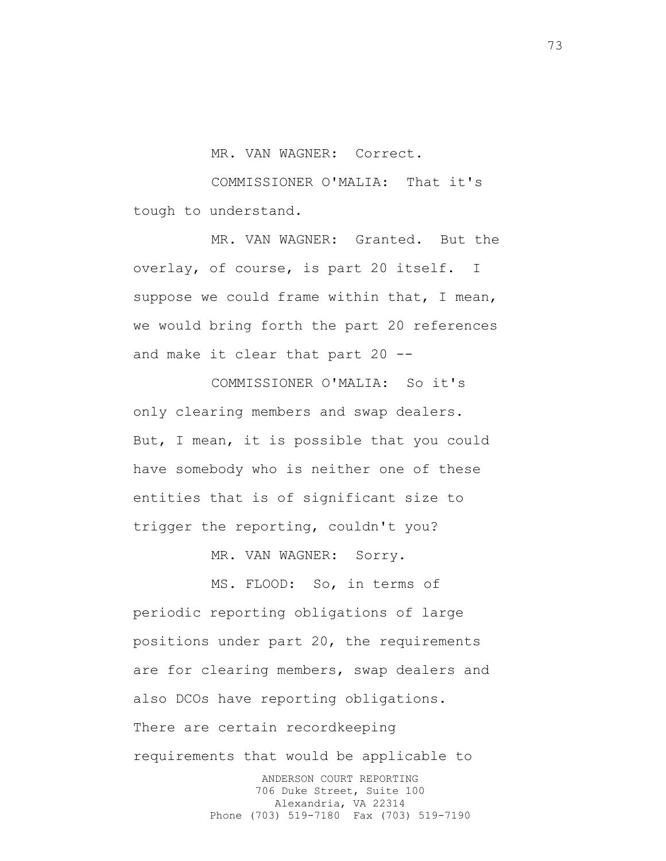MR. VAN WAGNER: Correct.

COMMISSIONER O'MALIA: That it's tough to understand.

MR. VAN WAGNER: Granted. But the overlay, of course, is part 20 itself. I suppose we could frame within that, I mean, we would bring forth the part 20 references and make it clear that part 20 --

COMMISSIONER O'MALIA: So it's only clearing members and swap dealers. But, I mean, it is possible that you could have somebody who is neither one of these entities that is of significant size to trigger the reporting, couldn't you?

MR. VAN WAGNER: Sorry.

MS. FLOOD: So, in terms of periodic reporting obligations of large positions under part 20, the requirements are for clearing members, swap dealers and also DCOs have reporting obligations. There are certain recordkeeping requirements that would be applicable to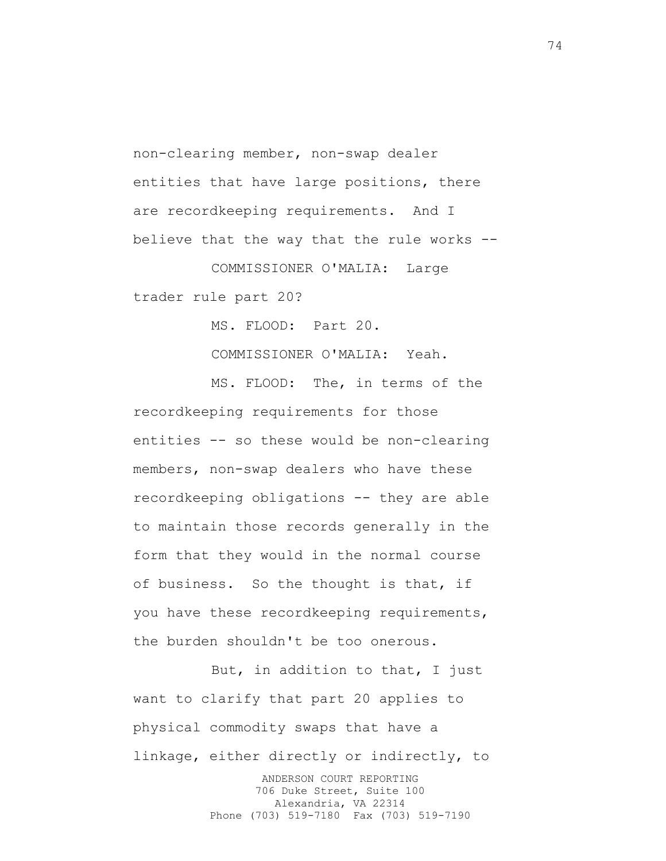non-clearing member, non-swap dealer entities that have large positions, there are recordkeeping requirements. And I believe that the way that the rule works --

COMMISSIONER O'MALIA: Large trader rule part 20?

MS. FLOOD: Part 20.

COMMISSIONER O'MALIA: Yeah.

MS. FLOOD: The, in terms of the recordkeeping requirements for those entities -- so these would be non-clearing members, non-swap dealers who have these recordkeeping obligations -- they are able to maintain those records generally in the form that they would in the normal course of business. So the thought is that, if you have these recordkeeping requirements, the burden shouldn't be too onerous.

But, in addition to that, I just want to clarify that part 20 applies to physical commodity swaps that have a linkage, either directly or indirectly, to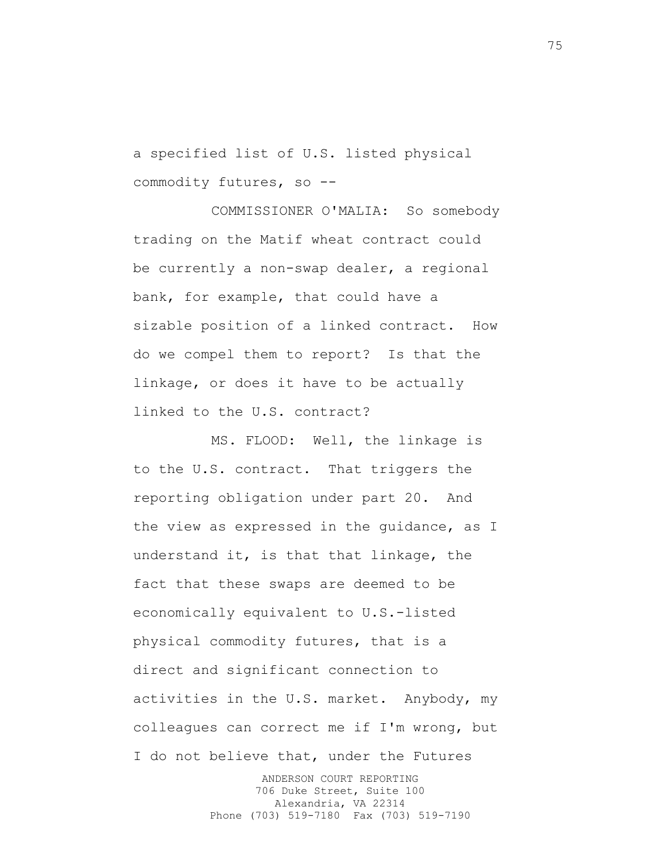a specified list of U.S. listed physical commodity futures, so --

COMMISSIONER O'MALIA: So somebody trading on the Matif wheat contract could be currently a non-swap dealer, a regional bank, for example, that could have a sizable position of a linked contract. How do we compel them to report? Is that the linkage, or does it have to be actually linked to the U.S. contract?

MS. FLOOD: Well, the linkage is to the U.S. contract. That triggers the reporting obligation under part 20. And the view as expressed in the guidance, as I understand it, is that that linkage, the fact that these swaps are deemed to be economically equivalent to U.S.-listed physical commodity futures, that is a direct and significant connection to activities in the U.S. market. Anybody, my colleagues can correct me if I'm wrong, but I do not believe that, under the Futures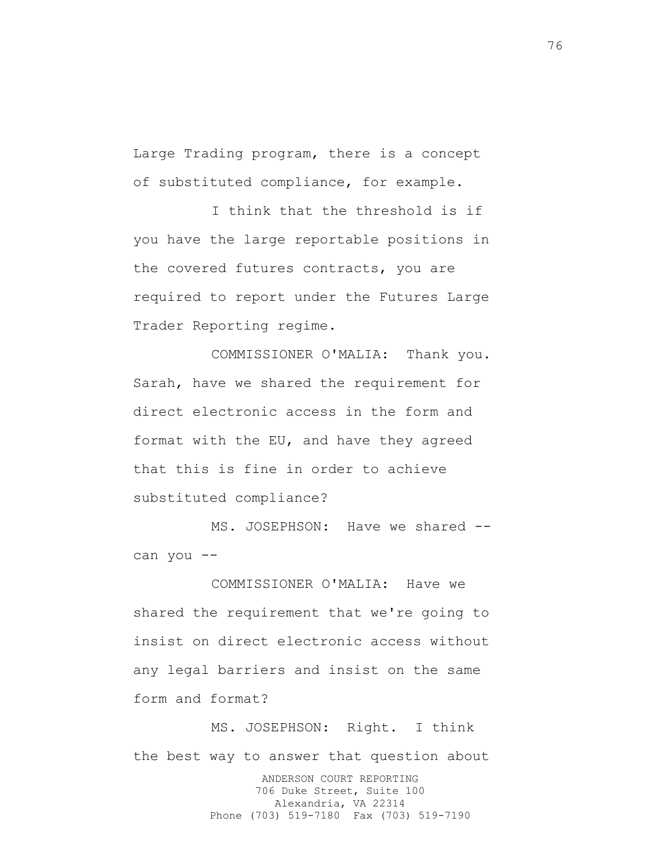Large Trading program, there is a concept of substituted compliance, for example.

I think that the threshold is if you have the large reportable positions in the covered futures contracts, you are required to report under the Futures Large Trader Reporting regime.

COMMISSIONER O'MALIA: Thank you. Sarah, have we shared the requirement for direct electronic access in the form and format with the EU, and have they agreed that this is fine in order to achieve substituted compliance?

MS. JOSEPHSON: Have we shared -can you --

COMMISSIONER O'MALIA: Have we shared the requirement that we're going to insist on direct electronic access without any legal barriers and insist on the same form and format?

ANDERSON COURT REPORTING 706 Duke Street, Suite 100 Alexandria, VA 22314 Phone (703) 519-7180 Fax (703) 519-7190 MS. JOSEPHSON: Right. I think the best way to answer that question about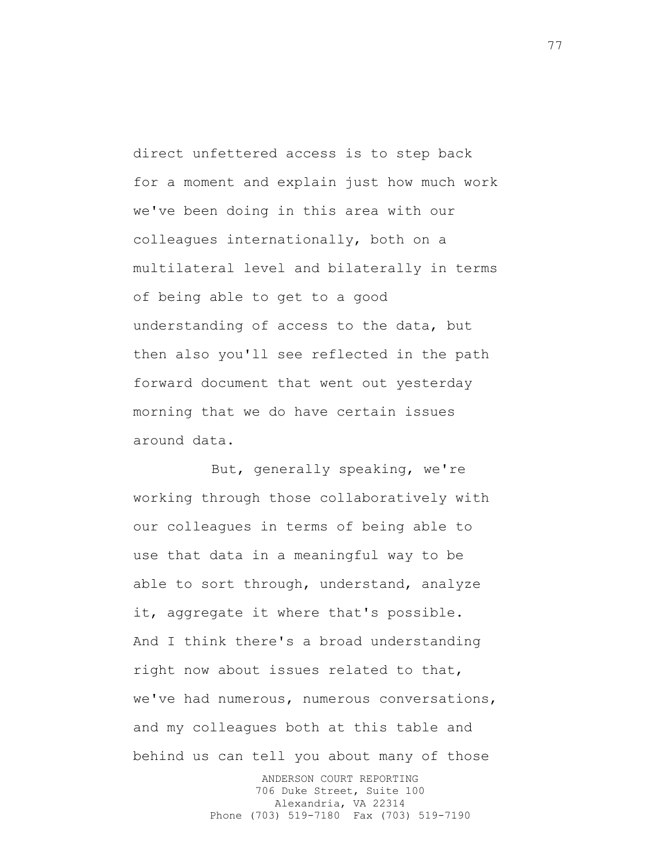direct unfettered access is to step back for a moment and explain just how much work we've been doing in this area with our colleagues internationally, both on a multilateral level and bilaterally in terms of being able to get to a good understanding of access to the data, but then also you'll see reflected in the path forward document that went out yesterday morning that we do have certain issues around data.

But, generally speaking, we're working through those collaboratively with our colleagues in terms of being able to use that data in a meaningful way to be able to sort through, understand, analyze it, aggregate it where that's possible. And I think there's a broad understanding right now about issues related to that, we've had numerous, numerous conversations, and my colleagues both at this table and behind us can tell you about many of those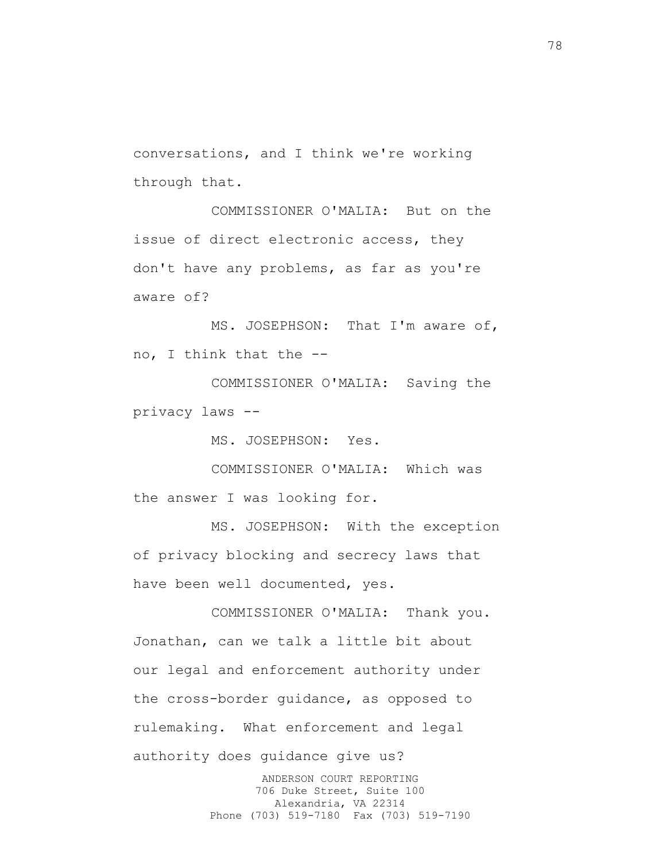conversations, and I think we're working through that.

COMMISSIONER O'MALIA: But on the issue of direct electronic access, they don't have any problems, as far as you're aware of?

MS. JOSEPHSON: That I'm aware of, no, I think that the --

COMMISSIONER O'MALIA: Saving the privacy laws --

MS. JOSEPHSON: Yes.

COMMISSIONER O'MALIA: Which was the answer I was looking for.

MS. JOSEPHSON: With the exception of privacy blocking and secrecy laws that have been well documented, yes.

COMMISSIONER O'MALIA: Thank you. Jonathan, can we talk a little bit about our legal and enforcement authority under the cross-border guidance, as opposed to rulemaking. What enforcement and legal authority does guidance give us?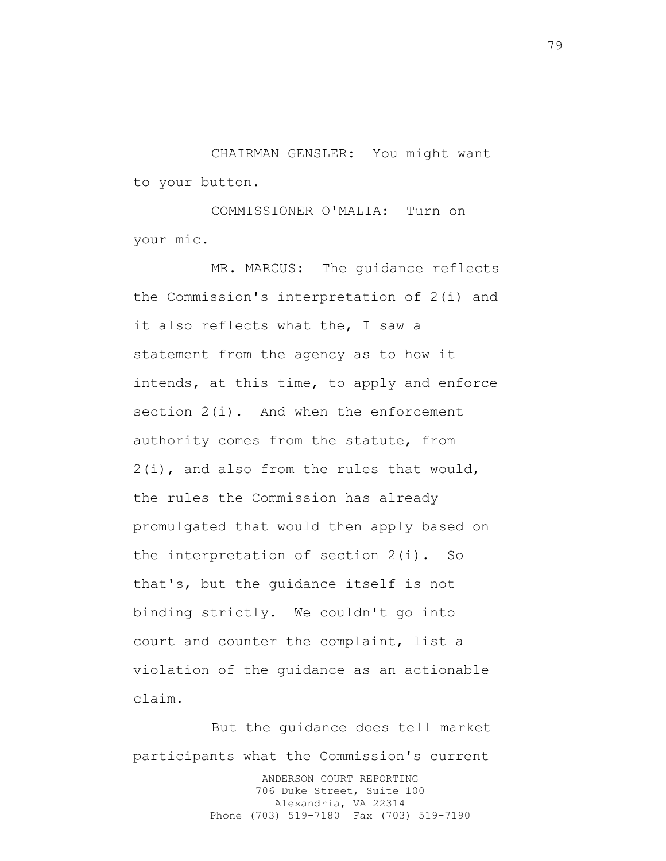CHAIRMAN GENSLER: You might want to your button.

COMMISSIONER O'MALIA: Turn on your mic.

MR. MARCUS: The guidance reflects the Commission's interpretation of 2(i) and it also reflects what the, I saw a statement from the agency as to how it intends, at this time, to apply and enforce section 2(i). And when the enforcement authority comes from the statute, from 2(i), and also from the rules that would, the rules the Commission has already promulgated that would then apply based on the interpretation of section 2(i). So that's, but the guidance itself is not binding strictly. We couldn't go into court and counter the complaint, list a violation of the guidance as an actionable claim.

ANDERSON COURT REPORTING 706 Duke Street, Suite 100 Alexandria, VA 22314 Phone (703) 519-7180 Fax (703) 519-7190 But the guidance does tell market participants what the Commission's current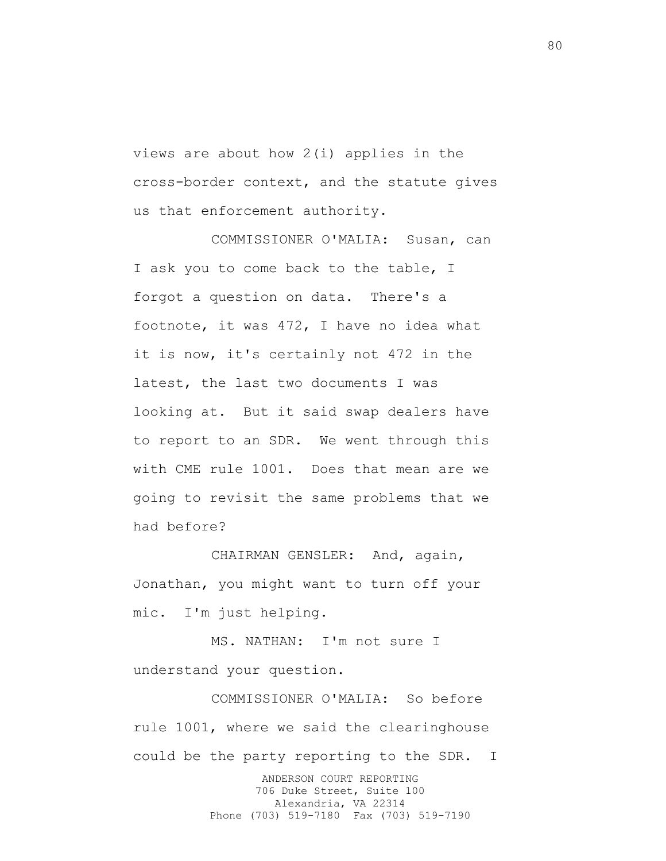views are about how 2(i) applies in the cross-border context, and the statute gives us that enforcement authority.

COMMISSIONER O'MALIA: Susan, can I ask you to come back to the table, I forgot a question on data. There's a footnote, it was 472, I have no idea what it is now, it's certainly not 472 in the latest, the last two documents I was looking at. But it said swap dealers have to report to an SDR. We went through this with CME rule 1001. Does that mean are we going to revisit the same problems that we had before?

CHAIRMAN GENSLER: And, again, Jonathan, you might want to turn off your mic. I'm just helping.

MS. NATHAN: I'm not sure I understand your question.

COMMISSIONER O'MALIA: So before rule 1001, where we said the clearinghouse could be the party reporting to the SDR. I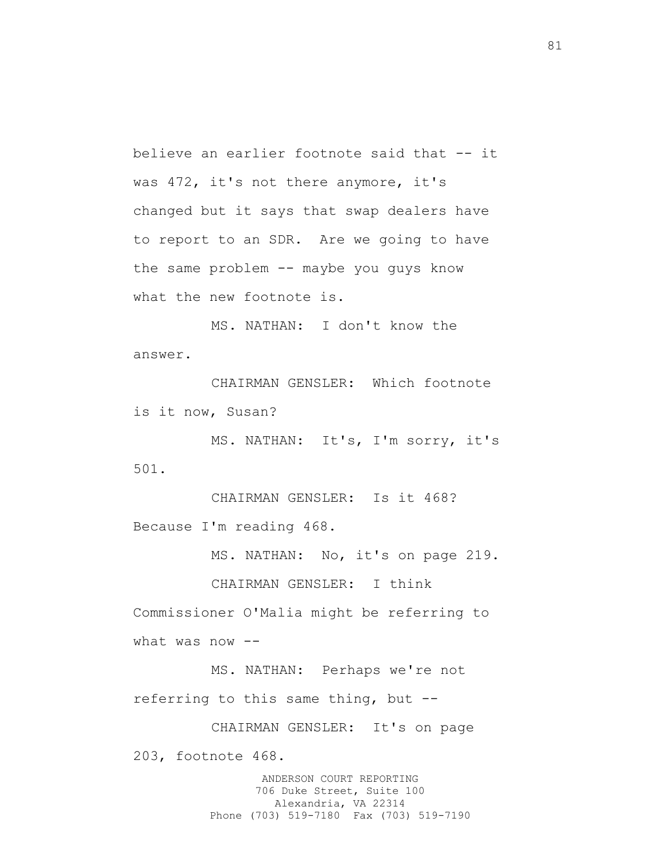believe an earlier footnote said that -- it was 472, it's not there anymore, it's changed but it says that swap dealers have to report to an SDR. Are we going to have the same problem -- maybe you guys know what the new footnote is.

MS. NATHAN: I don't know the answer.

CHAIRMAN GENSLER: Which footnote is it now, Susan?

MS. NATHAN: It's, I'm sorry, it's 501.

CHAIRMAN GENSLER: Is it 468? Because I'm reading 468.

MS. NATHAN: No, it's on page 219.

CHAIRMAN GENSLER: I think Commissioner O'Malia might be referring to what was now  $--$ 

MS. NATHAN: Perhaps we're not referring to this same thing, but --

CHAIRMAN GENSLER: It's on page 203, footnote 468.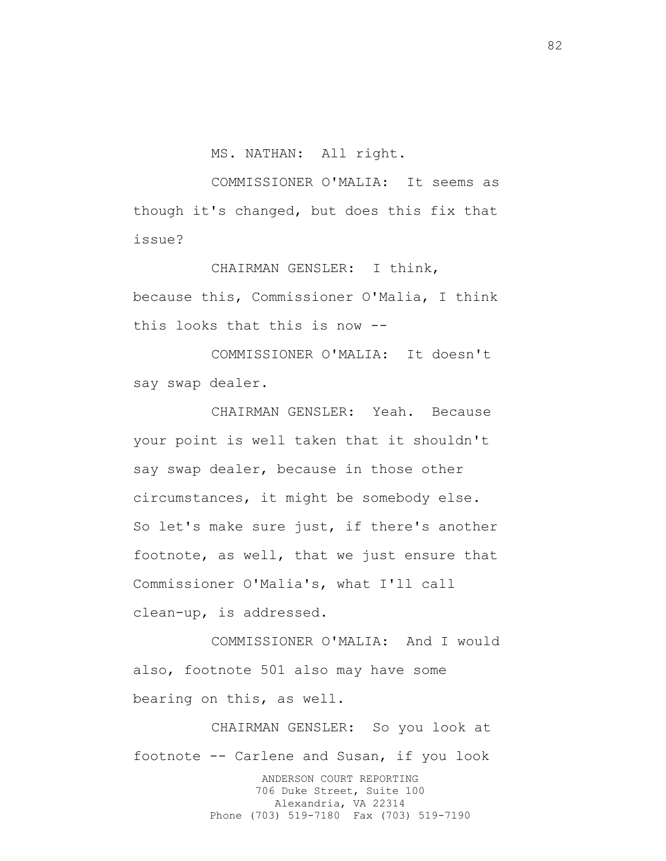MS. NATHAN: All right.

COMMISSIONER O'MALIA: It seems as though it's changed, but does this fix that issue?

CHAIRMAN GENSLER: I think, because this, Commissioner O'Malia, I think this looks that this is now --

COMMISSIONER O'MALIA: It doesn't say swap dealer.

CHAIRMAN GENSLER: Yeah. Because your point is well taken that it shouldn't say swap dealer, because in those other circumstances, it might be somebody else. So let's make sure just, if there's another footnote, as well, that we just ensure that Commissioner O'Malia's, what I'll call clean-up, is addressed.

COMMISSIONER O'MALIA: And I would also, footnote 501 also may have some bearing on this, as well.

ANDERSON COURT REPORTING 706 Duke Street, Suite 100 Alexandria, VA 22314 Phone (703) 519-7180 Fax (703) 519-7190 CHAIRMAN GENSLER: So you look at footnote -- Carlene and Susan, if you look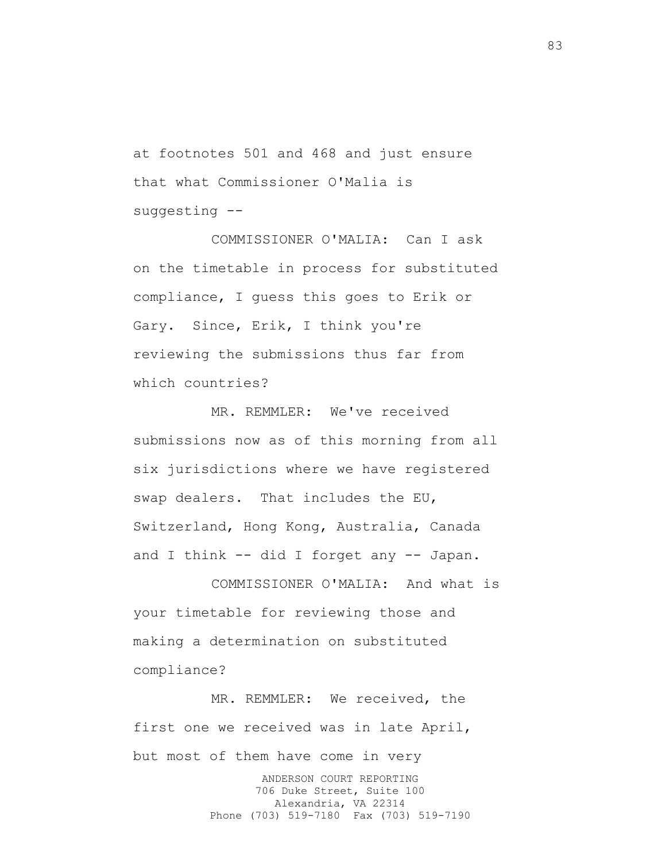at footnotes 501 and 468 and just ensure that what Commissioner O'Malia is suggesting --

COMMISSIONER O'MALIA: Can I ask on the timetable in process for substituted compliance, I guess this goes to Erik or Gary. Since, Erik, I think you're reviewing the submissions thus far from which countries?

MR. REMMLER: We've received submissions now as of this morning from all six jurisdictions where we have registered swap dealers. That includes the EU, Switzerland, Hong Kong, Australia, Canada and I think -- did I forget any -- Japan.

COMMISSIONER O'MALIA: And what is your timetable for reviewing those and making a determination on substituted compliance?

ANDERSON COURT REPORTING 706 Duke Street, Suite 100 Alexandria, VA 22314 Phone (703) 519-7180 Fax (703) 519-7190 MR. REMMLER: We received, the first one we received was in late April, but most of them have come in very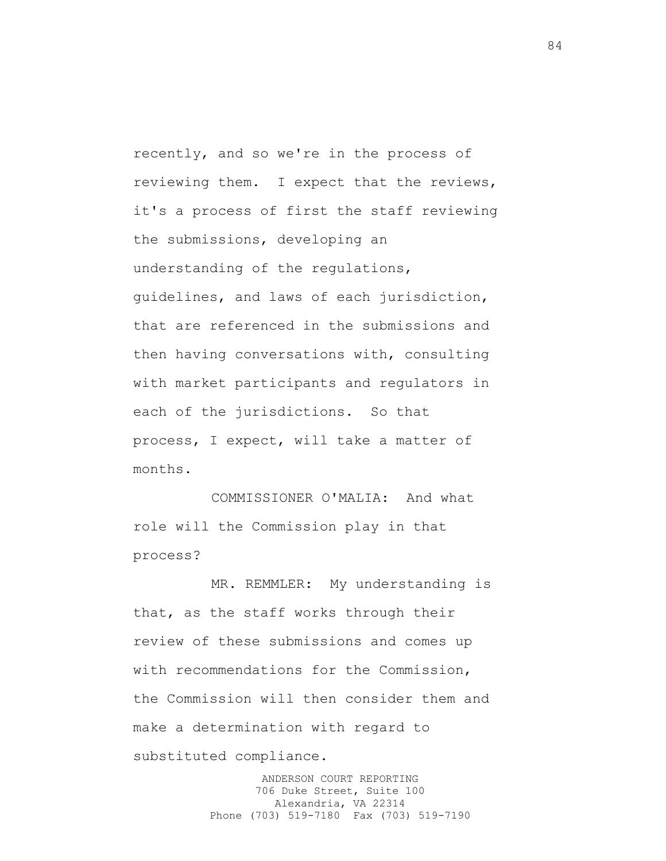recently, and so we're in the process of reviewing them. I expect that the reviews, it's a process of first the staff reviewing the submissions, developing an understanding of the regulations, guidelines, and laws of each jurisdiction, that are referenced in the submissions and then having conversations with, consulting with market participants and regulators in each of the jurisdictions. So that process, I expect, will take a matter of months.

COMMISSIONER O'MALIA: And what role will the Commission play in that process?

MR. REMMLER: My understanding is that, as the staff works through their review of these submissions and comes up with recommendations for the Commission, the Commission will then consider them and make a determination with regard to substituted compliance.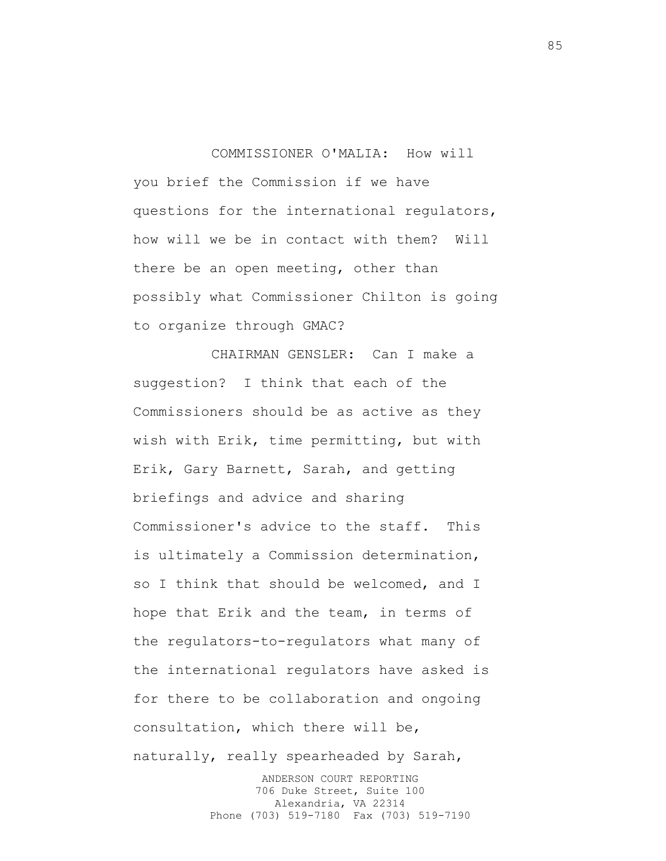## COMMISSIONER O'MALIA: How will

you brief the Commission if we have questions for the international regulators, how will we be in contact with them? Will there be an open meeting, other than possibly what Commissioner Chilton is going to organize through GMAC?

CHAIRMAN GENSLER: Can I make a suggestion? I think that each of the Commissioners should be as active as they wish with Erik, time permitting, but with Erik, Gary Barnett, Sarah, and getting briefings and advice and sharing Commissioner's advice to the staff. This is ultimately a Commission determination, so I think that should be welcomed, and I hope that Erik and the team, in terms of the regulators-to-regulators what many of the international regulators have asked is for there to be collaboration and ongoing consultation, which there will be, naturally, really spearheaded by Sarah,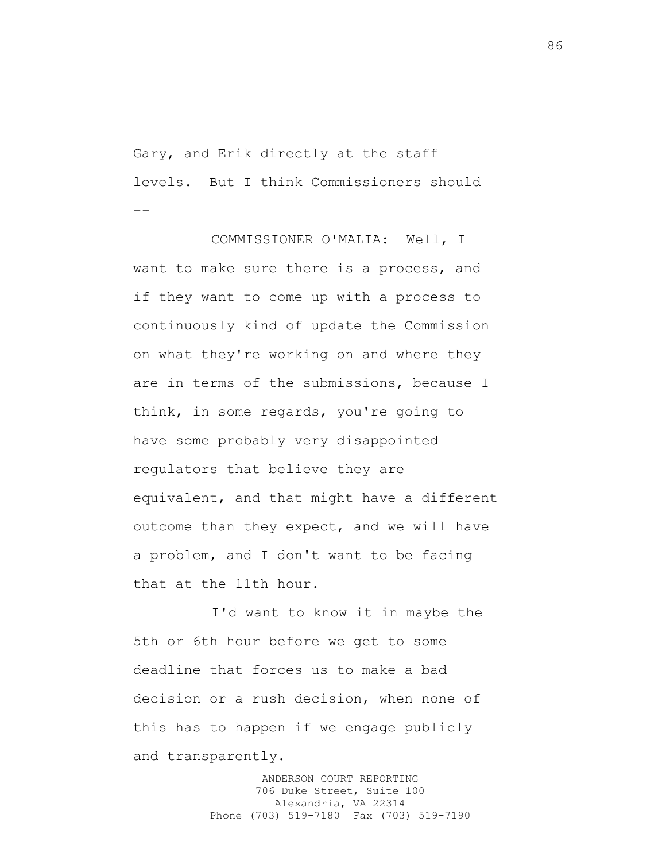Gary, and Erik directly at the staff levels. But I think Commissioners should  $-$ 

COMMISSIONER O'MALIA: Well, I want to make sure there is a process, and if they want to come up with a process to continuously kind of update the Commission on what they're working on and where they are in terms of the submissions, because I think, in some regards, you're going to have some probably very disappointed regulators that believe they are equivalent, and that might have a different outcome than they expect, and we will have a problem, and I don't want to be facing that at the 11th hour.

I'd want to know it in maybe the 5th or 6th hour before we get to some deadline that forces us to make a bad decision or a rush decision, when none of this has to happen if we engage publicly and transparently.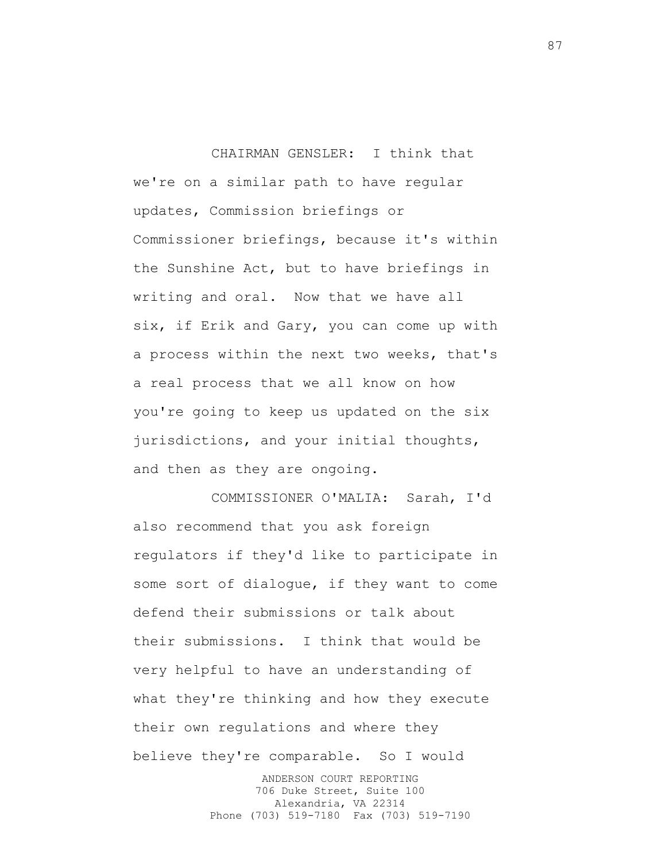CHAIRMAN GENSLER: I think that we're on a similar path to have regular updates, Commission briefings or Commissioner briefings, because it's within the Sunshine Act, but to have briefings in writing and oral. Now that we have all six, if Erik and Gary, you can come up with a process within the next two weeks, that's a real process that we all know on how you're going to keep us updated on the six jurisdictions, and your initial thoughts, and then as they are ongoing.

COMMISSIONER O'MALIA: Sarah, I'd also recommend that you ask foreign regulators if they'd like to participate in some sort of dialogue, if they want to come defend their submissions or talk about their submissions. I think that would be very helpful to have an understanding of what they're thinking and how they execute their own regulations and where they believe they're comparable. So I would

> ANDERSON COURT REPORTING 706 Duke Street, Suite 100 Alexandria, VA 22314 Phone (703) 519-7180 Fax (703) 519-7190

87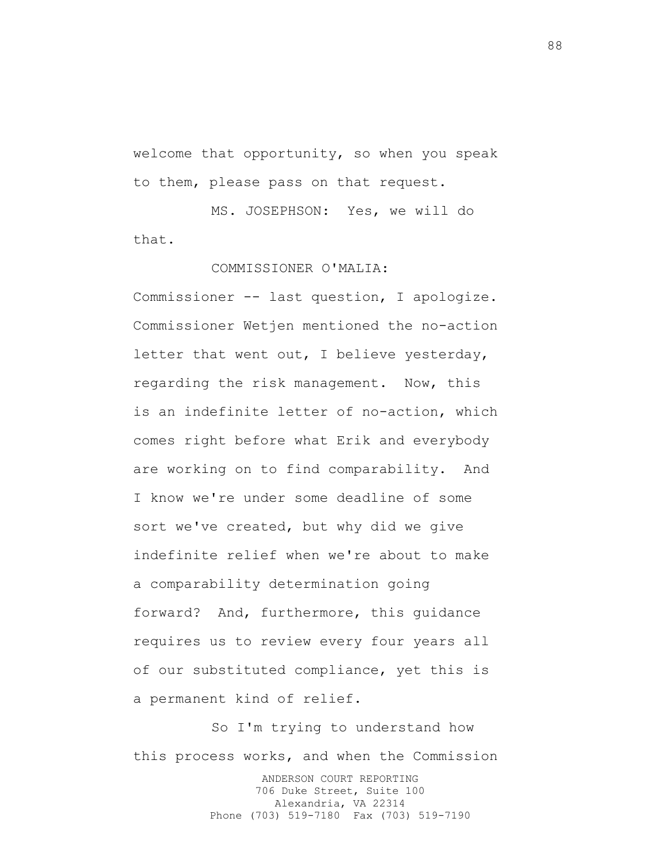welcome that opportunity, so when you speak to them, please pass on that request.

MS. JOSEPHSON: Yes, we will do that.

## COMMISSIONER O'MALIA:

Commissioner -- last question, I apologize. Commissioner Wetjen mentioned the no-action letter that went out, I believe yesterday, regarding the risk management. Now, this is an indefinite letter of no-action, which comes right before what Erik and everybody are working on to find comparability. And I know we're under some deadline of some sort we've created, but why did we give indefinite relief when we're about to make a comparability determination going forward? And, furthermore, this guidance requires us to review every four years all of our substituted compliance, yet this is a permanent kind of relief.

ANDERSON COURT REPORTING 706 Duke Street, Suite 100 Alexandria, VA 22314 Phone (703) 519-7180 Fax (703) 519-7190 So I'm trying to understand how this process works, and when the Commission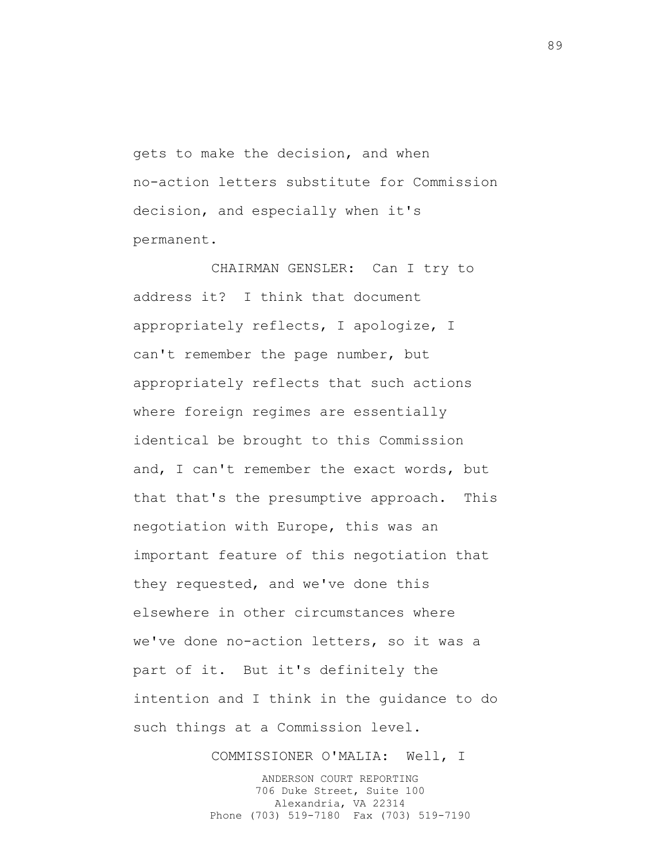gets to make the decision, and when no-action letters substitute for Commission decision, and especially when it's permanent.

CHAIRMAN GENSLER: Can I try to address it? I think that document appropriately reflects, I apologize, I can't remember the page number, but appropriately reflects that such actions where foreign regimes are essentially identical be brought to this Commission and, I can't remember the exact words, but that that's the presumptive approach. This negotiation with Europe, this was an important feature of this negotiation that they requested, and we've done this elsewhere in other circumstances where we've done no-action letters, so it was a part of it. But it's definitely the intention and I think in the guidance to do such things at a Commission level.

COMMISSIONER O'MALIA: Well, I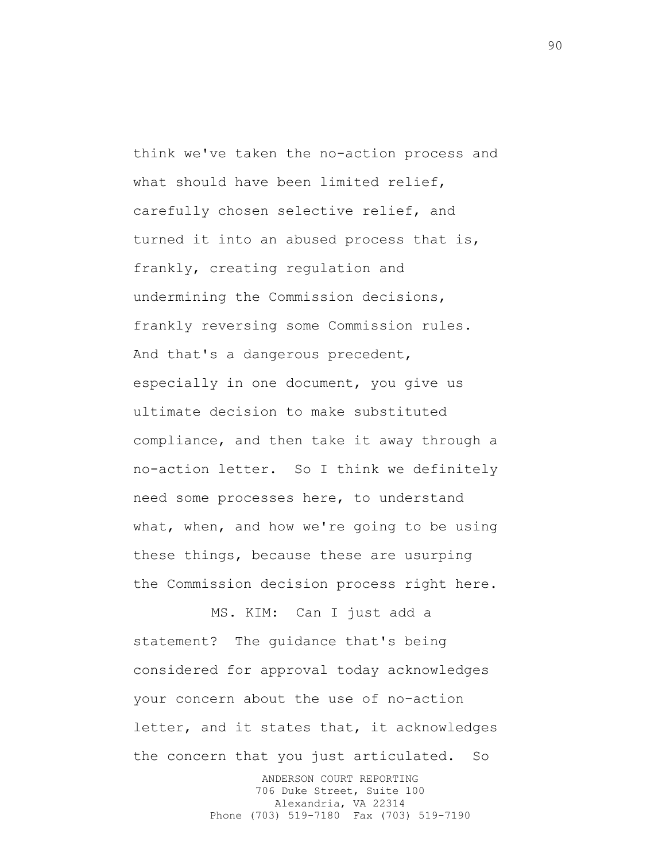think we've taken the no-action process and what should have been limited relief, carefully chosen selective relief, and turned it into an abused process that is, frankly, creating regulation and undermining the Commission decisions, frankly reversing some Commission rules. And that's a dangerous precedent, especially in one document, you give us ultimate decision to make substituted compliance, and then take it away through a no-action letter. So I think we definitely need some processes here, to understand what, when, and how we're going to be using these things, because these are usurping the Commission decision process right here.

MS. KIM: Can I just add a statement? The guidance that's being considered for approval today acknowledges your concern about the use of no-action letter, and it states that, it acknowledges the concern that you just articulated. So

> ANDERSON COURT REPORTING 706 Duke Street, Suite 100 Alexandria, VA 22314 Phone (703) 519-7180 Fax (703) 519-7190

90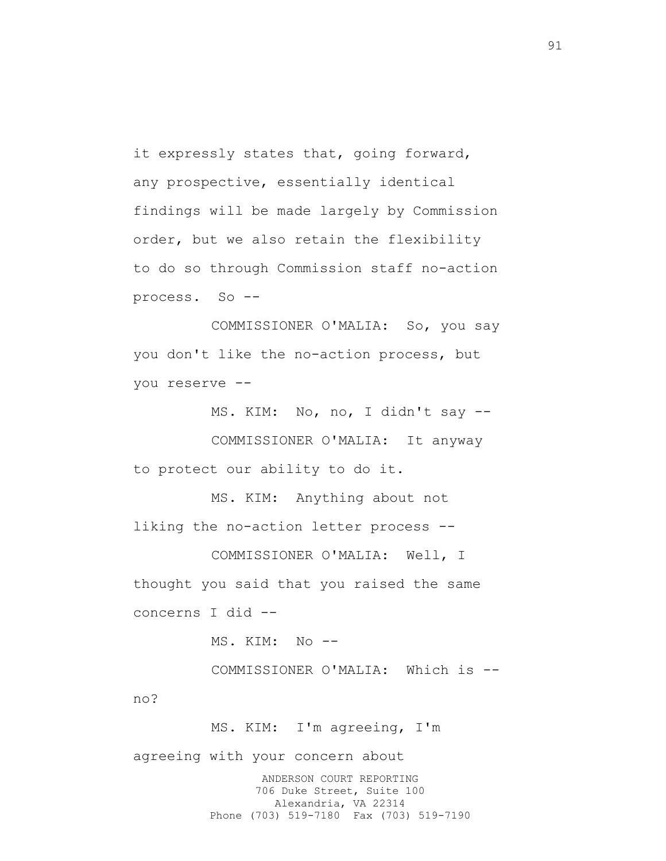it expressly states that, going forward, any prospective, essentially identical findings will be made largely by Commission order, but we also retain the flexibility to do so through Commission staff no-action process. So --

COMMISSIONER O'MALIA: So, you say you don't like the no-action process, but you reserve --

MS. KIM: No, no, I didn't say -- COMMISSIONER O'MALIA: It anyway to protect our ability to do it.

MS. KIM: Anything about not liking the no-action letter process --

COMMISSIONER O'MALIA: Well, I thought you said that you raised the same concerns I did --

MS. KIM: No --

COMMISSIONER O'MALIA: Which is - no?

MS. KIM: I'm agreeing, I'm

agreeing with your concern about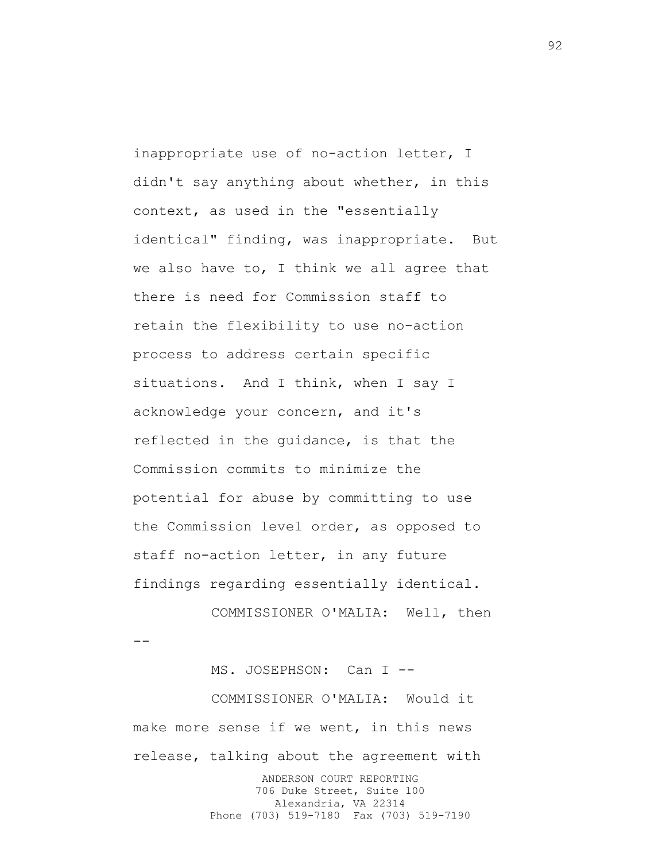inappropriate use of no-action letter, I didn't say anything about whether, in this context, as used in the "essentially identical" finding, was inappropriate. But we also have to, I think we all agree that there is need for Commission staff to retain the flexibility to use no-action process to address certain specific situations. And I think, when I say I acknowledge your concern, and it's reflected in the guidance, is that the Commission commits to minimize the potential for abuse by committing to use the Commission level order, as opposed to staff no-action letter, in any future findings regarding essentially identical.

COMMISSIONER O'MALIA: Well, then  $-$ 

ANDERSON COURT REPORTING 706 Duke Street, Suite 100 Alexandria, VA 22314 MS. JOSEPHSON: Can I -- COMMISSIONER O'MALIA: Would it make more sense if we went, in this news release, talking about the agreement with

Phone (703) 519-7180 Fax (703) 519-7190

92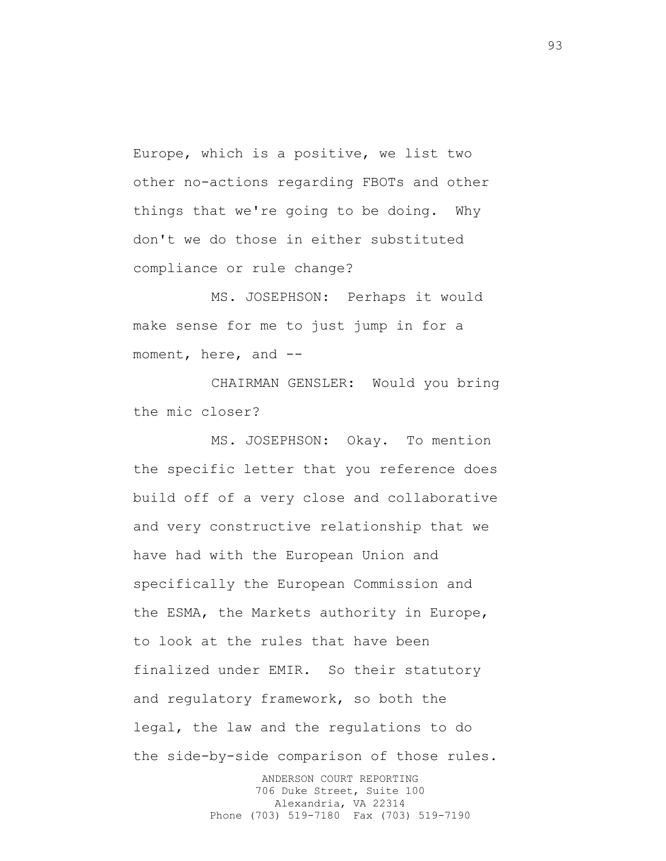Europe, which is a positive, we list two other no-actions regarding FBOTs and other things that we're going to be doing. Why don't we do those in either substituted compliance or rule change?

MS. JOSEPHSON: Perhaps it would make sense for me to just jump in for a moment, here, and --

CHAIRMAN GENSLER: Would you bring the mic closer?

MS. JOSEPHSON: Okay. To mention the specific letter that you reference does build off of a very close and collaborative and very constructive relationship that we have had with the European Union and specifically the European Commission and the ESMA, the Markets authority in Europe, to look at the rules that have been finalized under EMIR. So their statutory and regulatory framework, so both the legal, the law and the regulations to do the side-by-side comparison of those rules.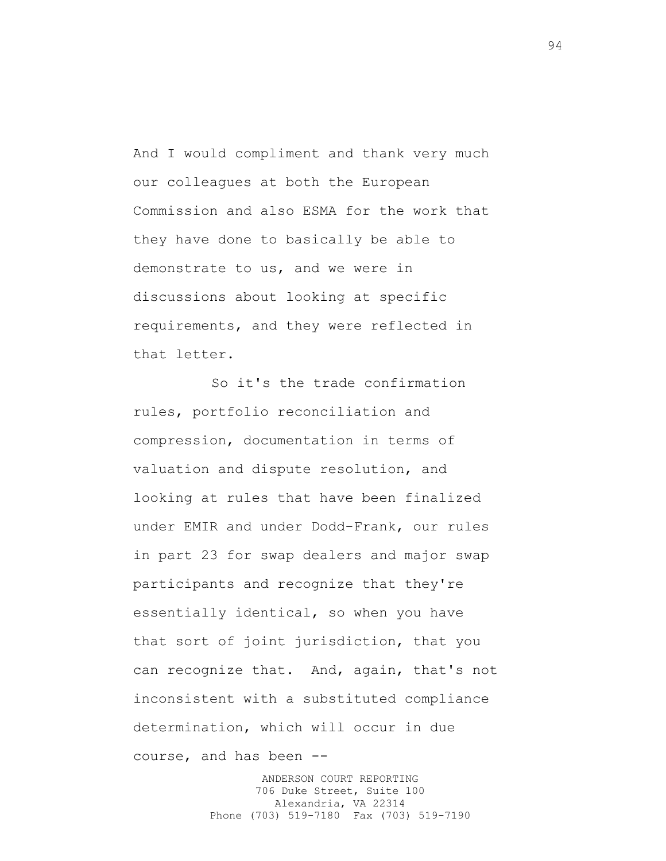And I would compliment and thank very much our colleagues at both the European Commission and also ESMA for the work that they have done to basically be able to demonstrate to us, and we were in discussions about looking at specific requirements, and they were reflected in that letter.

So it's the trade confirmation rules, portfolio reconciliation and compression, documentation in terms of valuation and dispute resolution, and looking at rules that have been finalized under EMIR and under Dodd-Frank, our rules in part 23 for swap dealers and major swap participants and recognize that they're essentially identical, so when you have that sort of joint jurisdiction, that you can recognize that. And, again, that's not inconsistent with a substituted compliance determination, which will occur in due course, and has been --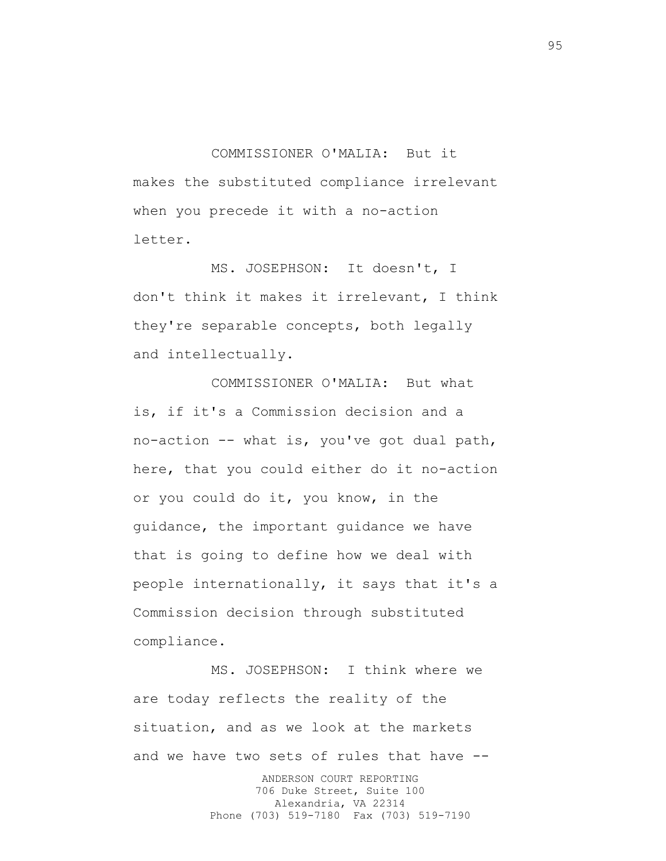## COMMISSIONER O'MALIA: But it

makes the substituted compliance irrelevant when you precede it with a no-action letter.

MS. JOSEPHSON: It doesn't, I don't think it makes it irrelevant, I think they're separable concepts, both legally and intellectually.

COMMISSIONER O'MALIA: But what is, if it's a Commission decision and a no-action -- what is, you've got dual path, here, that you could either do it no-action or you could do it, you know, in the guidance, the important guidance we have that is going to define how we deal with people internationally, it says that it's a Commission decision through substituted compliance.

MS. JOSEPHSON: I think where we are today reflects the reality of the situation, and as we look at the markets and we have two sets of rules that have --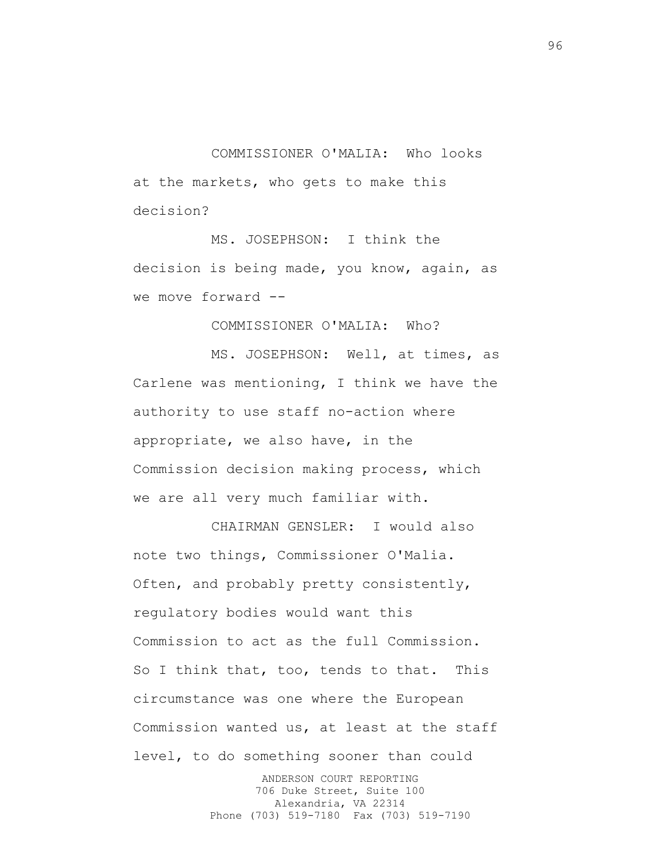## COMMISSIONER O'MALIA: Who looks

at the markets, who gets to make this decision?

MS. JOSEPHSON: I think the decision is being made, you know, again, as we move forward --

COMMISSIONER O'MALIA: Who?

MS. JOSEPHSON: Well, at times, as Carlene was mentioning, I think we have the authority to use staff no-action where appropriate, we also have, in the Commission decision making process, which we are all very much familiar with.

CHAIRMAN GENSLER: I would also note two things, Commissioner O'Malia. Often, and probably pretty consistently, regulatory bodies would want this Commission to act as the full Commission. So I think that, too, tends to that. This circumstance was one where the European Commission wanted us, at least at the staff level, to do something sooner than could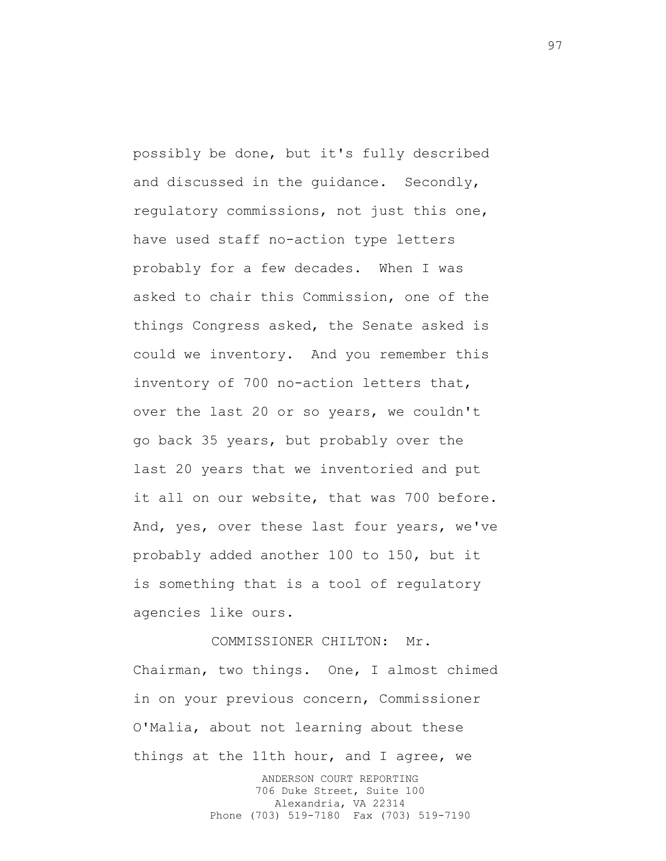possibly be done, but it's fully described and discussed in the guidance. Secondly, regulatory commissions, not just this one, have used staff no-action type letters probably for a few decades. When I was asked to chair this Commission, one of the things Congress asked, the Senate asked is could we inventory. And you remember this inventory of 700 no-action letters that, over the last 20 or so years, we couldn't go back 35 years, but probably over the last 20 years that we inventoried and put it all on our website, that was 700 before. And, yes, over these last four years, we've probably added another 100 to 150, but it is something that is a tool of regulatory agencies like ours.

COMMISSIONER CHILTON: Mr. Chairman, two things. One, I almost chimed in on your previous concern, Commissioner O'Malia, about not learning about these things at the 11th hour, and I agree, we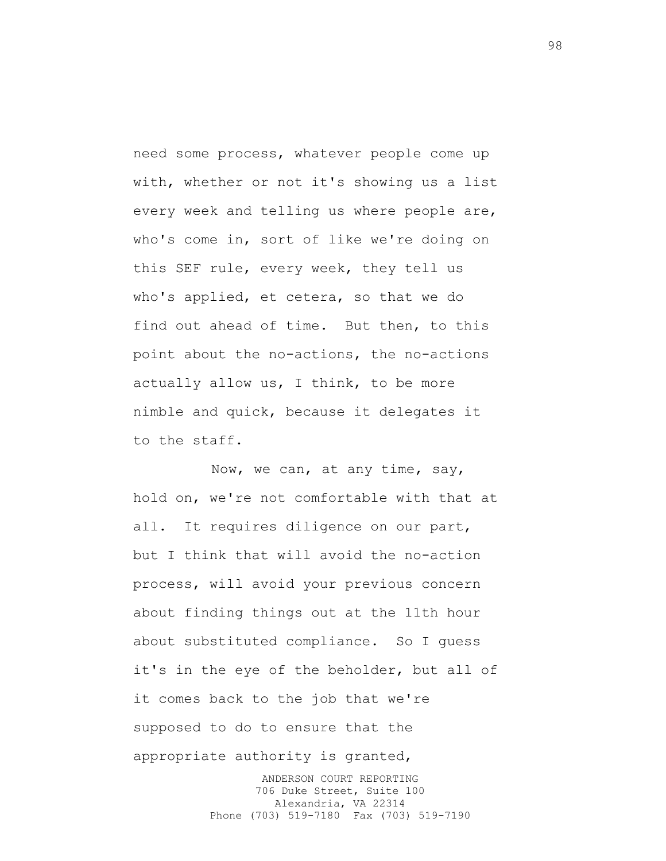need some process, whatever people come up with, whether or not it's showing us a list every week and telling us where people are, who's come in, sort of like we're doing on this SEF rule, every week, they tell us who's applied, et cetera, so that we do find out ahead of time. But then, to this point about the no-actions, the no-actions actually allow us, I think, to be more nimble and quick, because it delegates it to the staff.

Now, we can, at any time, say, hold on, we're not comfortable with that at all. It requires diligence on our part, but I think that will avoid the no-action process, will avoid your previous concern about finding things out at the 11th hour about substituted compliance. So I guess it's in the eye of the beholder, but all of it comes back to the job that we're supposed to do to ensure that the appropriate authority is granted,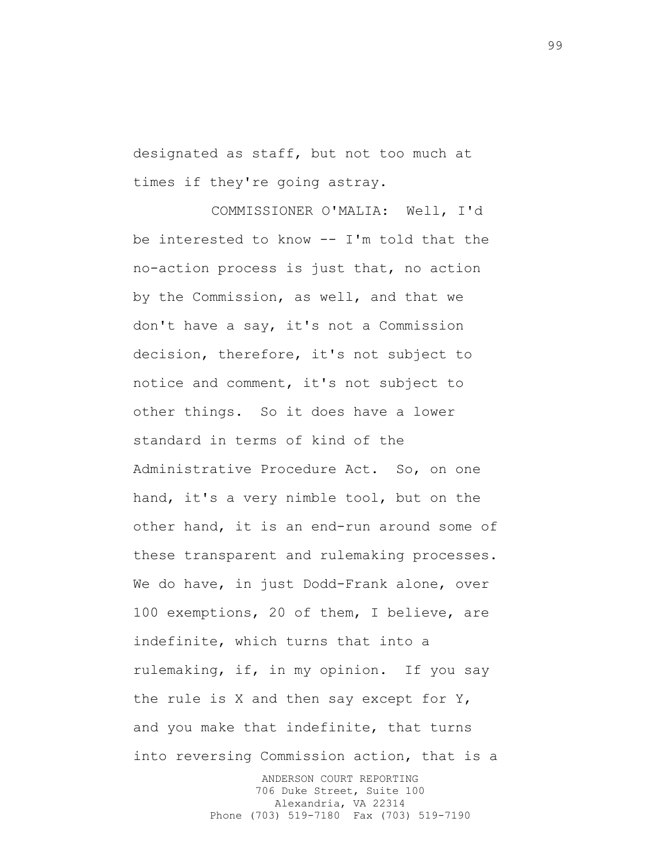designated as staff, but not too much at times if they're going astray.

COMMISSIONER O'MALIA: Well, I'd be interested to know -- I'm told that the no-action process is just that, no action by the Commission, as well, and that we don't have a say, it's not a Commission decision, therefore, it's not subject to notice and comment, it's not subject to other things. So it does have a lower standard in terms of kind of the Administrative Procedure Act. So, on one hand, it's a very nimble tool, but on the other hand, it is an end-run around some of these transparent and rulemaking processes. We do have, in just Dodd-Frank alone, over 100 exemptions, 20 of them, I believe, are indefinite, which turns that into a rulemaking, if, in my opinion. If you say the rule is X and then say except for Y, and you make that indefinite, that turns into reversing Commission action, that is a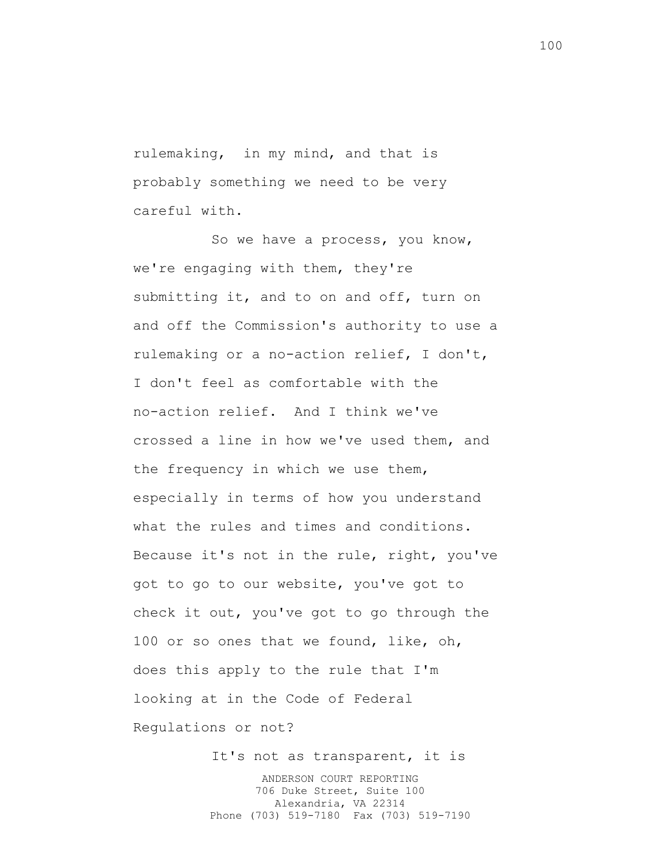rulemaking, in my mind, and that is probably something we need to be very careful with.

So we have a process, you know, we're engaging with them, they're submitting it, and to on and off, turn on and off the Commission's authority to use a rulemaking or a no-action relief, I don't, I don't feel as comfortable with the no-action relief. And I think we've crossed a line in how we've used them, and the frequency in which we use them, especially in terms of how you understand what the rules and times and conditions. Because it's not in the rule, right, you've got to go to our website, you've got to check it out, you've got to go through the 100 or so ones that we found, like, oh, does this apply to the rule that I'm looking at in the Code of Federal Regulations or not?

> ANDERSON COURT REPORTING 706 Duke Street, Suite 100 Alexandria, VA 22314 Phone (703) 519-7180 Fax (703) 519-7190 It's not as transparent, it is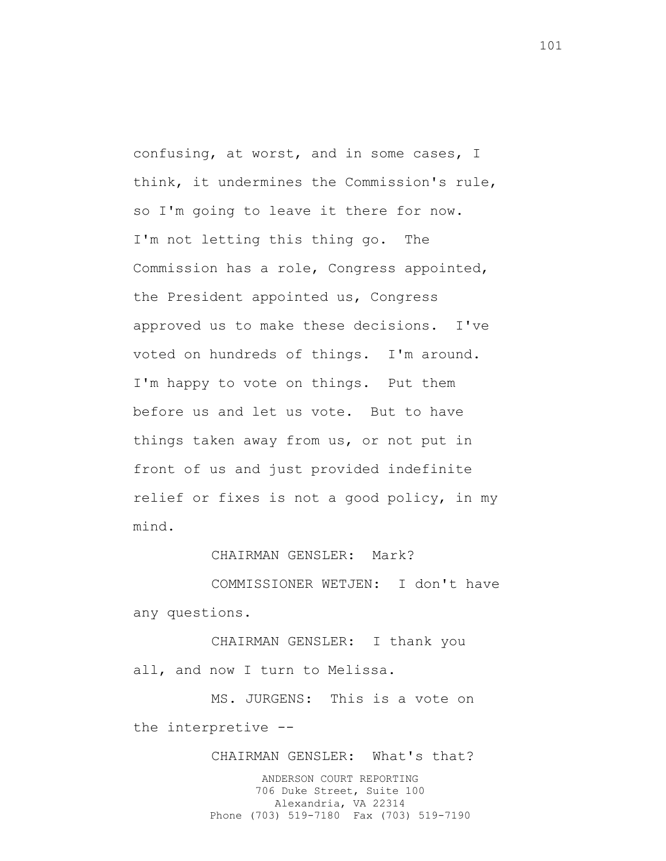confusing, at worst, and in some cases, I think, it undermines the Commission's rule, so I'm going to leave it there for now. I'm not letting this thing go. The Commission has a role, Congress appointed, the President appointed us, Congress approved us to make these decisions. I've voted on hundreds of things. I'm around. I'm happy to vote on things. Put them before us and let us vote. But to have things taken away from us, or not put in front of us and just provided indefinite relief or fixes is not a good policy, in my mind.

CHAIRMAN GENSLER: Mark?

COMMISSIONER WETJEN: I don't have any questions.

CHAIRMAN GENSLER: I thank you all, and now I turn to Melissa.

MS. JURGENS: This is a vote on the interpretive --

CHAIRMAN GENSLER: What's that?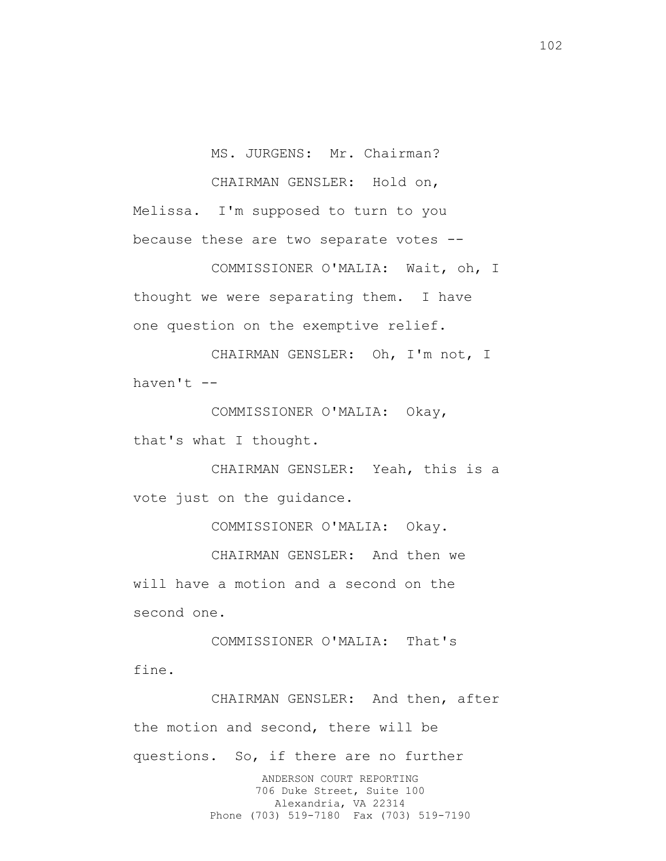MS. JURGENS: Mr. Chairman?

CHAIRMAN GENSLER: Hold on, Melissa. I'm supposed to turn to you because these are two separate votes --

COMMISSIONER O'MALIA: Wait, oh, I thought we were separating them. I have one question on the exemptive relief.

CHAIRMAN GENSLER: Oh, I'm not, I haven't --

COMMISSIONER O'MALIA: Okay, that's what I thought.

CHAIRMAN GENSLER: Yeah, this is a vote just on the guidance.

COMMISSIONER O'MALIA: Okay.

CHAIRMAN GENSLER: And then we will have a motion and a second on the second one.

COMMISSIONER O'MALIA: That's fine.

ANDERSON COURT REPORTING 706 Duke Street, Suite 100 Alexandria, VA 22314 Phone (703) 519-7180 Fax (703) 519-7190 CHAIRMAN GENSLER: And then, after the motion and second, there will be questions. So, if there are no further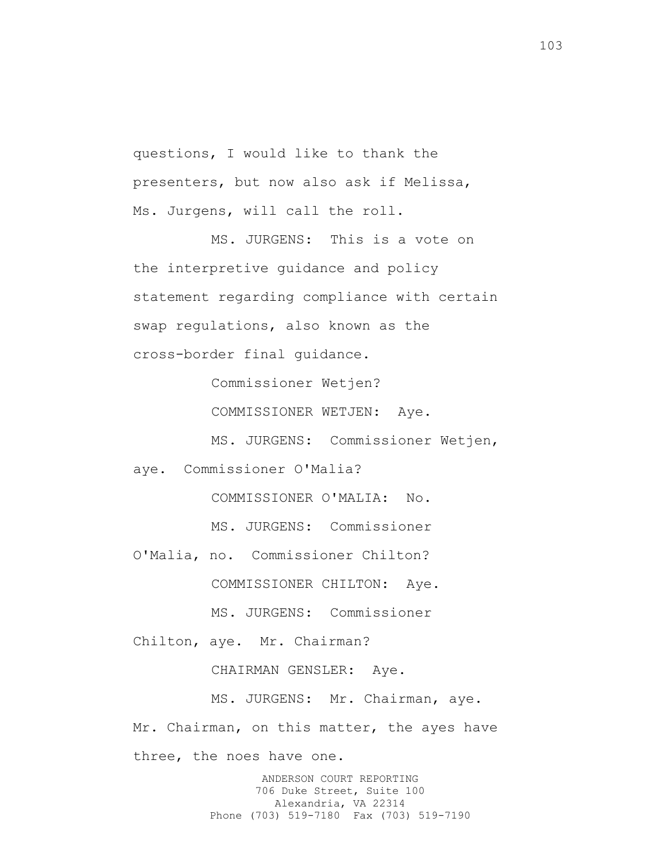questions, I would like to thank the presenters, but now also ask if Melissa, Ms. Jurgens, will call the roll.

MS. JURGENS: This is a vote on the interpretive guidance and policy statement regarding compliance with certain swap regulations, also known as the cross-border final guidance.

Commissioner Wetjen?

COMMISSIONER WETJEN: Aye.

MS. JURGENS: Commissioner Wetjen,

aye. Commissioner O'Malia?

COMMISSIONER O'MALIA: No.

MS. JURGENS: Commissioner

O'Malia, no. Commissioner Chilton?

COMMISSIONER CHILTON: Aye.

MS. JURGENS: Commissioner

Chilton, aye. Mr. Chairman?

CHAIRMAN GENSLER: Aye.

MS. JURGENS: Mr. Chairman, aye.

Mr. Chairman, on this matter, the ayes have three, the noes have one.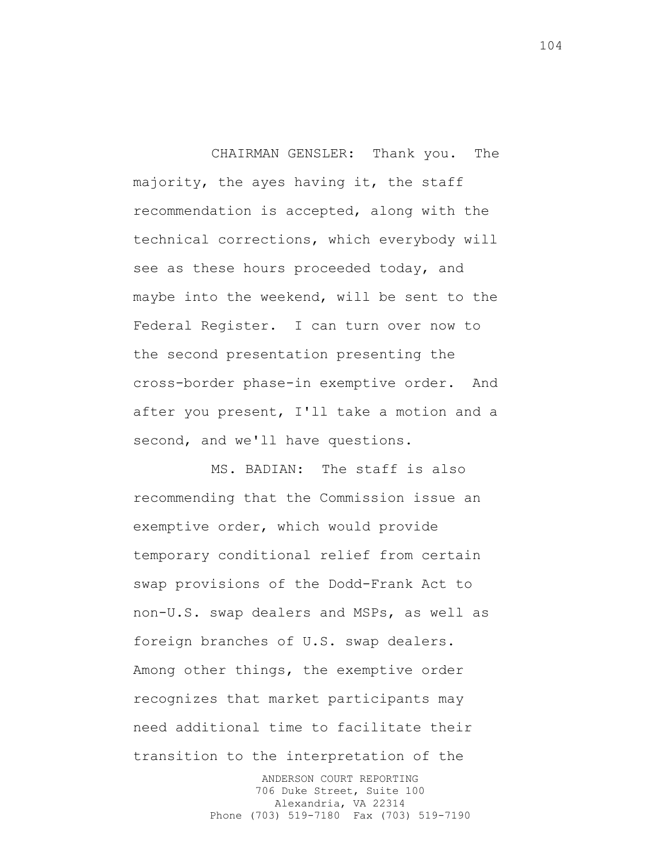CHAIRMAN GENSLER: Thank you. The majority, the ayes having it, the staff recommendation is accepted, along with the technical corrections, which everybody will see as these hours proceeded today, and maybe into the weekend, will be sent to the Federal Register. I can turn over now to the second presentation presenting the cross-border phase-in exemptive order. And after you present, I'll take a motion and a second, and we'll have questions.

MS. BADIAN: The staff is also recommending that the Commission issue an exemptive order, which would provide temporary conditional relief from certain swap provisions of the Dodd-Frank Act to non-U.S. swap dealers and MSPs, as well as foreign branches of U.S. swap dealers. Among other things, the exemptive order recognizes that market participants may need additional time to facilitate their transition to the interpretation of the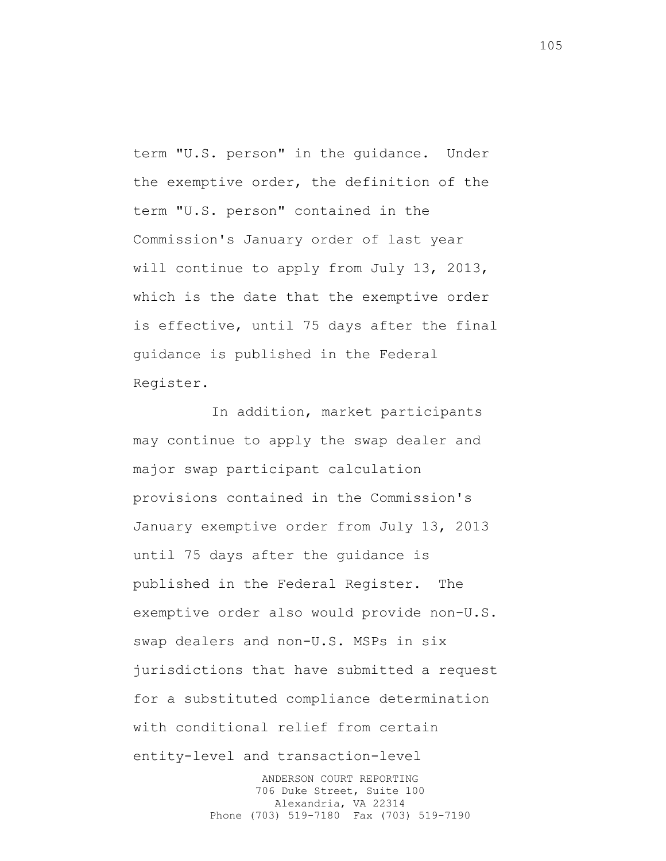term "U.S. person" in the guidance. Under the exemptive order, the definition of the term "U.S. person" contained in the Commission's January order of last year will continue to apply from July 13, 2013, which is the date that the exemptive order is effective, until 75 days after the final guidance is published in the Federal Register.

In addition, market participants may continue to apply the swap dealer and major swap participant calculation provisions contained in the Commission's January exemptive order from July 13, 2013 until 75 days after the guidance is published in the Federal Register. The exemptive order also would provide non-U.S. swap dealers and non-U.S. MSPs in six jurisdictions that have submitted a request for a substituted compliance determination with conditional relief from certain entity-level and transaction-level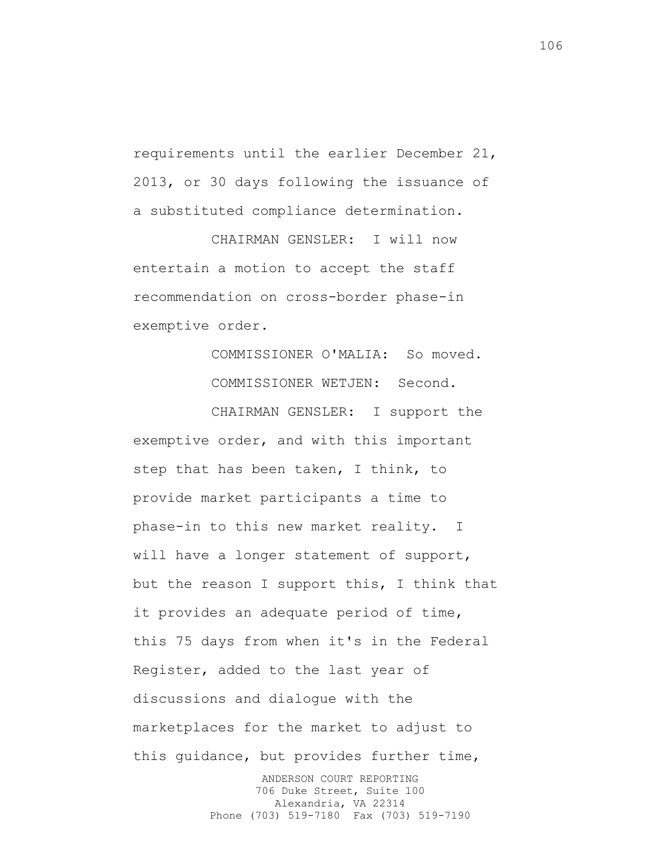requirements until the earlier December 21, 2013, or 30 days following the issuance of a substituted compliance determination.

CHAIRMAN GENSLER: I will now entertain a motion to accept the staff recommendation on cross-border phase-in exemptive order.

> COMMISSIONER O'MALIA: So moved. COMMISSIONER WETJEN: Second.

CHAIRMAN GENSLER: I support the exemptive order, and with this important step that has been taken, I think, to provide market participants a time to phase-in to this new market reality. I will have a longer statement of support, but the reason I support this, I think that it provides an adequate period of time, this 75 days from when it's in the Federal Register, added to the last year of discussions and dialogue with the marketplaces for the market to adjust to this guidance, but provides further time,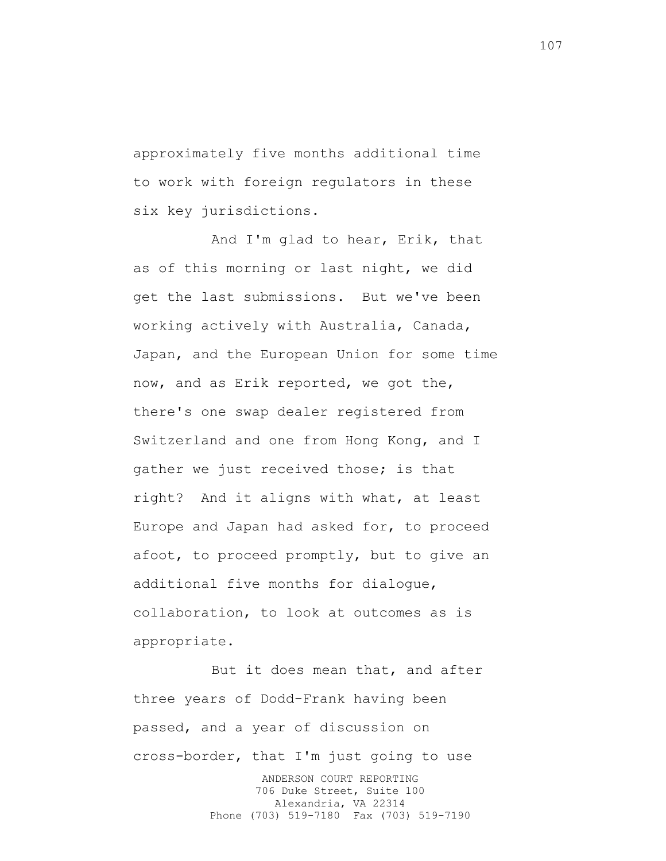approximately five months additional time to work with foreign regulators in these six key jurisdictions.

And I'm glad to hear, Erik, that as of this morning or last night, we did get the last submissions. But we've been working actively with Australia, Canada, Japan, and the European Union for some time now, and as Erik reported, we got the, there's one swap dealer registered from Switzerland and one from Hong Kong, and I gather we just received those; is that right? And it aligns with what, at least Europe and Japan had asked for, to proceed afoot, to proceed promptly, but to give an additional five months for dialogue, collaboration, to look at outcomes as is appropriate.

ANDERSON COURT REPORTING 706 Duke Street, Suite 100 Alexandria, VA 22314 Phone (703) 519-7180 Fax (703) 519-7190 But it does mean that, and after three years of Dodd-Frank having been passed, and a year of discussion on cross-border, that I'm just going to use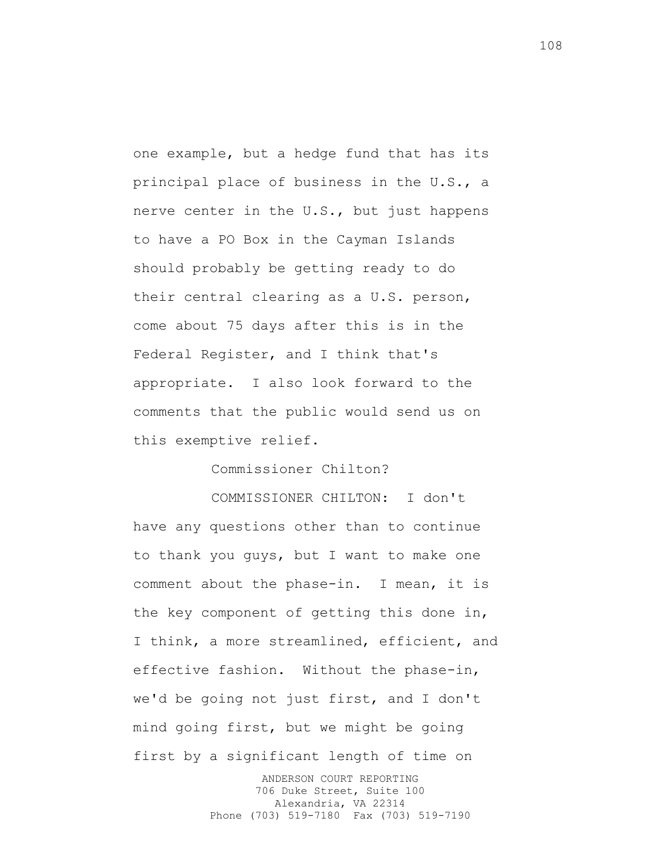one example, but a hedge fund that has its principal place of business in the U.S., a nerve center in the U.S., but just happens to have a PO Box in the Cayman Islands should probably be getting ready to do their central clearing as a U.S. person, come about 75 days after this is in the Federal Register, and I think that's appropriate. I also look forward to the comments that the public would send us on this exemptive relief.

Commissioner Chilton?

COMMISSIONER CHILTON: I don't have any questions other than to continue to thank you guys, but I want to make one comment about the phase-in. I mean, it is the key component of getting this done in, I think, a more streamlined, efficient, and effective fashion. Without the phase-in, we'd be going not just first, and I don't mind going first, but we might be going first by a significant length of time on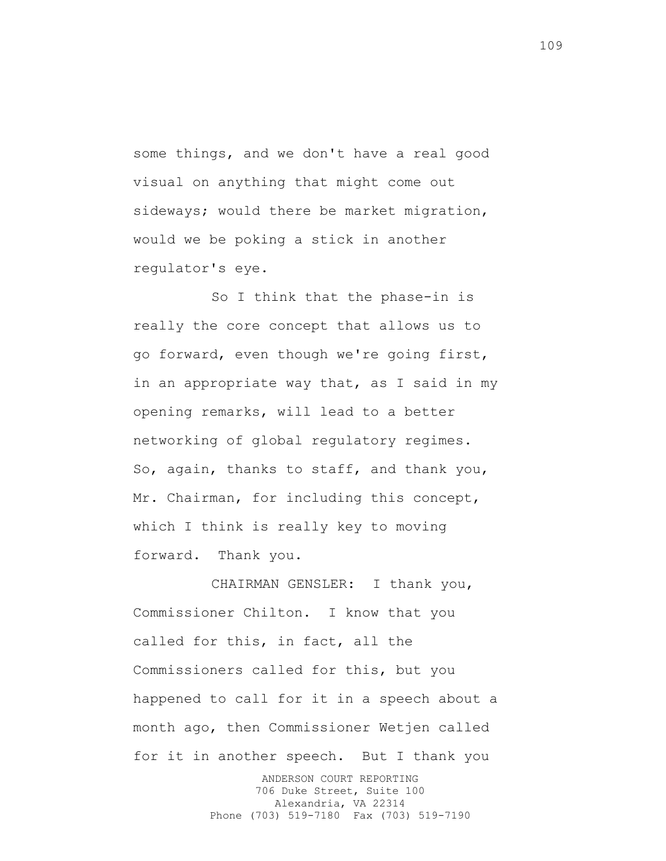some things, and we don't have a real good visual on anything that might come out sideways; would there be market migration, would we be poking a stick in another regulator's eye.

So I think that the phase-in is really the core concept that allows us to go forward, even though we're going first, in an appropriate way that, as I said in my opening remarks, will lead to a better networking of global regulatory regimes. So, again, thanks to staff, and thank you, Mr. Chairman, for including this concept, which I think is really key to moving forward. Thank you.

CHAIRMAN GENSLER: I thank you, Commissioner Chilton. I know that you called for this, in fact, all the Commissioners called for this, but you happened to call for it in a speech about a month ago, then Commissioner Wetjen called for it in another speech. But I thank you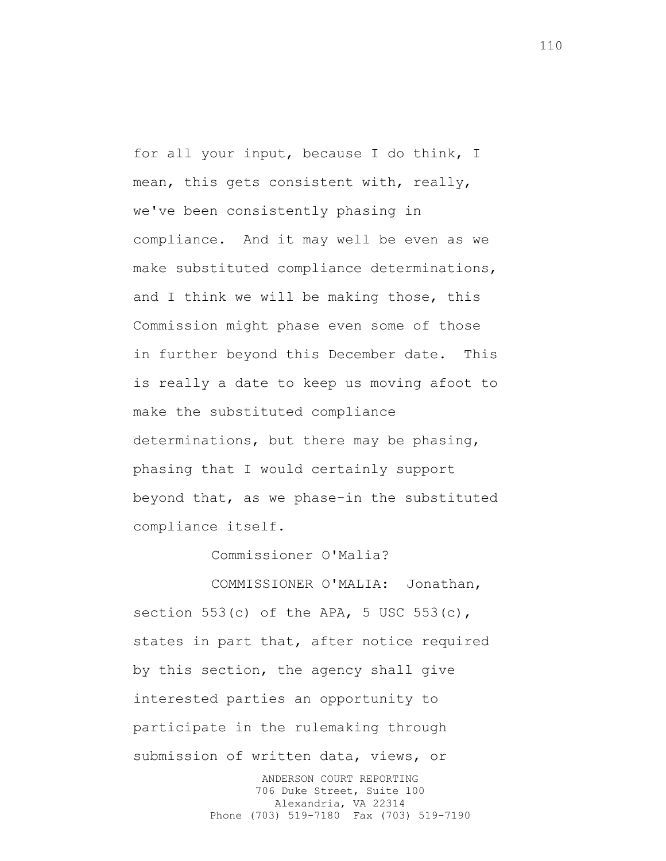for all your input, because I do think, I mean, this gets consistent with, really, we've been consistently phasing in compliance. And it may well be even as we make substituted compliance determinations, and I think we will be making those, this Commission might phase even some of those in further beyond this December date. This is really a date to keep us moving afoot to make the substituted compliance determinations, but there may be phasing, phasing that I would certainly support beyond that, as we phase-in the substituted compliance itself.

Commissioner O'Malia?

COMMISSIONER O'MALIA: Jonathan, section  $553(c)$  of the APA, 5 USC  $553(c)$ , states in part that, after notice required by this section, the agency shall give interested parties an opportunity to participate in the rulemaking through submission of written data, views, or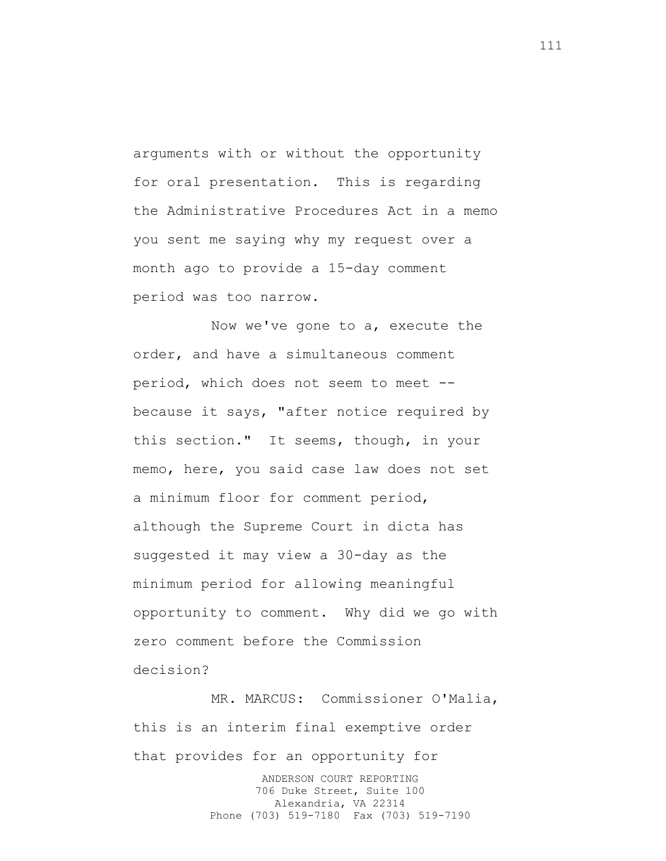arguments with or without the opportunity for oral presentation. This is regarding the Administrative Procedures Act in a memo you sent me saying why my request over a month ago to provide a 15-day comment period was too narrow.

Now we've gone to a, execute the order, and have a simultaneous comment period, which does not seem to meet - because it says, "after notice required by this section." It seems, though, in your memo, here, you said case law does not set a minimum floor for comment period, although the Supreme Court in dicta has suggested it may view a 30-day as the minimum period for allowing meaningful opportunity to comment. Why did we go with zero comment before the Commission decision?

ANDERSON COURT REPORTING 706 Duke Street, Suite 100 Alexandria, VA 22314 Phone (703) 519-7180 Fax (703) 519-7190 MR. MARCUS: Commissioner O'Malia, this is an interim final exemptive order that provides for an opportunity for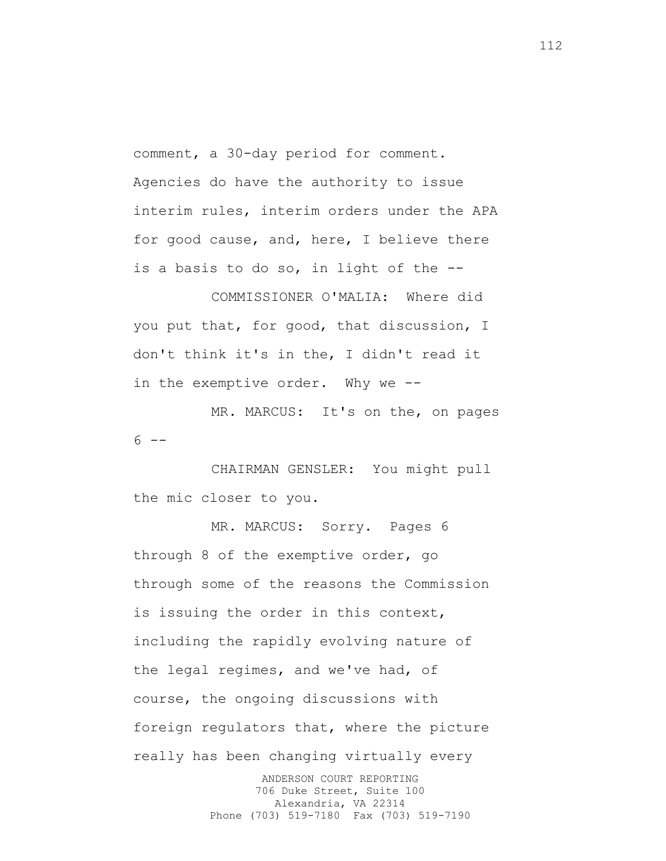comment, a 30-day period for comment. Agencies do have the authority to issue interim rules, interim orders under the APA for good cause, and, here, I believe there is a basis to do so, in light of the --

COMMISSIONER O'MALIA: Where did you put that, for good, that discussion, I don't think it's in the, I didn't read it in the exemptive order. Why we --

MR. MARCUS: It's on the, on pages  $6 - -$ 

CHAIRMAN GENSLER: You might pull the mic closer to you.

MR. MARCUS: Sorry. Pages 6 through 8 of the exemptive order, go through some of the reasons the Commission is issuing the order in this context, including the rapidly evolving nature of the legal regimes, and we've had, of course, the ongoing discussions with foreign regulators that, where the picture really has been changing virtually every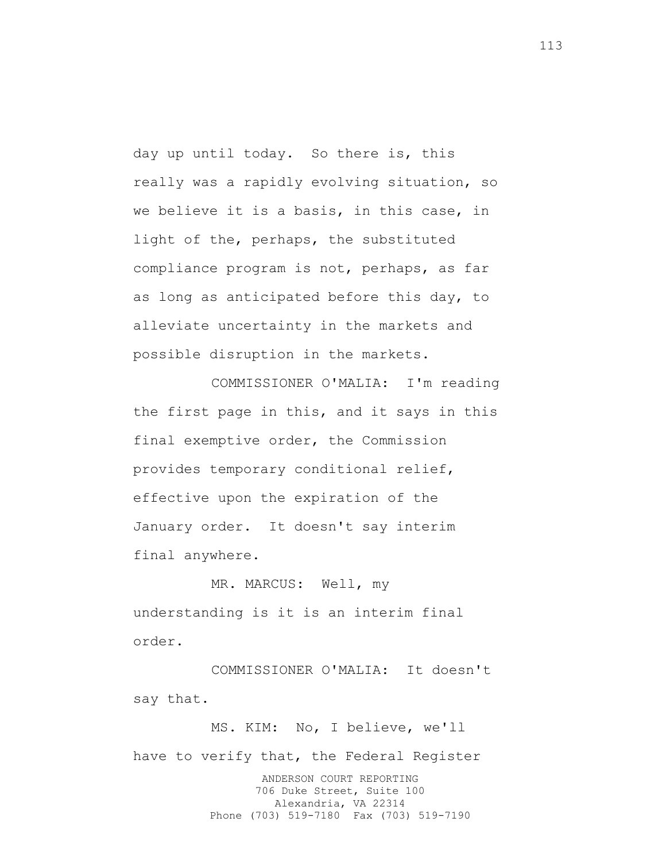day up until today. So there is, this really was a rapidly evolving situation, so we believe it is a basis, in this case, in light of the, perhaps, the substituted compliance program is not, perhaps, as far as long as anticipated before this day, to alleviate uncertainty in the markets and possible disruption in the markets.

COMMISSIONER O'MALIA: I'm reading the first page in this, and it says in this final exemptive order, the Commission provides temporary conditional relief, effective upon the expiration of the January order. It doesn't say interim final anywhere.

MR. MARCUS: Well, my understanding is it is an interim final order.

COMMISSIONER O'MALIA: It doesn't say that.

ANDERSON COURT REPORTING 706 Duke Street, Suite 100 Alexandria, VA 22314 Phone (703) 519-7180 Fax (703) 519-7190 MS. KIM: No, I believe, we'll have to verify that, the Federal Register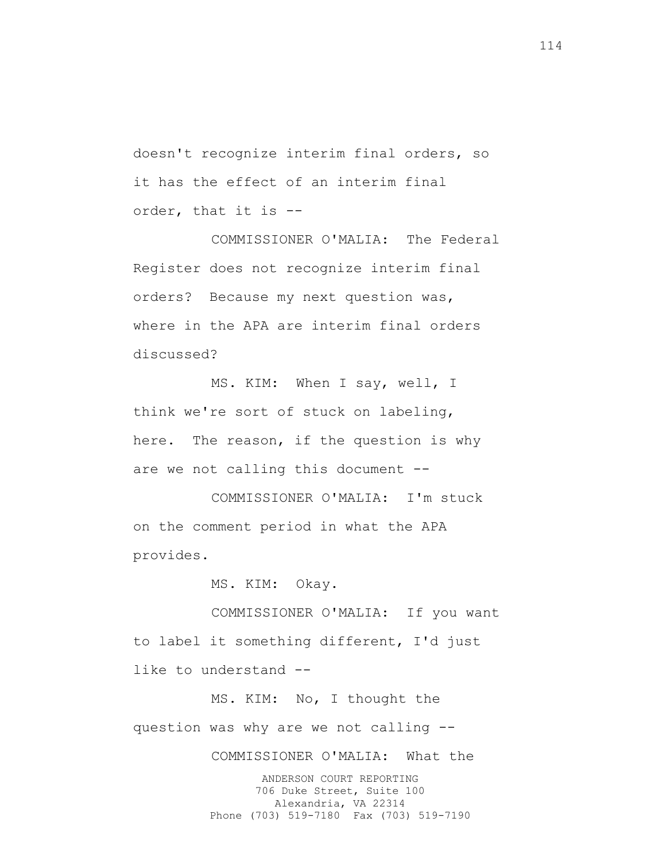doesn't recognize interim final orders, so it has the effect of an interim final order, that it is --

COMMISSIONER O'MALIA: The Federal Register does not recognize interim final orders? Because my next question was, where in the APA are interim final orders discussed?

MS. KIM: When I say, well, I think we're sort of stuck on labeling, here. The reason, if the question is why are we not calling this document --

COMMISSIONER O'MALIA: I'm stuck on the comment period in what the APA provides.

MS. KIM: Okay.

COMMISSIONER O'MALIA: If you want to label it something different, I'd just like to understand --

MS. KIM: No, I thought the question was why are we not calling --

COMMISSIONER O'MALIA: What the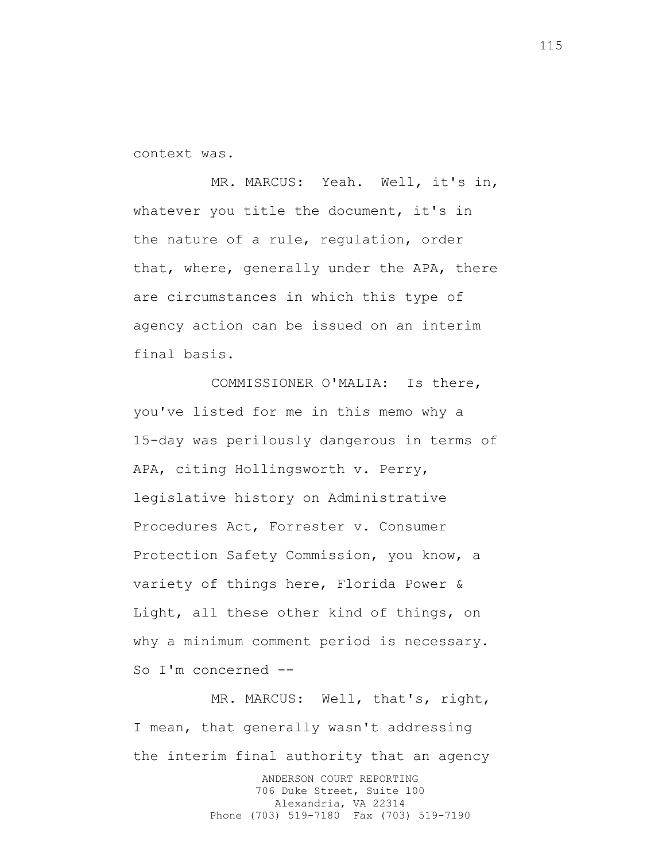context was.

MR. MARCUS: Yeah. Well, it's in, whatever you title the document, it's in the nature of a rule, regulation, order that, where, generally under the APA, there are circumstances in which this type of agency action can be issued on an interim final basis.

COMMISSIONER O'MALIA: Is there, you've listed for me in this memo why a 15-day was perilously dangerous in terms of APA, citing Hollingsworth v. Perry, legislative history on Administrative Procedures Act, Forrester v. Consumer Protection Safety Commission, you know, a variety of things here, Florida Power & Light, all these other kind of things, on why a minimum comment period is necessary. So I'm concerned --

MR. MARCUS: Well, that's, right, I mean, that generally wasn't addressing the interim final authority that an agency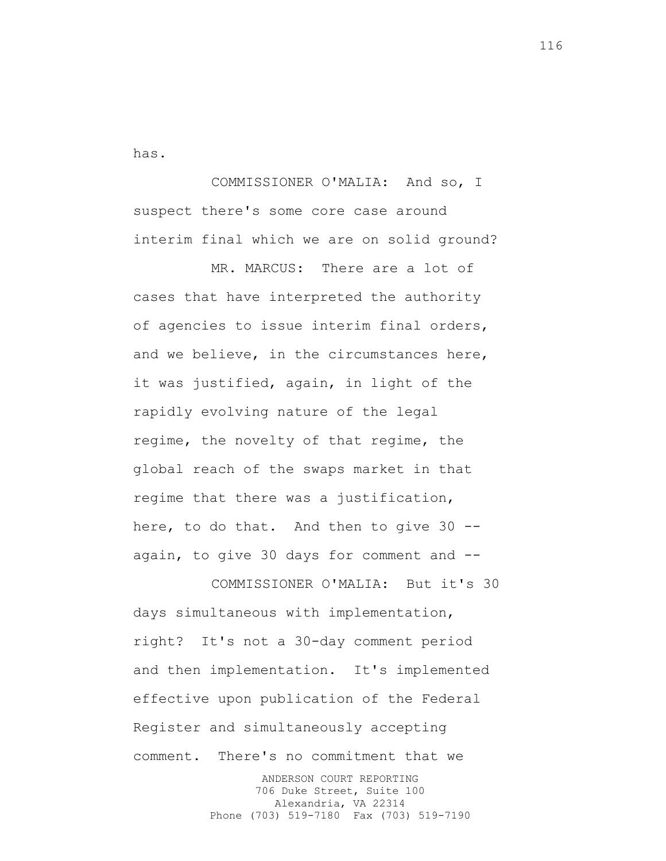has.

COMMISSIONER O'MALIA: And so, I suspect there's some core case around interim final which we are on solid ground?

MR. MARCUS: There are a lot of cases that have interpreted the authority of agencies to issue interim final orders, and we believe, in the circumstances here, it was justified, again, in light of the rapidly evolving nature of the legal regime, the novelty of that regime, the global reach of the swaps market in that regime that there was a justification, here, to do that. And then to give 30 - again, to give 30 days for comment and --

ANDERSON COURT REPORTING 706 Duke Street, Suite 100 Alexandria, VA 22314 Phone (703) 519-7180 Fax (703) 519-7190 COMMISSIONER O'MALIA: But it's 30 days simultaneous with implementation, right? It's not a 30-day comment period and then implementation. It's implemented effective upon publication of the Federal Register and simultaneously accepting comment. There's no commitment that we

116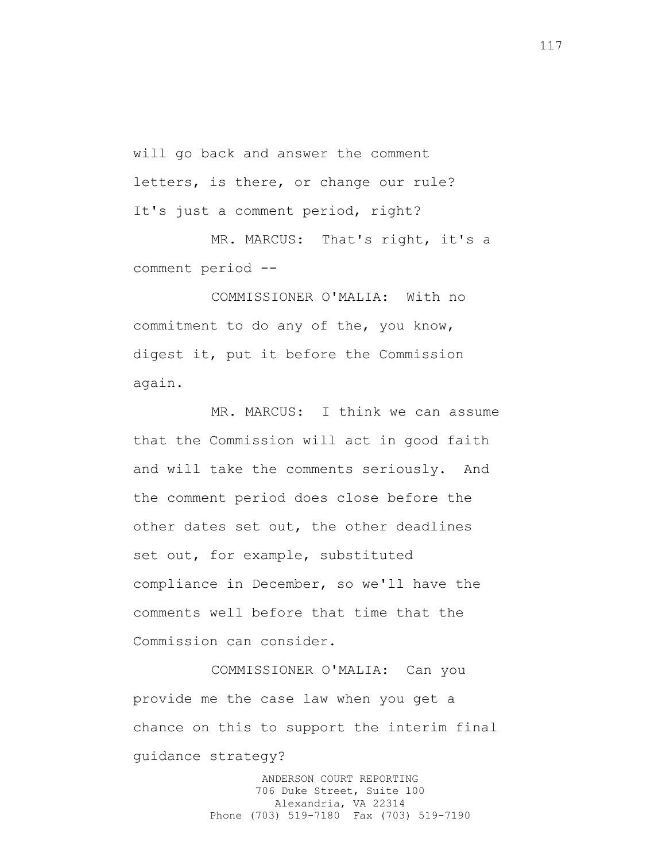will go back and answer the comment letters, is there, or change our rule? It's just a comment period, right?

MR. MARCUS: That's right, it's a comment period --

COMMISSIONER O'MALIA: With no commitment to do any of the, you know, digest it, put it before the Commission again.

MR. MARCUS: I think we can assume that the Commission will act in good faith and will take the comments seriously. And the comment period does close before the other dates set out, the other deadlines set out, for example, substituted compliance in December, so we'll have the comments well before that time that the Commission can consider.

COMMISSIONER O'MALIA: Can you provide me the case law when you get a chance on this to support the interim final guidance strategy?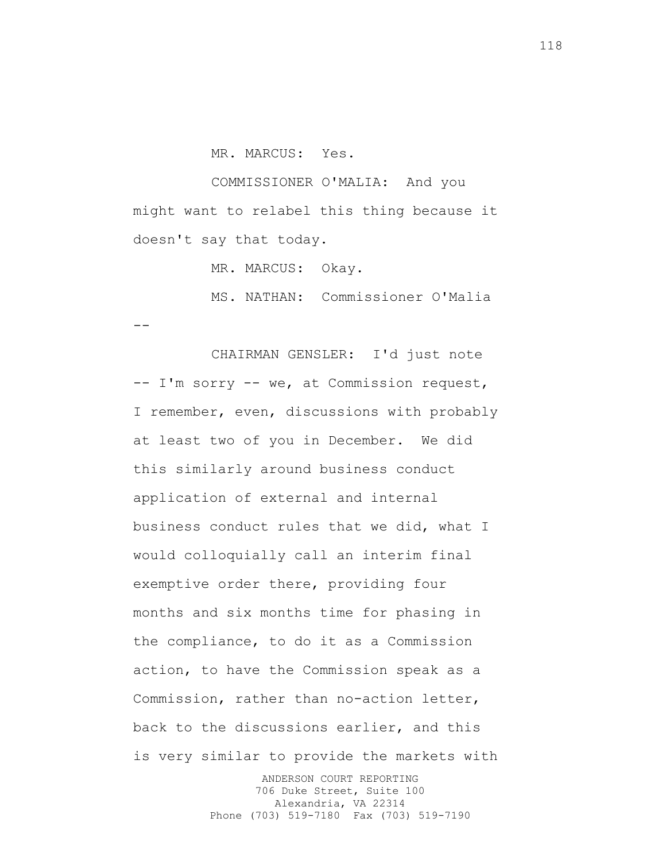MR. MARCUS: Yes.

COMMISSIONER O'MALIA: And you might want to relabel this thing because it doesn't say that today.

MR. MARCUS: Okay.

MS. NATHAN: Commissioner O'Malia --

CHAIRMAN GENSLER: I'd just note -- I'm sorry -- we, at Commission request, I remember, even, discussions with probably at least two of you in December. We did this similarly around business conduct application of external and internal business conduct rules that we did, what I would colloquially call an interim final exemptive order there, providing four months and six months time for phasing in the compliance, to do it as a Commission action, to have the Commission speak as a Commission, rather than no-action letter, back to the discussions earlier, and this is very similar to provide the markets with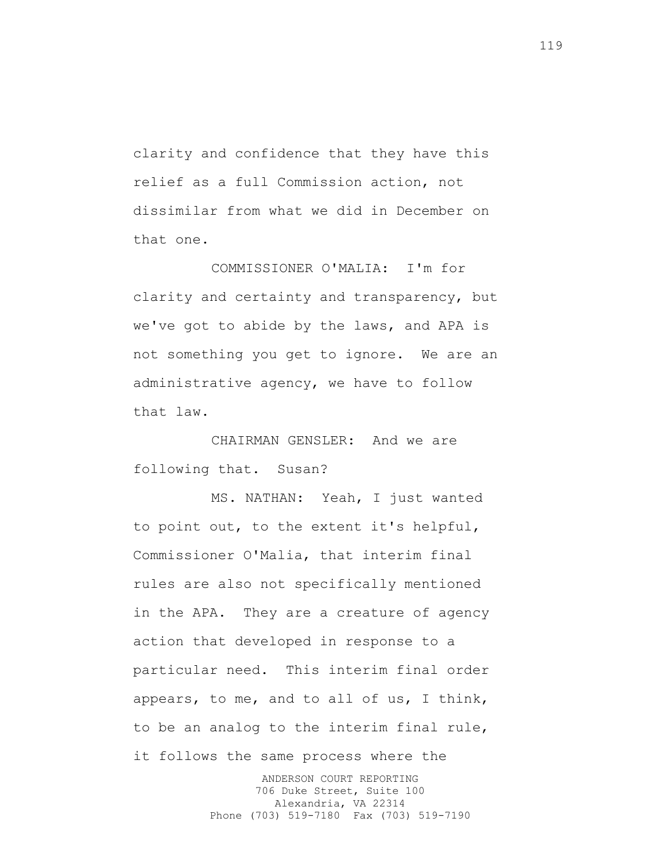clarity and confidence that they have this relief as a full Commission action, not dissimilar from what we did in December on that one.

COMMISSIONER O'MALIA: I'm for clarity and certainty and transparency, but we've got to abide by the laws, and APA is not something you get to ignore. We are an administrative agency, we have to follow that law.

CHAIRMAN GENSLER: And we are following that. Susan?

MS. NATHAN: Yeah, I just wanted to point out, to the extent it's helpful, Commissioner O'Malia, that interim final rules are also not specifically mentioned in the APA. They are a creature of agency action that developed in response to a particular need. This interim final order appears, to me, and to all of us, I think, to be an analog to the interim final rule, it follows the same process where the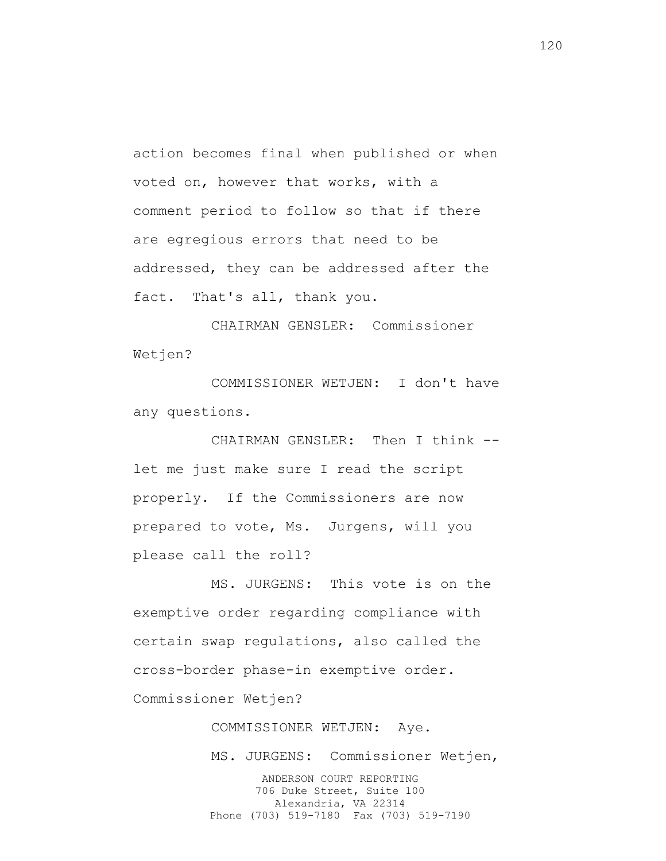action becomes final when published or when voted on, however that works, with a comment period to follow so that if there are egregious errors that need to be addressed, they can be addressed after the fact. That's all, thank you.

CHAIRMAN GENSLER: Commissioner Wetjen?

COMMISSIONER WETJEN: I don't have any questions.

CHAIRMAN GENSLER: Then I think - let me just make sure I read the script properly. If the Commissioners are now prepared to vote, Ms. Jurgens, will you please call the roll?

MS. JURGENS: This vote is on the exemptive order regarding compliance with certain swap regulations, also called the cross-border phase-in exemptive order. Commissioner Wetjen?

> ANDERSON COURT REPORTING 706 Duke Street, Suite 100 COMMISSIONER WETJEN: Aye. MS. JURGENS: Commissioner Wetjen,

Alexandria, VA 22314 Phone (703) 519-7180 Fax (703) 519-7190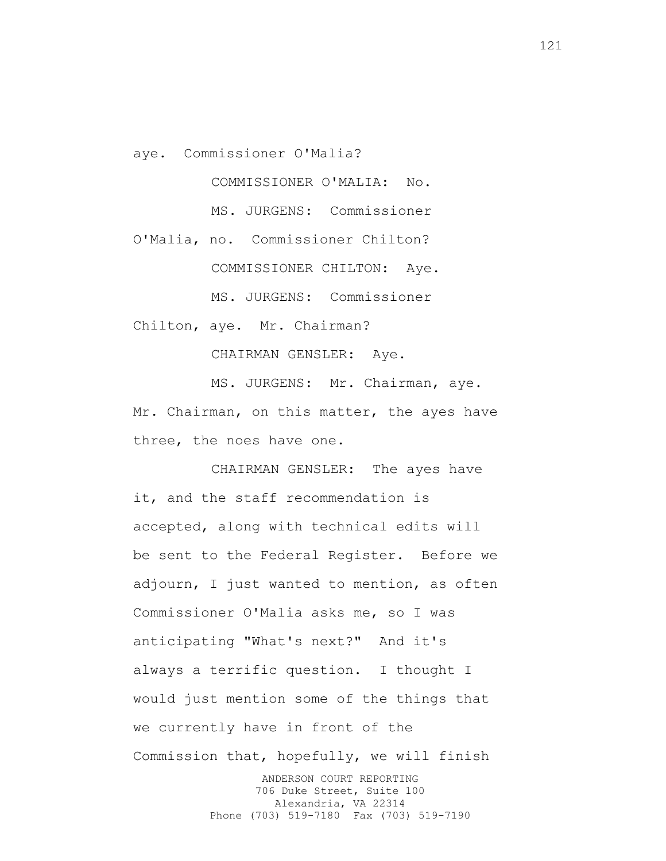aye. Commissioner O'Malia?

COMMISSIONER O'MALIA: No. MS. JURGENS: Commissioner

O'Malia, no. Commissioner Chilton? COMMISSIONER CHILTON: Aye.

MS. JURGENS: Commissioner

Chilton, aye. Mr. Chairman?

CHAIRMAN GENSLER: Aye.

MS. JURGENS: Mr. Chairman, aye. Mr. Chairman, on this matter, the ayes have three, the noes have one.

CHAIRMAN GENSLER: The ayes have it, and the staff recommendation is accepted, along with technical edits will be sent to the Federal Register. Before we adjourn, I just wanted to mention, as often Commissioner O'Malia asks me, so I was anticipating "What's next?" And it's always a terrific question. I thought I would just mention some of the things that we currently have in front of the Commission that, hopefully, we will finish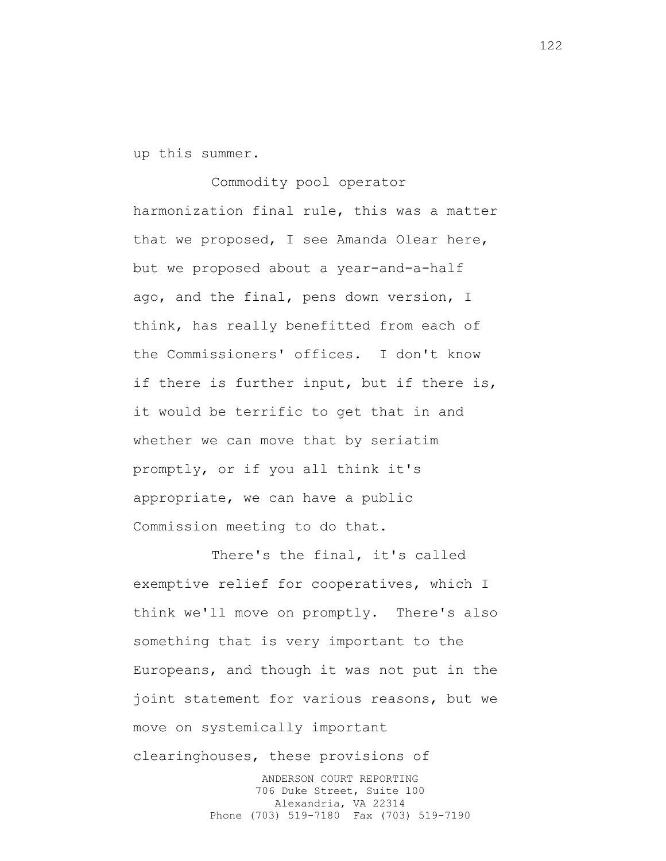up this summer.

Commodity pool operator harmonization final rule, this was a matter that we proposed, I see Amanda Olear here, but we proposed about a year-and-a-half ago, and the final, pens down version, I think, has really benefitted from each of the Commissioners' offices. I don't know if there is further input, but if there is, it would be terrific to get that in and whether we can move that by seriatim promptly, or if you all think it's appropriate, we can have a public Commission meeting to do that.

There's the final, it's called exemptive relief for cooperatives, which I think we'll move on promptly. There's also something that is very important to the Europeans, and though it was not put in the joint statement for various reasons, but we move on systemically important clearinghouses, these provisions of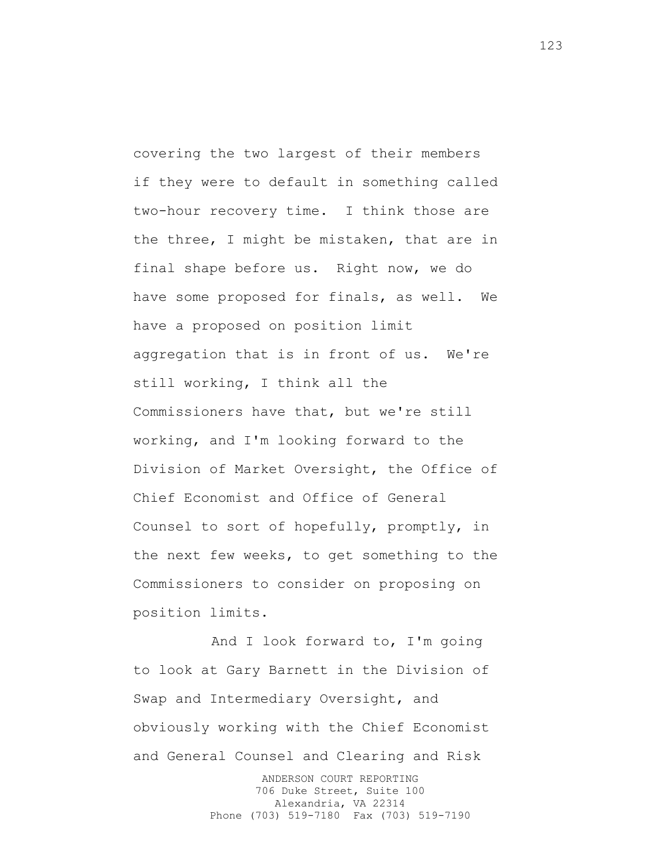covering the two largest of their members if they were to default in something called two-hour recovery time. I think those are the three, I might be mistaken, that are in final shape before us. Right now, we do have some proposed for finals, as well. We have a proposed on position limit aggregation that is in front of us. We're still working, I think all the Commissioners have that, but we're still working, and I'm looking forward to the Division of Market Oversight, the Office of Chief Economist and Office of General Counsel to sort of hopefully, promptly, in the next few weeks, to get something to the Commissioners to consider on proposing on position limits.

And I look forward to, I'm going to look at Gary Barnett in the Division of Swap and Intermediary Oversight, and obviously working with the Chief Economist and General Counsel and Clearing and Risk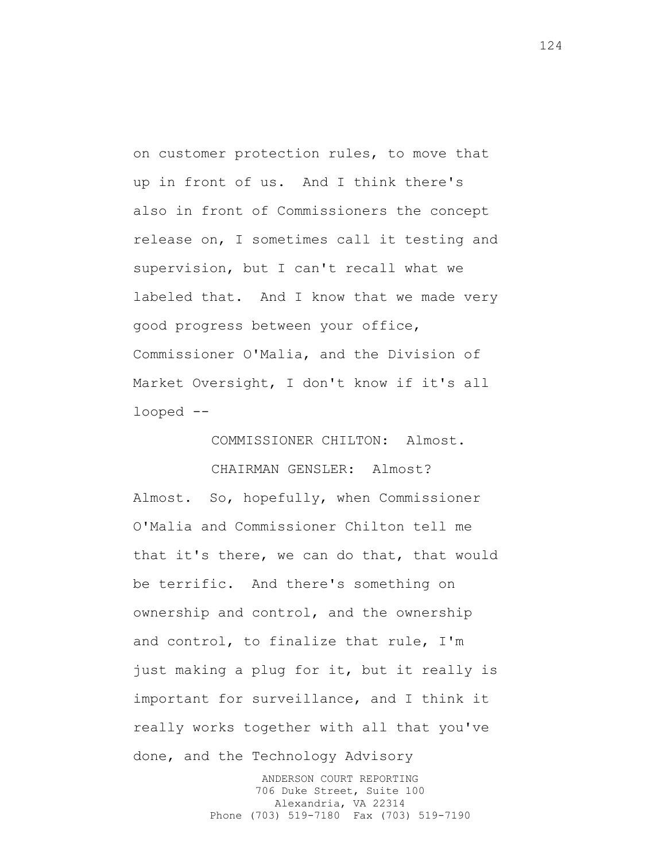on customer protection rules, to move that up in front of us. And I think there's also in front of Commissioners the concept release on, I sometimes call it testing and supervision, but I can't recall what we labeled that. And I know that we made very good progress between your office, Commissioner O'Malia, and the Division of Market Oversight, I don't know if it's all looped --

COMMISSIONER CHILTON: Almost.

CHAIRMAN GENSLER: Almost? Almost. So, hopefully, when Commissioner O'Malia and Commissioner Chilton tell me that it's there, we can do that, that would be terrific. And there's something on ownership and control, and the ownership and control, to finalize that rule, I'm just making a plug for it, but it really is important for surveillance, and I think it really works together with all that you've done, and the Technology Advisory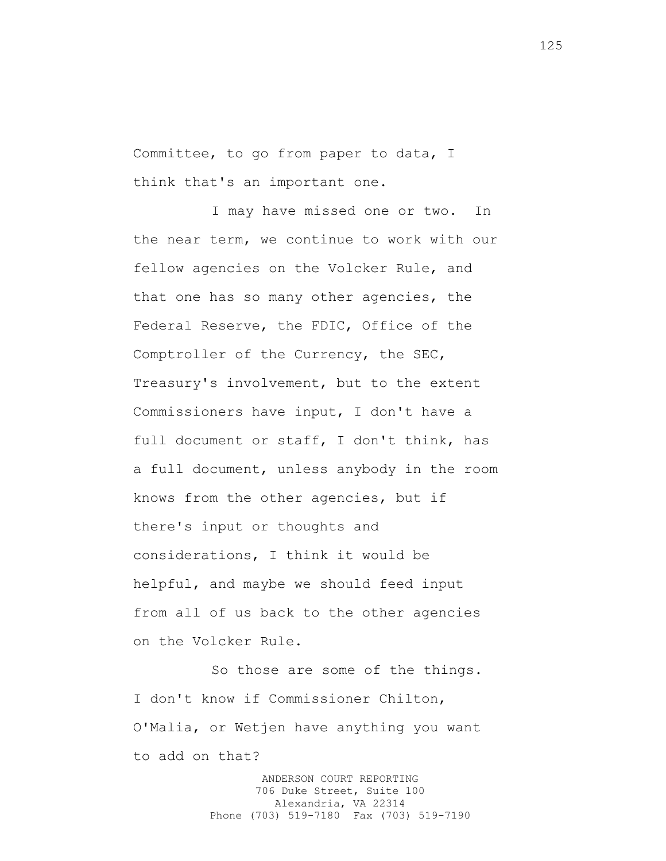Committee, to go from paper to data, I think that's an important one.

I may have missed one or two. In the near term, we continue to work with our fellow agencies on the Volcker Rule, and that one has so many other agencies, the Federal Reserve, the FDIC, Office of the Comptroller of the Currency, the SEC, Treasury's involvement, but to the extent Commissioners have input, I don't have a full document or staff, I don't think, has a full document, unless anybody in the room knows from the other agencies, but if there's input or thoughts and considerations, I think it would be helpful, and maybe we should feed input from all of us back to the other agencies on the Volcker Rule.

So those are some of the things. I don't know if Commissioner Chilton, O'Malia, or Wetjen have anything you want to add on that?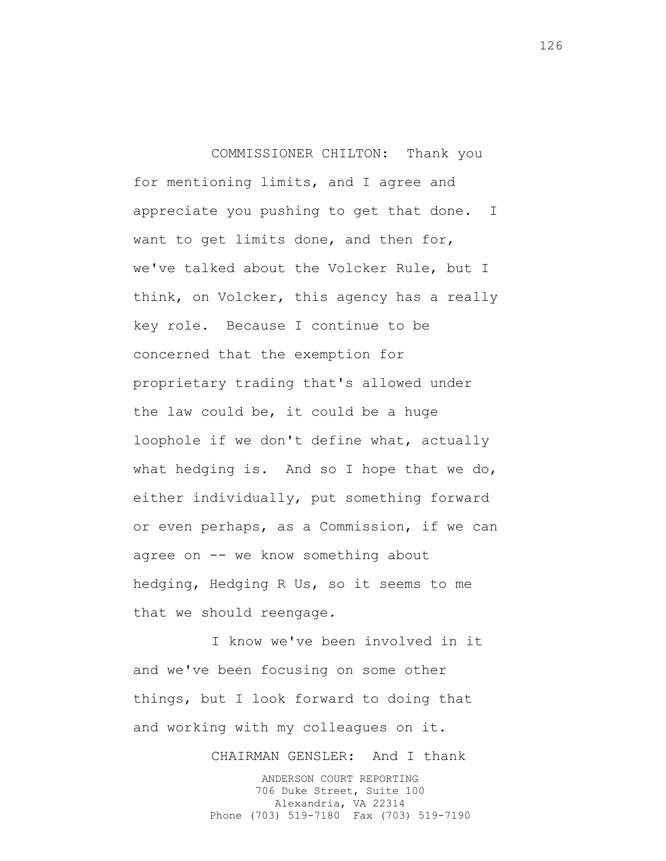## COMMISSIONER CHILTON: Thank you

for mentioning limits, and I agree and appreciate you pushing to get that done. I want to get limits done, and then for, we've talked about the Volcker Rule, but I think, on Volcker, this agency has a really key role. Because I continue to be concerned that the exemption for proprietary trading that's allowed under the law could be, it could be a huge loophole if we don't define what, actually what hedging is. And so I hope that we do, either individually, put something forward or even perhaps, as a Commission, if we can agree on -- we know something about hedging, Hedging R Us, so it seems to me that we should reengage.

I know we've been involved in it and we've been focusing on some other things, but I look forward to doing that and working with my colleagues on it.

CHAIRMAN GENSLER: And I thank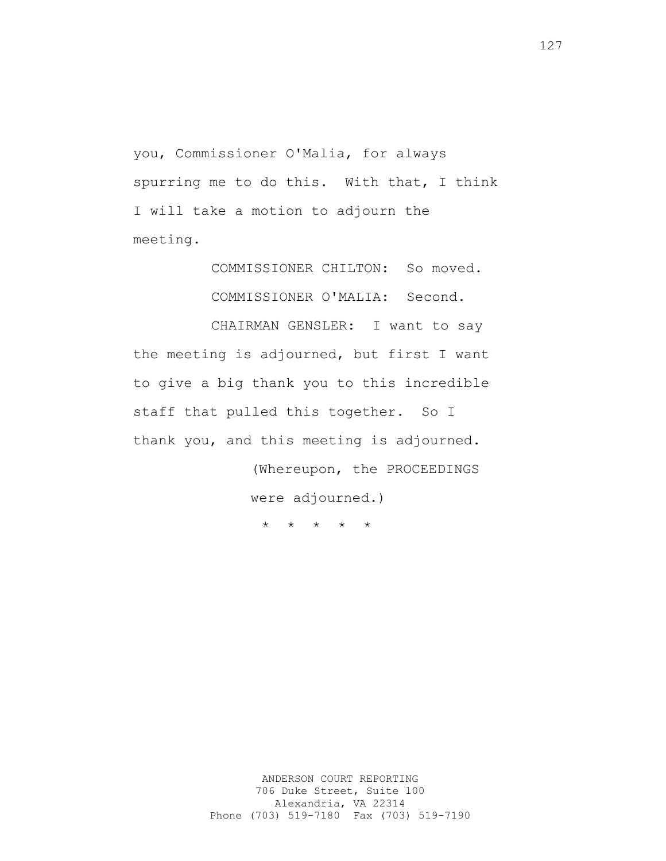you, Commissioner O'Malia, for always spurring me to do this. With that, I think I will take a motion to adjourn the meeting.

> COMMISSIONER CHILTON: So moved. COMMISSIONER O'MALIA: Second.

CHAIRMAN GENSLER: I want to say the meeting is adjourned, but first I want to give a big thank you to this incredible staff that pulled this together. So I thank you, and this meeting is adjourned.

> (Whereupon, the PROCEEDINGS were adjourned.)

\* \* \* \* \*

127